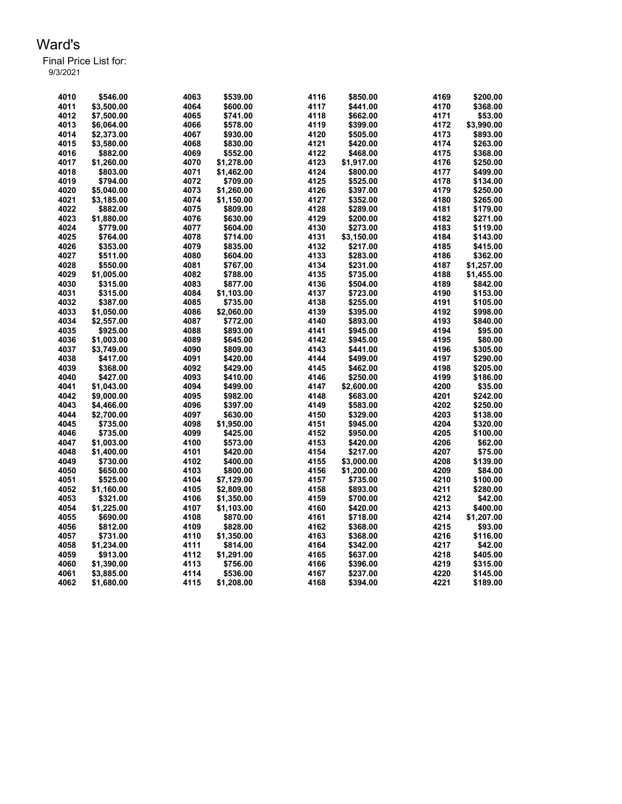| 4010 | \$546.00   | 4063 | \$539.00   | 4116 | \$850.00   | 4169 | \$200.00   |
|------|------------|------|------------|------|------------|------|------------|
|      |            |      |            |      |            |      |            |
| 4011 | \$3,500.00 | 4064 | \$600.00   | 4117 | \$441.00   | 4170 | \$368.00   |
| 4012 | \$7,500.00 | 4065 | \$741.00   | 4118 | \$662.00   | 4171 | \$53.00    |
| 4013 | \$6,064.00 | 4066 | \$578.00   | 4119 | \$399.00   | 4172 | \$3,990.00 |
| 4014 | \$2,373.00 | 4067 | \$930.00   | 4120 | \$505.00   | 4173 | \$893.00   |
| 4015 | \$3,580.00 | 4068 | \$830.00   | 4121 | \$420.00   | 4174 | \$263.00   |
| 4016 | \$882.00   | 4069 | \$552.00   | 4122 | \$468.00   | 4175 | \$368.00   |
| 4017 | \$1,260.00 | 4070 | \$1,278.00 | 4123 | \$1,917.00 | 4176 | \$250.00   |
| 4018 | \$803.00   | 4071 | \$1,462.00 | 4124 | \$800.00   | 4177 | \$499.00   |
| 4019 | \$794.00   | 4072 | \$709.00   | 4125 | \$525.00   | 4178 | \$134.00   |
| 4020 | \$5,040.00 | 4073 | \$1,260.00 | 4126 | \$397.00   | 4179 | \$250.00   |
| 4021 | \$3,185.00 | 4074 | \$1,150.00 | 4127 | \$352.00   | 4180 | \$265.00   |
| 4022 | \$882.00   | 4075 | \$809.00   | 4128 | \$289.00   | 4181 | \$179.00   |
| 4023 | \$1,880.00 | 4076 | \$630.00   | 4129 | \$200.00   | 4182 | \$271.00   |
| 4024 | \$779.00   | 4077 | \$604.00   | 4130 | \$273.00   | 4183 | \$119.00   |
| 4025 | \$764.00   | 4078 | \$714.00   | 4131 |            | 4184 |            |
|      |            |      |            |      | \$3,150.00 |      | \$143.00   |
| 4026 | \$353.00   | 4079 | \$835.00   | 4132 | \$217.00   | 4185 | \$415.00   |
| 4027 | \$511.00   | 4080 | \$604.00   | 4133 | \$283.00   | 4186 | \$362.00   |
| 4028 | \$550.00   | 4081 | \$767.00   | 4134 | \$231.00   | 4187 | \$1,257.00 |
| 4029 | \$1,005.00 | 4082 | \$788.00   | 4135 | \$735.00   | 4188 | \$1,455.00 |
| 4030 | \$315.00   | 4083 | \$877.00   | 4136 | \$504.00   | 4189 | \$842.00   |
| 4031 | \$315.00   | 4084 | \$1,103.00 | 4137 | \$723.00   | 4190 | \$153.00   |
| 4032 | \$387.00   | 4085 | \$735.00   | 4138 | \$255.00   | 4191 | \$105.00   |
| 4033 | \$1,050.00 | 4086 | \$2,060.00 | 4139 | \$395.00   | 4192 | \$998.00   |
| 4034 | \$2,557.00 | 4087 | \$772.00   | 4140 | \$893.00   | 4193 | \$840.00   |
| 4035 | \$925.00   | 4088 | \$893.00   | 4141 | \$945.00   | 4194 | \$95.00    |
| 4036 | \$1,003.00 | 4089 | \$645.00   | 4142 | \$945.00   | 4195 | \$80.00    |
| 4037 | \$3,749.00 | 4090 | \$809.00   | 4143 | \$441.00   | 4196 | \$305.00   |
| 4038 | \$417.00   | 4091 | \$420.00   | 4144 | \$499.00   | 4197 | \$290.00   |
| 4039 | \$368.00   | 4092 | \$429.00   | 4145 | \$462.00   | 4198 | \$205.00   |
| 4040 | \$427.00   | 4093 | \$410.00   | 4146 | \$250.00   | 4199 | \$186.00   |
| 4041 | \$1,043.00 | 4094 | \$499.00   | 4147 | \$2,600.00 | 4200 | \$35.00    |
| 4042 | \$9,000.00 | 4095 | \$982.00   | 4148 | \$683.00   | 4201 | \$242.00   |
| 4043 | \$4,466.00 | 4096 | \$397.00   | 4149 | \$583.00   | 4202 | \$250.00   |
| 4044 | \$2,700.00 | 4097 | \$630.00   | 4150 | \$329.00   | 4203 | \$138.00   |
| 4045 | \$735.00   | 4098 | \$1,950.00 | 4151 | \$945.00   | 4204 | \$320.00   |
| 4046 | \$735.00   | 4099 | \$425.00   | 4152 |            | 4205 | \$100.00   |
|      |            |      |            |      | \$950.00   |      |            |
| 4047 | \$1,003.00 | 4100 | \$573.00   | 4153 | \$420.00   | 4206 | \$62.00    |
| 4048 | \$1,400.00 | 4101 | \$420.00   | 4154 | \$217.00   | 4207 | \$75.00    |
| 4049 | \$730.00   | 4102 | \$400.00   | 4155 | \$3,000.00 | 4208 | \$139.00   |
| 4050 | \$650.00   | 4103 | \$800.00   | 4156 | \$1,200.00 | 4209 | \$84.00    |
| 4051 | \$525.00   | 4104 | \$7,129.00 | 4157 | \$735.00   | 4210 | \$100.00   |
| 4052 | \$1,160.00 | 4105 | \$2,809.00 | 4158 | \$893.00   | 4211 | \$280.00   |
| 4053 | \$321.00   | 4106 | \$1,350.00 | 4159 | \$700.00   | 4212 | \$42.00    |
| 4054 | \$1,225.00 | 4107 | \$1,103.00 | 4160 | \$420.00   | 4213 | \$400.00   |
| 4055 | \$690.00   | 4108 | \$870.00   | 4161 | \$718.00   | 4214 | \$1,207.00 |
| 4056 | \$812.00   | 4109 | \$828.00   | 4162 | \$368.00   | 4215 | \$93.00    |
| 4057 | \$731.00   | 4110 | \$1,350.00 | 4163 | \$368.00   | 4216 | \$116.00   |
| 4058 | \$1,234.00 | 4111 | \$814.00   | 4164 | \$342.00   | 4217 | \$42.00    |
| 4059 | \$913.00   | 4112 | \$1,291.00 | 4165 | \$637.00   | 4218 | \$405.00   |
| 4060 | \$1,390.00 | 4113 | \$756.00   | 4166 | \$396.00   | 4219 | \$315.00   |
| 4061 | \$3,885.00 | 4114 | \$536.00   | 4167 | \$237.00   | 4220 | \$145.00   |
| 4062 | \$1,680.00 | 4115 | \$1,208.00 | 4168 | \$394.00   | 4221 | \$189.00   |
|      |            |      |            |      |            |      |            |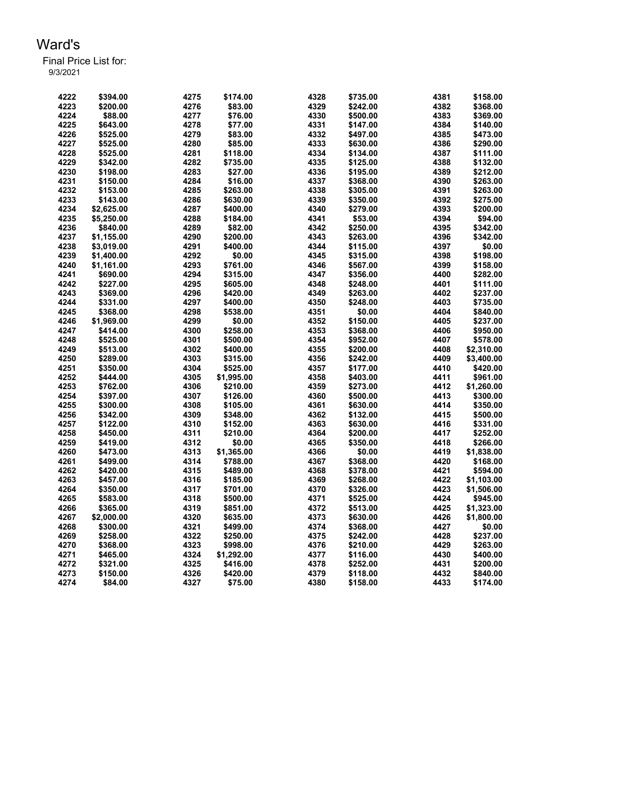| 4222 | \$394.00   | 4275 | \$174.00   | 4328 | \$735.00 | 4381 | \$158.00   |
|------|------------|------|------------|------|----------|------|------------|
| 4223 | \$200.00   | 4276 | \$83.00    | 4329 | \$242.00 | 4382 | \$368.00   |
| 4224 | \$88.00    | 4277 | \$76.00    | 4330 | \$500.00 | 4383 | \$369.00   |
| 4225 | \$643.00   | 4278 | \$77.00    | 4331 | \$147.00 | 4384 | \$140.00   |
| 4226 | \$525.00   | 4279 | \$83.00    | 4332 | \$497.00 | 4385 | \$473.00   |
| 4227 | \$525.00   | 4280 | \$85.00    | 4333 | \$630.00 | 4386 | \$290.00   |
| 4228 | \$525.00   | 4281 | \$118.00   | 4334 | \$134.00 | 4387 | \$111.00   |
| 4229 | \$342.00   | 4282 | \$735.00   | 4335 | \$125.00 | 4388 | \$132.00   |
| 4230 | \$198.00   | 4283 | \$27.00    | 4336 | \$195.00 | 4389 | \$212.00   |
| 4231 | \$150.00   | 4284 | \$16.00    | 4337 | \$368.00 | 4390 | \$263.00   |
| 4232 | \$153.00   | 4285 | \$263.00   | 4338 | \$305.00 | 4391 | \$263.00   |
| 4233 | \$143.00   | 4286 | \$630.00   | 4339 | \$350.00 | 4392 | \$275.00   |
| 4234 | \$2,625.00 | 4287 | \$400.00   | 4340 | \$279.00 | 4393 | \$200.00   |
| 4235 | \$5,250.00 | 4288 | \$184.00   | 4341 | \$53.00  | 4394 | \$94.00    |
| 4236 | \$840.00   | 4289 | \$82.00    | 4342 | \$250.00 | 4395 | \$342.00   |
| 4237 | \$1.155.00 | 4290 | \$200.00   | 4343 | \$263.00 | 4396 | \$342.00   |
| 4238 | \$3,019.00 | 4291 | \$400.00   | 4344 | \$115.00 | 4397 | \$0.00     |
| 4239 | \$1,400.00 | 4292 | \$0.00     | 4345 | \$315.00 | 4398 | \$198.00   |
| 4240 | \$1,161.00 | 4293 | \$761.00   | 4346 | \$567.00 | 4399 | \$158.00   |
| 4241 | \$690.00   | 4294 | \$315.00   | 4347 | \$356.00 | 4400 | \$282.00   |
| 4242 | \$227.00   | 4295 | \$605.00   | 4348 | \$248.00 | 4401 | \$111.00   |
| 4243 | \$369.00   | 4296 | \$420.00   | 4349 | \$263.00 | 4402 | \$237.00   |
| 4244 | \$331.00   | 4297 | \$400.00   | 4350 | \$248.00 | 4403 | \$735.00   |
| 4245 | \$368.00   | 4298 | \$538.00   | 4351 | \$0.00   | 4404 | \$840.00   |
| 4246 | \$1,969.00 | 4299 | \$0.00     | 4352 | \$150.00 | 4405 | \$237.00   |
| 4247 | \$414.00   | 4300 | \$258.00   | 4353 | \$368.00 | 4406 | \$950.00   |
| 4248 | \$525.00   | 4301 | \$500.00   | 4354 | \$952.00 | 4407 | \$578.00   |
| 4249 | \$513.00   | 4302 | \$400.00   | 4355 | \$200.00 | 4408 | \$2,310.00 |
| 4250 | \$289.00   | 4303 | \$315.00   | 4356 | \$242.00 | 4409 | \$3,400.00 |
| 4251 | \$350.00   | 4304 | \$525.00   | 4357 | \$177.00 | 4410 | \$420.00   |
| 4252 | \$444.00   | 4305 | \$1,995.00 | 4358 | \$403.00 | 4411 | \$961.00   |
| 4253 | \$762.00   | 4306 | \$210.00   | 4359 | \$273.00 | 4412 | \$1,260.00 |
| 4254 | \$397.00   | 4307 | \$126.00   | 4360 | \$500.00 | 4413 | \$300.00   |
| 4255 | \$300.00   | 4308 | \$105.00   | 4361 | \$630.00 | 4414 | \$350.00   |
| 4256 | \$342.00   | 4309 | \$348.00   | 4362 | \$132.00 | 4415 | \$500.00   |
| 4257 | \$122.00   | 4310 | \$152.00   | 4363 | \$630.00 | 4416 | \$331.00   |
| 4258 | \$450.00   | 4311 | \$210.00   | 4364 | \$200.00 | 4417 | \$252.00   |
| 4259 | \$419.00   | 4312 | \$0.00     | 4365 | \$350.00 | 4418 | \$266.00   |
| 4260 | \$473.00   | 4313 | \$1,365.00 | 4366 | \$0.00   | 4419 | \$1,838.00 |
| 4261 | \$499.00   | 4314 | \$788.00   | 4367 | \$368.00 | 4420 | \$168.00   |
| 4262 | \$420.00   | 4315 | \$489.00   | 4368 | \$378.00 | 4421 | \$594.00   |
| 4263 | \$457.00   | 4316 | \$185.00   | 4369 | \$268.00 | 4422 | \$1,103.00 |
| 4264 | \$350.00   | 4317 | \$701.00   | 4370 | \$326.00 | 4423 | \$1,506.00 |
| 4265 | \$583.00   | 4318 | \$500.00   | 4371 | \$525.00 | 4424 | \$945.00   |
| 4266 | \$365.00   | 4319 | \$851.00   | 4372 | \$513.00 | 4425 | \$1,323.00 |
| 4267 | \$2,000.00 | 4320 | \$635.00   | 4373 | \$630.00 | 4426 | \$1,800.00 |
| 4268 | \$300.00   | 4321 | \$499.00   | 4374 | \$368.00 | 4427 | \$0.00     |
| 4269 | \$258.00   | 4322 | \$250.00   | 4375 | \$242.00 | 4428 | \$237.00   |
| 4270 | \$368.00   | 4323 | \$998.00   | 4376 | \$210.00 | 4429 | \$263.00   |
| 4271 | \$465.00   | 4324 | \$1,292.00 | 4377 | \$116.00 | 4430 | \$400.00   |
| 4272 | \$321.00   | 4325 | \$416.00   | 4378 | \$252.00 | 4431 | \$200.00   |
| 4273 | \$150.00   | 4326 | \$420.00   | 4379 | \$118.00 | 4432 | \$840.00   |
| 4274 | \$84.00    | 4327 | \$75.00    | 4380 | \$158.00 | 4433 | \$174.00   |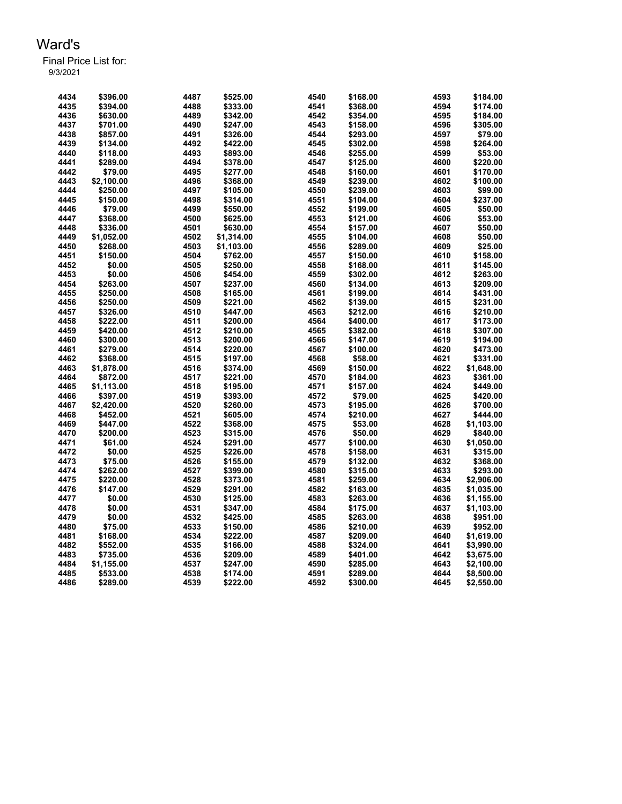| 4434 | \$396.00   | 4487 | \$525.00   | 4540 | \$168.00 | 4593 | \$184.00   |
|------|------------|------|------------|------|----------|------|------------|
| 4435 | \$394.00   | 4488 | \$333.00   | 4541 | \$368.00 | 4594 | \$174.00   |
| 4436 | \$630.00   | 4489 | \$342.00   | 4542 | \$354.00 | 4595 | \$184.00   |
| 4437 | \$701.00   | 4490 | \$247.00   | 4543 | \$158.00 | 4596 | \$305.00   |
| 4438 | \$857.00   | 4491 | \$326.00   | 4544 | \$293.00 | 4597 | \$79.00    |
| 4439 | \$134.00   | 4492 | \$422.00   | 4545 | \$302.00 | 4598 | \$264.00   |
| 4440 | \$118.00   | 4493 | \$893.00   | 4546 | \$255.00 | 4599 | \$53.00    |
| 4441 | \$289.00   | 4494 | \$378.00   | 4547 | \$125.00 | 4600 | \$220.00   |
| 4442 | \$79.00    | 4495 | \$277.00   | 4548 | \$160.00 | 4601 | \$170.00   |
| 4443 | \$2,100.00 | 4496 | \$368.00   | 4549 | \$239.00 | 4602 | \$100.00   |
| 4444 | \$250.00   | 4497 | \$105.00   | 4550 | \$239.00 | 4603 | \$99.00    |
| 4445 | \$150.00   | 4498 | \$314.00   | 4551 | \$104.00 | 4604 | \$237.00   |
| 4446 | \$79.00    | 4499 | \$550.00   | 4552 | \$199.00 | 4605 | \$50.00    |
| 4447 | \$368.00   | 4500 | \$625.00   | 4553 | \$121.00 | 4606 | \$53.00    |
| 4448 | \$336.00   | 4501 | \$630.00   | 4554 | \$157.00 | 4607 | \$50.00    |
| 4449 | \$1,052.00 | 4502 | \$1,314.00 | 4555 | \$104.00 | 4608 | \$50.00    |
| 4450 | \$268.00   | 4503 | \$1,103.00 | 4556 | \$289.00 | 4609 | \$25.00    |
| 4451 | \$150.00   | 4504 | \$762.00   | 4557 | \$150.00 | 4610 | \$158.00   |
| 4452 | \$0.00     | 4505 | \$250.00   | 4558 | \$168.00 | 4611 | \$145.00   |
| 4453 | \$0.00     | 4506 | \$454.00   | 4559 | \$302.00 | 4612 | \$263.00   |
| 4454 | \$263.00   | 4507 | \$237.00   | 4560 | \$134.00 | 4613 | \$209.00   |
| 4455 | \$250.00   | 4508 | \$165.00   | 4561 | \$199.00 | 4614 | \$431.00   |
| 4456 | \$250.00   | 4509 | \$221.00   | 4562 | \$139.00 | 4615 | \$231.00   |
| 4457 | \$326.00   | 4510 | \$447.00   | 4563 | \$212.00 | 4616 | \$210.00   |
| 4458 | \$222.00   | 4511 | \$200.00   | 4564 | \$400.00 | 4617 | \$173.00   |
| 4459 | \$420.00   | 4512 | \$210.00   | 4565 | \$382.00 | 4618 | \$307.00   |
| 4460 | \$300.00   | 4513 | \$200.00   | 4566 | \$147.00 | 4619 | \$194.00   |
| 4461 | \$279.00   | 4514 | \$220.00   | 4567 | \$100.00 | 4620 | \$473.00   |
| 4462 | \$368.00   | 4515 | \$197.00   | 4568 | \$58.00  | 4621 | \$331.00   |
| 4463 | \$1,878.00 | 4516 | \$374.00   | 4569 | \$150.00 | 4622 | \$1,648.00 |
| 4464 | \$872.00   | 4517 | \$221.00   | 4570 | \$184.00 | 4623 | \$361.00   |
| 4465 | \$1,113.00 | 4518 | \$195.00   | 4571 | \$157.00 | 4624 | \$449.00   |
| 4466 | \$397.00   | 4519 | \$393.00   | 4572 | \$79.00  | 4625 | \$420.00   |
| 4467 | \$2,420.00 | 4520 | \$260.00   | 4573 | \$195.00 | 4626 | \$700.00   |
| 4468 | \$452.00   | 4521 | \$605.00   | 4574 | \$210.00 | 4627 | \$444.00   |
| 4469 | \$447.00   | 4522 | \$368.00   | 4575 | \$53.00  | 4628 | \$1,103.00 |
| 4470 | \$200.00   | 4523 | \$315.00   | 4576 | \$50.00  | 4629 | \$840.00   |
| 4471 | \$61.00    | 4524 | \$291.00   | 4577 | \$100.00 | 4630 | \$1,050.00 |
| 4472 | \$0.00     | 4525 | \$226.00   | 4578 | \$158.00 | 4631 | \$315.00   |
| 4473 | \$75.00    | 4526 | \$155.00   | 4579 | \$132.00 | 4632 | \$368.00   |
| 4474 | \$262.00   | 4527 | \$399.00   | 4580 | \$315.00 | 4633 | \$293.00   |
| 4475 | \$220.00   | 4528 | \$373.00   | 4581 | \$259.00 | 4634 | \$2,906.00 |
| 4476 | \$147.00   | 4529 | \$291.00   | 4582 | \$163.00 | 4635 | \$1,035.00 |
| 4477 | \$0.00     | 4530 | \$125.00   | 4583 | \$263.00 | 4636 | \$1,155.00 |
| 4478 | \$0.00     | 4531 | \$347.00   | 4584 | \$175.00 | 4637 | \$1,103.00 |
| 4479 | \$0.00     | 4532 | \$425.00   | 4585 | \$263.00 | 4638 | \$951.00   |
| 4480 | \$75.00    | 4533 | \$150.00   | 4586 | \$210.00 | 4639 | \$952.00   |
| 4481 | \$168.00   | 4534 | \$222.00   | 4587 | \$209.00 | 4640 | \$1,619.00 |
| 4482 | \$552.00   | 4535 | \$166.00   | 4588 | \$324.00 | 4641 | \$3,990.00 |
| 4483 | \$735.00   | 4536 | \$209.00   | 4589 | \$401.00 | 4642 | \$3,675.00 |
| 4484 | \$1,155.00 | 4537 | \$247.00   | 4590 | \$285.00 | 4643 | \$2,100.00 |
| 4485 | \$533.00   | 4538 | \$174.00   | 4591 | \$289.00 | 4644 | \$8,500.00 |
| 4486 | \$289.00   | 4539 | \$222.00   | 4592 | \$300.00 | 4645 | \$2,550.00 |
|      |            |      |            |      |          |      |            |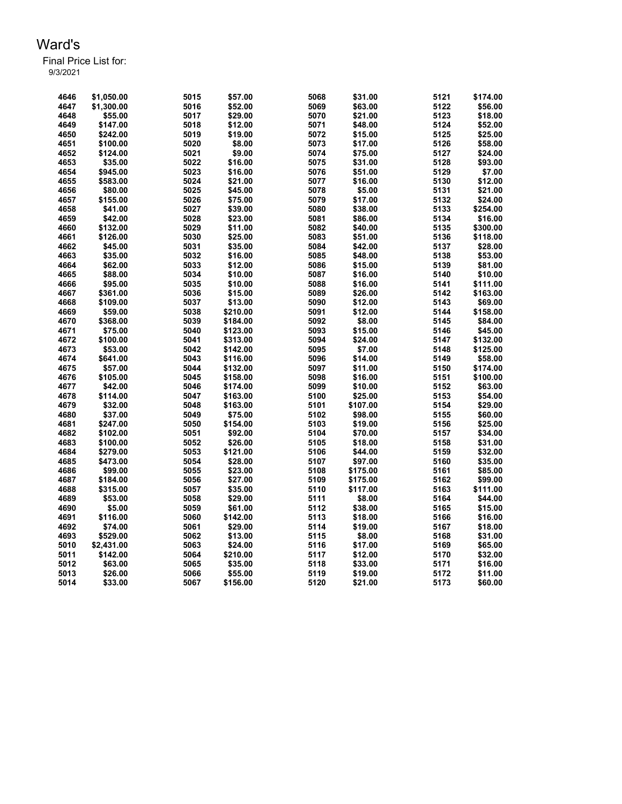Final Price List for: 9/3/2021

> \$1,050.00 5015 \$57.00 5068 \$31.00 5121 \$174.00 \$1,300.00 5016 \$52.00 5069 \$63.00 5122 \$56.00 \$55.00 5017 \$29.00 5070 \$21.00 5123 \$18.00 \$147.00 5018 \$12.00 5071 \$48.00 5124 \$52.00 \$242.00 5019 \$19.00 5072 \$15.00 5125 \$25.00 \$100.00 5020 \$8.00 5073 \$17.00 5126 \$58.00 \$124.00 5021 \$9.00 5074 \$75.00 5127 \$24.00 \$35.00 5022 \$16.00 5075 \$31.00 5128 \$93.00 \$945.00 5023 \$16.00 5076 \$51.00 5129 \$7.00 \$583.00 5024 \$21.00 5077 \$16.00 5130 \$12.00 \$80.00 5025 \$45.00 5078 \$5.00 5131 \$21.00 \$155.00 5026 \$75.00 5079 \$17.00 5132 \$24.00 \$41.00 5027 \$39.00 5080 \$38.00 5133 \$254.00 \$42.00 5028 \$23.00 5081 \$86.00 5134 \$16.00 \$132.00 5029 \$11.00 5082 \$40.00 5135 \$300.00 \$126.00 5030 \$25.00 5083 \$51.00 5136 \$118.00 \$45.00 5031 \$35.00 5084 \$42.00 5137 \$28.00 \$35.00 5032 \$16.00 5085 \$48.00 5138 \$53.00 \$62.00 5033 \$12.00 5086 \$15.00 5139 \$81.00 \$88.00 5034 \$10.00 5087 \$16.00 5140 \$10.00 \$95.00 5035 \$10.00 5088 \$16.00 5141 \$111.00 \$361.00 5036 \$15.00 5089 \$26.00 5142 \$163.00 \$109.00 5037 \$13.00 5090 \$12.00 5143 \$69.00 \$59.00 5038 \$210.00 5091 \$12.00 5144 \$158.00 \$368.00 5039 \$184.00 5092 \$8.00 5145 \$84.00 \$75.00 5040 \$123.00 5093 \$15.00 5146 \$45.00 \$100.00 5041 \$313.00 5094 \$24.00 5147 \$132.00 \$53.00 5042 \$142.00 5095 \$7.00 5148 \$125.00 \$641.00 5043 \$116.00 5096 \$14.00 5149 \$58.00 \$57.00 5044 \$132.00 5097 \$11.00 5150 \$174.00 \$105.00 5045 \$158.00 5098 \$16.00 5151 \$100.00 \$42.00 5046 \$174.00 5099 \$10.00 5152 \$63.00 \$114.00 5047 \$163.00 5100 \$25.00 5153 \$54.00 \$32.00 5048 \$163.00 5101 \$107.00 5154 \$29.00 \$37.00 5049 \$75.00 5102 \$98.00 5155 \$60.00 \$247.00 5050 \$154.00 5103 \$19.00 5156 \$25.00 \$102.00 5051 \$92.00 5104 \$70.00 5157 \$34.00 \$100.00 5052 \$26.00 5105 \$18.00 5158 \$31.00 \$279.00 5053 \$121.00 5106 \$44.00 5159 \$32.00 \$473.00 5054 \$28.00 5107 \$97.00 5160 \$35.00 \$99.00 5055 \$23.00 5108 \$175.00 5161 \$85.00 \$184.00 5056 \$27.00 5109 \$175.00 5162 \$99.00 \$315.00 5057 \$35.00 5110 \$117.00 5163 \$111.00 \$53.00 5058 \$29.00 5111 \$8.00 5164 \$44.00 \$5.00 5059 \$61.00 5112 \$38.00 5165 \$15.00 \$116.00 5060 \$142.00 5113 \$18.00 5166 \$16.00 \$74.00 5061 \$29.00 5114 \$19.00 5167 \$18.00 \$529.00 5062 \$13.00 5115 \$8.00 5168 \$31.00 \$2,431.00 5063 \$24.00 5116 \$17.00 5169 \$65.00 \$142.00 5064 \$210.00 5117 \$12.00 5170 \$32.00 \$63.00 5065 \$35.00 5118 \$33.00 5171 \$16.00 \$26.00 5066 \$55.00 5119 \$19.00 5172 \$11.00 \$33.00 5067 \$156.00 5120 \$21.00 5173 \$60.00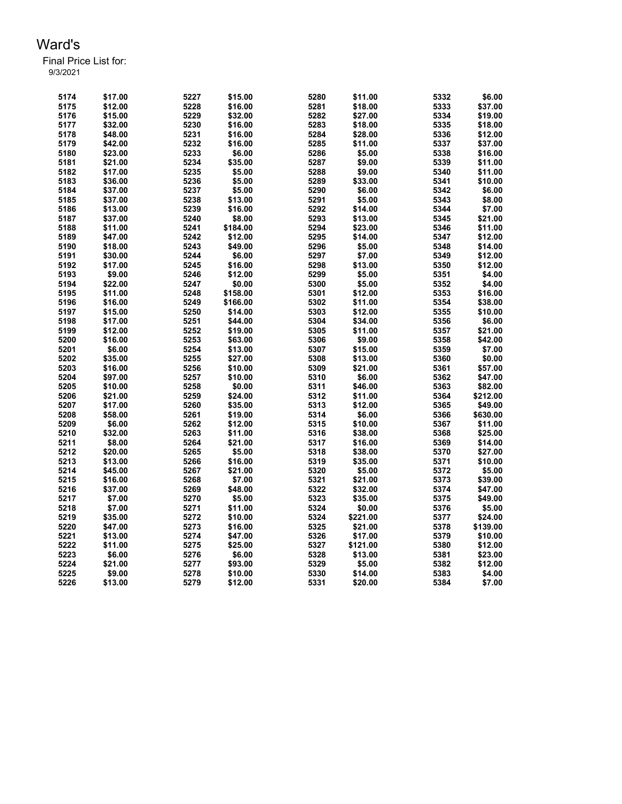| 5174 | \$17.00            | 5227         | \$15.00            | 5280 | \$11.00             | 5332         | \$6.00              |
|------|--------------------|--------------|--------------------|------|---------------------|--------------|---------------------|
| 5175 | \$12.00            | 5228         | \$16.00            | 5281 | \$18.00             | 5333         | \$37.00             |
| 5176 | \$15.00            | 5229         | \$32.00            | 5282 | \$27.00             | 5334         | \$19.00             |
| 5177 | \$32.00            | 5230         | \$16.00            | 5283 | \$18.00             | 5335         | \$18.00             |
| 5178 | \$48.00            | 5231         | \$16.00            | 5284 | \$28.00             | 5336         | \$12.00             |
| 5179 | \$42.00            | 5232         | \$16.00            | 5285 | \$11.00             | 5337         | \$37.00             |
| 5180 | \$23.00            | 5233         | \$6.00             | 5286 | \$5.00              | 5338         | \$16.00             |
| 5181 | \$21.00            | 5234         | \$35.00            | 5287 | \$9.00              | 5339         | \$11.00             |
| 5182 | \$17.00            | 5235         | \$5.00             | 5288 | \$9.00              | 5340         | \$11.00             |
| 5183 | \$36.00            | 5236         | \$5.00             | 5289 | \$33.00             | 5341         | \$10.00             |
| 5184 | \$37.00            | 5237         | \$5.00             | 5290 | \$6.00              | 5342         | \$6.00              |
| 5185 | \$37.00            | 5238         | \$13.00            | 5291 | \$5.00              | 5343         | \$8.00              |
| 5186 | \$13.00            | 5239         | \$16.00            | 5292 | \$14.00             | 5344         | \$7.00              |
| 5187 | \$37.00            | 5240         | \$8.00             | 5293 | \$13.00             | 5345         | \$21.00             |
| 5188 | \$11.00            | 5241         | \$184.00           | 5294 | \$23.00             | 5346         | \$11.00             |
| 5189 | \$47.00            | 5242         | \$12.00            | 5295 | \$14.00             | 5347         | \$12.00             |
| 5190 | \$18.00            | 5243         | \$49.00            | 5296 | \$5.00              | 5348         | \$14.00             |
| 5191 | \$30.00            | 5244         | \$6.00             | 5297 | \$7.00              | 5349         | \$12.00             |
| 5192 | \$17.00            | 5245         | \$16.00            | 5298 | \$13.00             | 5350         | \$12.00             |
| 5193 | \$9.00             | 5246         | \$12.00            | 5299 | \$5.00              | 5351         | \$4.00              |
| 5194 | \$22.00            | 5247         | \$0.00             | 5300 | \$5.00              | 5352         | \$4.00              |
| 5195 | \$11.00            | 5248         | \$158.00           | 5301 | \$12.00             | 5353         | \$16.00             |
| 5196 | \$16.00            | 5249         | \$166.00           | 5302 | \$11.00             | 5354         | \$38.00             |
| 5197 | \$15.00            | 5250         | \$14.00            | 5303 | \$12.00             | 5355         | \$10.00             |
| 5198 | \$17.00            | 5251         | \$44.00            | 5304 | \$34.00             | 5356         | \$6.00              |
| 5199 | \$12.00            | 5252         | \$19.00            | 5305 | \$11.00             | 5357         | \$21.00             |
| 5200 | \$16.00            | 5253         | \$63.00            | 5306 | \$9.00              | 5358         | \$42.00             |
| 5201 | \$6.00             | 5254         | \$13.00            | 5307 | \$15.00             | 5359         | \$7.00              |
| 5202 | \$35.00            | 5255         | \$27.00            | 5308 | \$13.00             | 5360         | \$0.00              |
| 5203 | \$16.00            | 5256         | \$10.00            | 5309 | \$21.00             | 5361         | \$57.00             |
| 5204 | \$97.00            | 5257         | \$10.00            | 5310 | \$6.00              | 5362         | \$47.00             |
| 5205 | \$10.00            | 5258         | \$0.00             | 5311 | \$46.00             | 5363         | \$82.00             |
| 5206 | \$21.00            | 5259         | \$24.00            | 5312 | \$11.00             | 5364         | \$212.00            |
| 5207 | \$17.00            | 5260         | \$35.00            | 5313 | \$12.00             | 5365         | \$49.00             |
| 5208 | \$58.00            | 5261         | \$19.00            | 5314 | \$6.00              | 5366         | \$630.00            |
| 5209 | \$6.00             | 5262         | \$12.00            | 5315 | \$10.00             | 5367         | \$11.00             |
| 5210 | \$32.00            | 5263         | \$11.00            | 5316 | \$38.00             | 5368         | \$25.00             |
| 5211 | \$8.00             | 5264         | \$21.00            | 5317 | \$16.00             | 5369         | \$14.00             |
| 5212 | \$20.00            | 5265         | \$5.00             | 5318 | \$38.00             | 5370         | \$27.00             |
| 5213 | \$13.00            | 5266         | \$16.00            | 5319 | \$35.00             | 5371         | \$10.00             |
| 5214 | \$45.00            | 5267         | \$21.00            | 5320 | \$5.00              | 5372         | \$5.00              |
| 5215 | \$16.00            | 5268         | \$7.00             | 5321 | \$21.00             | 5373         | \$39.00             |
| 5216 | \$37.00            | 5269         | \$48.00            | 5322 | \$32.00             | 5374         | \$47.00             |
|      | \$7.00             |              |                    | 5323 |                     | 5375         | \$49.00             |
| 5217 | \$7.00             | 5270         | \$5.00             |      | \$35.00             |              |                     |
| 5218 |                    | 5271         | \$11.00            | 5324 | \$0.00              | 5376         | \$5.00              |
| 5219 | \$35.00<br>\$47.00 | 5272<br>5273 | \$10.00<br>\$16.00 | 5324 | \$221.00            | 5377         | \$24.00<br>\$139.00 |
| 5220 |                    |              |                    | 5325 | \$21.00             | 5378         |                     |
| 5221 | \$13.00            | 5274         | \$47.00            | 5326 | \$17.00<br>\$121.00 | 5379<br>5380 | \$10.00             |
| 5222 | \$11.00            | 5275         | \$25.00            | 5327 |                     |              | \$12.00             |
| 5223 | \$6.00             | 5276         | \$6.00             | 5328 | \$13.00             | 5381         | \$23.00             |
| 5224 | \$21.00            | 5277         | \$93.00            | 5329 | \$5.00              | 5382         | \$12.00             |
| 5225 | \$9.00             | 5278         | \$10.00            | 5330 | \$14.00             | 5383         | \$4.00              |
| 5226 | \$13.00            | 5279         | \$12.00            | 5331 | \$20.00             | 5384         | \$7.00              |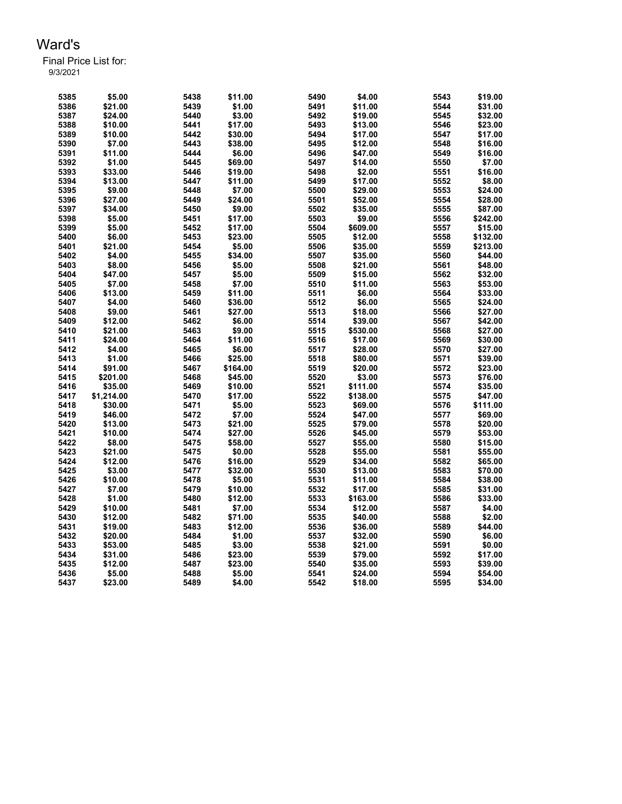| 5385 | \$5.00     | 5438 | \$11.00  | 5490 | \$4.00   | 5543 | \$19.00  |
|------|------------|------|----------|------|----------|------|----------|
| 5386 | \$21.00    | 5439 | \$1.00   | 5491 | \$11.00  | 5544 | \$31.00  |
| 5387 | \$24.00    | 5440 | \$3.00   | 5492 | \$19.00  | 5545 | \$32.00  |
| 5388 | \$10.00    | 5441 | \$17.00  | 5493 | \$13.00  | 5546 | \$23.00  |
| 5389 | \$10.00    | 5442 | \$30.00  | 5494 | \$17.00  | 5547 | \$17.00  |
| 5390 | \$7.00     | 5443 | \$38.00  | 5495 | \$12.00  | 5548 | \$16.00  |
| 5391 | \$11.00    | 5444 | \$6.00   | 5496 | \$47.00  | 5549 | \$16.00  |
| 5392 | \$1.00     | 5445 | \$69.00  | 5497 | \$14.00  | 5550 | \$7.00   |
| 5393 | \$33.00    | 5446 | \$19.00  | 5498 | \$2.00   | 5551 | \$16.00  |
| 5394 | \$13.00    | 5447 | \$11.00  | 5499 | \$17.00  | 5552 | \$8.00   |
| 5395 | \$9.00     | 5448 | \$7.00   | 5500 | \$29.00  | 5553 | \$24.00  |
| 5396 | \$27.00    | 5449 | \$24.00  | 5501 | \$52.00  | 5554 | \$28.00  |
| 5397 | \$34.00    | 5450 | \$9.00   | 5502 | \$35.00  | 5555 | \$87.00  |
| 5398 | \$5.00     | 5451 | \$17.00  | 5503 | \$9.00   | 5556 | \$242.00 |
| 5399 | \$5.00     | 5452 | \$17.00  | 5504 | \$609.00 | 5557 | \$15.00  |
| 5400 | \$6.00     | 5453 | \$23.00  | 5505 | \$12.00  | 5558 | \$132.00 |
| 5401 | \$21.00    | 5454 | \$5.00   | 5506 | \$35.00  | 5559 | \$213.00 |
| 5402 | \$4.00     | 5455 | \$34.00  | 5507 | \$35.00  | 5560 | \$44.00  |
| 5403 | \$8.00     | 5456 | \$5.00   | 5508 | \$21.00  | 5561 | \$48.00  |
| 5404 | \$47.00    | 5457 | \$5.00   | 5509 | \$15.00  | 5562 | \$32.00  |
| 5405 | \$7.00     | 5458 | \$7.00   | 5510 | \$11.00  | 5563 | \$53.00  |
| 5406 | \$13.00    | 5459 | \$11.00  | 5511 | \$6.00   | 5564 | \$33.00  |
| 5407 | \$4.00     | 5460 | \$36.00  | 5512 | \$6.00   | 5565 | \$24.00  |
| 5408 | \$9.00     | 5461 | \$27.00  | 5513 | \$18.00  | 5566 | \$27.00  |
| 5409 | \$12.00    | 5462 | \$6.00   | 5514 | \$39.00  | 5567 | \$42.00  |
| 5410 | \$21.00    | 5463 | \$9.00   | 5515 | \$530.00 | 5568 | \$27.00  |
| 5411 | \$24.00    | 5464 | \$11.00  | 5516 | \$17.00  | 5569 | \$30.00  |
| 5412 | \$4.00     | 5465 | \$6.00   | 5517 | \$28.00  | 5570 | \$27.00  |
| 5413 | \$1.00     | 5466 | \$25.00  | 5518 | \$80.00  | 5571 | \$39.00  |
| 5414 | \$91.00    | 5467 | \$164.00 | 5519 | \$20.00  | 5572 | \$23.00  |
| 5415 | \$201.00   | 5468 | \$45.00  | 5520 | \$3.00   | 5573 | \$76.00  |
| 5416 | \$35.00    | 5469 | \$10.00  | 5521 | \$111.00 | 5574 | \$35.00  |
| 5417 | \$1,214.00 | 5470 | \$17.00  | 5522 | \$138.00 | 5575 | \$47.00  |
| 5418 | \$30.00    | 5471 | \$5.00   | 5523 | \$69.00  | 5576 | \$111.00 |
| 5419 | \$46.00    | 5472 | \$7.00   | 5524 | \$47.00  | 5577 | \$69.00  |
| 5420 | \$13.00    | 5473 | \$21.00  | 5525 | \$79.00  | 5578 | \$20.00  |
| 5421 | \$10.00    | 5474 | \$27.00  | 5526 | \$45.00  | 5579 | \$53.00  |
| 5422 | \$8.00     | 5475 | \$58.00  | 5527 | \$55.00  | 5580 | \$15.00  |
| 5423 | \$21.00    | 5475 | \$0.00   | 5528 | \$55.00  | 5581 | \$55.00  |
| 5424 | \$12.00    | 5476 | \$16.00  | 5529 | \$34.00  | 5582 | \$65.00  |
| 5425 | \$3.00     | 5477 | \$32.00  | 5530 | \$13.00  | 5583 | \$70.00  |
| 5426 | \$10.00    | 5478 | \$5.00   | 5531 | \$11.00  | 5584 | \$38.00  |
| 5427 | \$7.00     | 5479 | \$10.00  | 5532 | \$17.00  | 5585 | \$31.00  |
| 5428 | \$1.00     | 5480 | \$12.00  | 5533 | \$163.00 | 5586 | \$33.00  |
| 5429 | \$10.00    | 5481 | \$7.00   | 5534 | \$12.00  | 5587 | \$4.00   |
| 5430 | \$12.00    | 5482 | \$71.00  | 5535 | \$40.00  | 5588 | \$2.00   |
| 5431 | \$19.00    | 5483 | \$12.00  | 5536 | \$36.00  | 5589 | \$44.00  |
| 5432 | \$20.00    | 5484 | \$1.00   | 5537 | \$32.00  | 5590 | \$6.00   |
| 5433 | \$53.00    | 5485 | \$3.00   | 5538 | \$21.00  | 5591 | \$0.00   |
| 5434 | \$31.00    | 5486 | \$23.00  | 5539 | \$79.00  | 5592 | \$17.00  |
| 5435 | \$12.00    | 5487 | \$23.00  | 5540 | \$35.00  | 5593 | \$39.00  |
| 5436 | \$5.00     | 5488 | \$5.00   | 5541 | \$24.00  | 5594 | \$54.00  |
| 5437 | \$23.00    | 5489 | \$4.00   | 5542 | \$18.00  | 5595 | \$34.00  |
|      |            |      |          |      |          |      |          |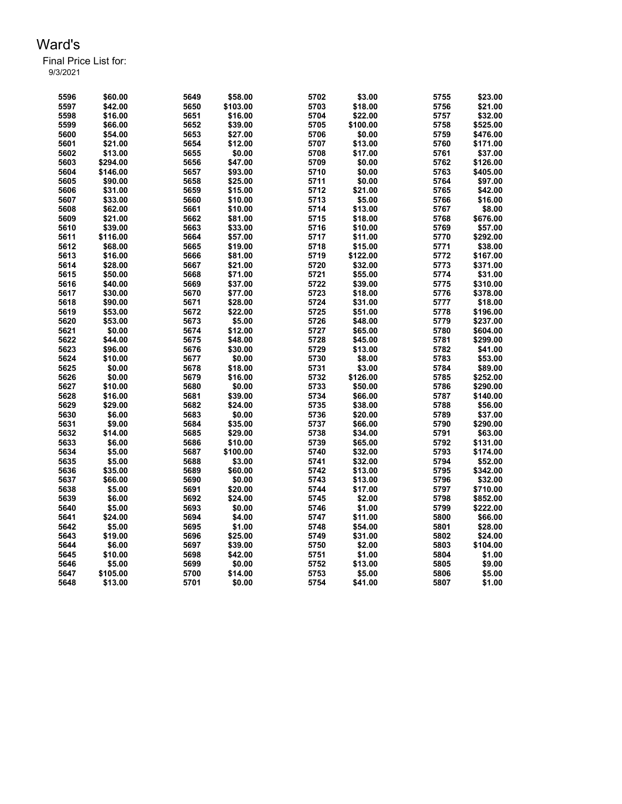| 5596 | \$60.00  | 5649 | \$58.00  | 5702 | \$3.00   | 5755 | \$23.00  |
|------|----------|------|----------|------|----------|------|----------|
| 5597 | \$42.00  | 5650 | \$103.00 | 5703 | \$18.00  | 5756 | \$21.00  |
| 5598 | \$16.00  | 5651 | \$16.00  | 5704 | \$22.00  | 5757 | \$32.00  |
| 5599 | \$66.00  | 5652 | \$39.00  | 5705 | \$100.00 | 5758 | \$525.00 |
| 5600 | \$54.00  | 5653 | \$27.00  | 5706 | \$0.00   | 5759 | \$476.00 |
| 5601 | \$21.00  | 5654 | \$12.00  | 5707 | \$13.00  | 5760 | \$171.00 |
| 5602 | \$13.00  | 5655 | \$0.00   | 5708 | \$17.00  | 5761 | \$37.00  |
| 5603 | \$294.00 | 5656 | \$47.00  | 5709 | \$0.00   | 5762 | \$126.00 |
| 5604 | \$146.00 | 5657 | \$93.00  | 5710 | \$0.00   | 5763 | \$405.00 |
| 5605 | \$90.00  | 5658 | \$25.00  | 5711 | \$0.00   | 5764 | \$97.00  |
| 5606 | \$31.00  | 5659 | \$15.00  | 5712 | \$21.00  | 5765 | \$42.00  |
| 5607 | \$33.00  | 5660 | \$10.00  | 5713 | \$5.00   | 5766 | \$16.00  |
| 5608 | \$62.00  | 5661 | \$10.00  | 5714 | \$13.00  | 5767 | \$8.00   |
| 5609 | \$21.00  | 5662 | \$81.00  | 5715 | \$18.00  | 5768 | \$676.00 |
| 5610 | \$39.00  | 5663 | \$33.00  | 5716 | \$10.00  | 5769 | \$57.00  |
| 5611 | \$116.00 | 5664 | \$57.00  | 5717 | \$11.00  | 5770 | \$292.00 |
| 5612 | \$68.00  | 5665 | \$19.00  | 5718 | \$15.00  | 5771 | \$38.00  |
| 5613 | \$16.00  | 5666 | \$81.00  | 5719 | \$122.00 | 5772 | \$167.00 |
| 5614 | \$28.00  | 5667 | \$21.00  | 5720 | \$32.00  | 5773 | \$371.00 |
| 5615 | \$50.00  | 5668 | \$71.00  | 5721 | \$55.00  | 5774 | \$31.00  |
| 5616 | \$40.00  | 5669 | \$37.00  | 5722 | \$39.00  | 5775 | \$310.00 |
| 5617 | \$30.00  | 5670 | \$77.00  | 5723 | \$18.00  | 5776 | \$378.00 |
| 5618 | \$90.00  | 5671 | \$28.00  | 5724 | \$31.00  | 5777 | \$18.00  |
| 5619 | \$53.00  | 5672 | \$22.00  | 5725 | \$51.00  | 5778 | \$196.00 |
| 5620 | \$53.00  | 5673 | \$5.00   | 5726 | \$48.00  | 5779 | \$237.00 |
| 5621 | \$0.00   | 5674 | \$12.00  | 5727 | \$65.00  | 5780 | \$604.00 |
| 5622 | \$44.00  | 5675 | \$48.00  | 5728 | \$45.00  | 5781 | \$299.00 |
| 5623 | \$96.00  | 5676 | \$30.00  | 5729 | \$13.00  | 5782 | \$41.00  |
| 5624 | \$10.00  | 5677 | \$0.00   | 5730 | \$8.00   | 5783 | \$53.00  |
| 5625 | \$0.00   | 5678 | \$18.00  | 5731 | \$3.00   | 5784 | \$89.00  |
| 5626 | \$0.00   | 5679 | \$16.00  | 5732 | \$126.00 | 5785 | \$252.00 |
| 5627 | \$10.00  | 5680 | \$0.00   | 5733 | \$50.00  | 5786 | \$290.00 |
| 5628 | \$16.00  | 5681 | \$39.00  | 5734 | \$66.00  | 5787 | \$140.00 |
| 5629 | \$29.00  | 5682 | \$24.00  | 5735 | \$38.00  | 5788 | \$56.00  |
| 5630 | \$6.00   | 5683 | \$0.00   | 5736 | \$20.00  | 5789 | \$37.00  |
| 5631 | \$9.00   | 5684 | \$35.00  | 5737 | \$66.00  | 5790 | \$290.00 |
| 5632 | \$14.00  | 5685 | \$29.00  | 5738 | \$34.00  | 5791 | \$63.00  |
| 5633 | \$6.00   | 5686 | \$10.00  | 5739 | \$65.00  | 5792 | \$131.00 |
| 5634 | \$5.00   | 5687 | \$100.00 | 5740 | \$32.00  | 5793 | \$174.00 |
| 5635 | \$5.00   | 5688 | \$3.00   | 5741 | \$32.00  | 5794 | \$52.00  |
| 5636 | \$35.00  | 5689 | \$60.00  | 5742 | \$13.00  | 5795 | \$342.00 |
| 5637 | \$66.00  | 5690 | \$0.00   | 5743 | \$13.00  | 5796 | \$32.00  |
| 5638 | \$5.00   | 5691 | \$20.00  | 5744 | \$17.00  | 5797 | \$710.00 |
| 5639 | \$6.00   | 5692 | \$24.00  | 5745 | \$2.00   | 5798 | \$852.00 |
| 5640 | \$5.00   | 5693 | \$0.00   | 5746 | \$1.00   | 5799 | \$222.00 |
| 5641 | \$24.00  | 5694 | \$4.00   | 5747 | \$11.00  | 5800 | \$66.00  |
| 5642 | \$5.00   | 5695 | \$1.00   | 5748 | \$54.00  | 5801 | \$28.00  |
| 5643 | \$19.00  | 5696 | \$25.00  | 5749 | \$31.00  | 5802 | \$24.00  |
| 5644 | \$6.00   | 5697 | \$39.00  | 5750 | \$2.00   | 5803 | \$104.00 |
| 5645 | \$10.00  | 5698 | \$42.00  | 5751 | \$1.00   | 5804 | \$1.00   |
| 5646 | \$5.00   | 5699 | \$0.00   | 5752 | \$13.00  | 5805 | \$9.00   |
| 5647 | \$105.00 | 5700 | \$14.00  | 5753 | \$5.00   | 5806 | \$5.00   |
| 5648 | \$13.00  | 5701 | \$0.00   | 5754 | \$41.00  | 5807 | \$1.00   |
|      |          |      |          |      |          |      |          |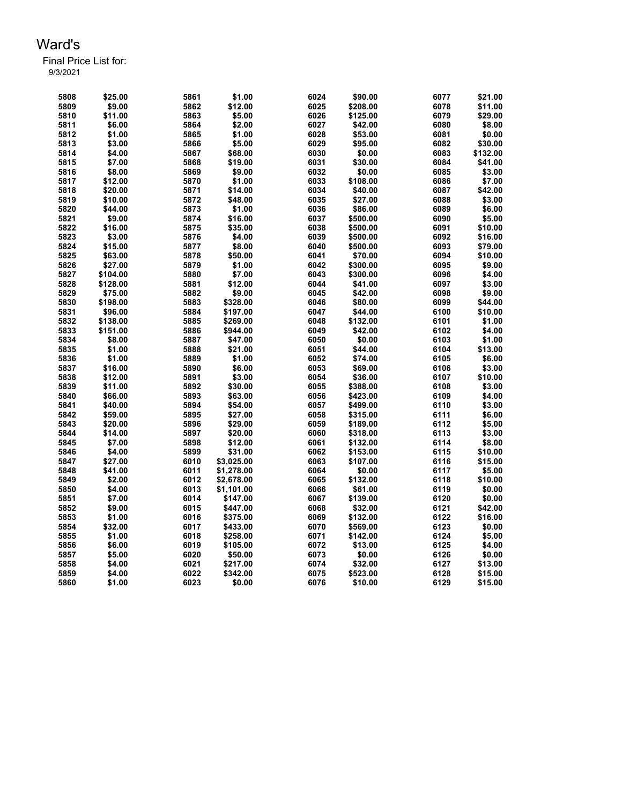Final Price List for:

9/3/2021

| 5808 | \$25.00  | 5861 | \$1.00     | 6024 | \$90.00  | 6077 | \$21.00  |
|------|----------|------|------------|------|----------|------|----------|
| 5809 | \$9.00   | 5862 | \$12.00    | 6025 | \$208.00 | 6078 | \$11.00  |
| 5810 | \$11.00  | 5863 | \$5.00     | 6026 | \$125.00 | 6079 | \$29.00  |
| 5811 | \$6.00   | 5864 | \$2.00     | 6027 | \$42.00  | 6080 | \$8.00   |
| 5812 | \$1.00   | 5865 | \$1.00     | 6028 | \$53.00  | 6081 | \$0.00   |
| 5813 | \$3.00   | 5866 | \$5.00     | 6029 | \$95.00  | 6082 | \$30.00  |
| 5814 | \$4.00   | 5867 | \$68.00    | 6030 | \$0.00   | 6083 | \$132.00 |
| 5815 | \$7.00   | 5868 | \$19.00    | 6031 | \$30.00  | 6084 | \$41.00  |
| 5816 | \$8.00   | 5869 | \$9.00     | 6032 | \$0.00   | 6085 | \$3.00   |
| 5817 | \$12.00  | 5870 | \$1.00     | 6033 | \$108.00 | 6086 | \$7.00   |
| 5818 | \$20.00  | 5871 | \$14.00    | 6034 | \$40.00  | 6087 | \$42.00  |
| 5819 | \$10.00  | 5872 | \$48.00    | 6035 | \$27.00  | 6088 | \$3.00   |
| 5820 | \$44.00  | 5873 | \$1.00     | 6036 | \$86.00  | 6089 | \$6.00   |
| 5821 | \$9.00   | 5874 | \$16.00    | 6037 | \$500.00 | 6090 | \$5.00   |
| 5822 | \$16.00  | 5875 | \$35.00    | 6038 | \$500.00 | 6091 | \$10.00  |
| 5823 | \$3.00   | 5876 | \$4.00     | 6039 | \$500.00 | 6092 | \$16.00  |
| 5824 | \$15.00  | 5877 | \$8.00     | 6040 | \$500.00 | 6093 | \$79.00  |
| 5825 | \$63.00  | 5878 | \$50.00    | 6041 | \$70.00  | 6094 | \$10.00  |
| 5826 |          |      |            | 6042 |          |      |          |
|      | \$27.00  | 5879 | \$1.00     |      | \$300.00 | 6095 | \$9.00   |
| 5827 | \$104.00 | 5880 | \$7.00     | 6043 | \$300.00 | 6096 | \$4.00   |
| 5828 | \$128.00 | 5881 | \$12.00    | 6044 | \$41.00  | 6097 | \$3.00   |
| 5829 | \$75.00  | 5882 | \$9.00     | 6045 | \$42.00  | 6098 | \$9.00   |
| 5830 | \$198.00 | 5883 | \$328.00   | 6046 | \$80.00  | 6099 | \$44.00  |
| 5831 | \$96.00  | 5884 | \$197.00   | 6047 | \$44.00  | 6100 | \$10.00  |
| 5832 | \$138.00 | 5885 | \$269.00   | 6048 | \$132.00 | 6101 | \$1.00   |
| 5833 | \$151.00 | 5886 | \$944.00   | 6049 | \$42.00  | 6102 | \$4.00   |
| 5834 | \$8.00   | 5887 | \$47.00    | 6050 | \$0.00   | 6103 | \$1.00   |
| 5835 | \$1.00   | 5888 | \$21.00    | 6051 | \$44.00  | 6104 | \$13.00  |
| 5836 | \$1.00   | 5889 | \$1.00     | 6052 | \$74.00  | 6105 | \$6.00   |
| 5837 | \$16.00  | 5890 | \$6.00     | 6053 | \$69.00  | 6106 | \$3.00   |
| 5838 | \$12.00  | 5891 | \$3.00     | 6054 | \$36.00  | 6107 | \$10.00  |
| 5839 | \$11.00  | 5892 | \$30.00    | 6055 | \$388.00 | 6108 | \$3.00   |
| 5840 | \$66.00  | 5893 | \$63.00    | 6056 | \$423.00 | 6109 | \$4.00   |
| 5841 | \$40.00  | 5894 | \$54.00    | 6057 | \$499.00 | 6110 | \$3.00   |
| 5842 | \$59.00  | 5895 | \$27.00    | 6058 | \$315.00 | 6111 | \$6.00   |
| 5843 | \$20.00  | 5896 | \$29.00    | 6059 | \$189.00 | 6112 | \$5.00   |
| 5844 | \$14.00  | 5897 | \$20.00    | 6060 | \$318.00 | 6113 | \$3.00   |
| 5845 | \$7.00   | 5898 | \$12.00    | 6061 | \$132.00 | 6114 | \$8.00   |
| 5846 | \$4.00   | 5899 | \$31.00    | 6062 | \$153.00 | 6115 | \$10.00  |
| 5847 | \$27.00  | 6010 | \$3,025.00 | 6063 | \$107.00 | 6116 | \$15.00  |
| 5848 | \$41.00  | 6011 | \$1,278.00 | 6064 | \$0.00   | 6117 | \$5.00   |
| 5849 | \$2.00   | 6012 | \$2,678.00 | 6065 | \$132.00 | 6118 | \$10.00  |
| 5850 | \$4.00   | 6013 | \$1,101.00 | 6066 | \$61.00  | 6119 | \$0.00   |
| 5851 | \$7.00   | 6014 | \$147.00   | 6067 | \$139.00 | 6120 | \$0.00   |
| 5852 | \$9.00   | 6015 | \$447.00   | 6068 | \$32.00  | 6121 | \$42.00  |
| 5853 | \$1.00   | 6016 | \$375.00   | 6069 | \$132.00 | 6122 | \$16.00  |
| 5854 | \$32.00  | 6017 | \$433.00   | 6070 | \$569.00 | 6123 | \$0.00   |
| 5855 | \$1.00   | 6018 | \$258.00   | 6071 | \$142.00 | 6124 | \$5.00   |
| 5856 | \$6.00   | 6019 | \$105.00   | 6072 | \$13.00  | 6125 | \$4.00   |
|      | \$5.00   | 6020 | \$50.00    | 6073 | \$0.00   | 6126 | \$0.00   |
| 5857 | \$4.00   | 6021 | \$217.00   | 6074 |          | 6127 |          |
| 5858 |          |      |            |      | \$32.00  |      | \$13.00  |
| 5859 | \$4.00   | 6022 | \$342.00   | 6075 | \$523.00 | 6128 | \$15.00  |
| 5860 | \$1.00   | 6023 | \$0.00     | 6076 | \$10.00  | 6129 | \$15.00  |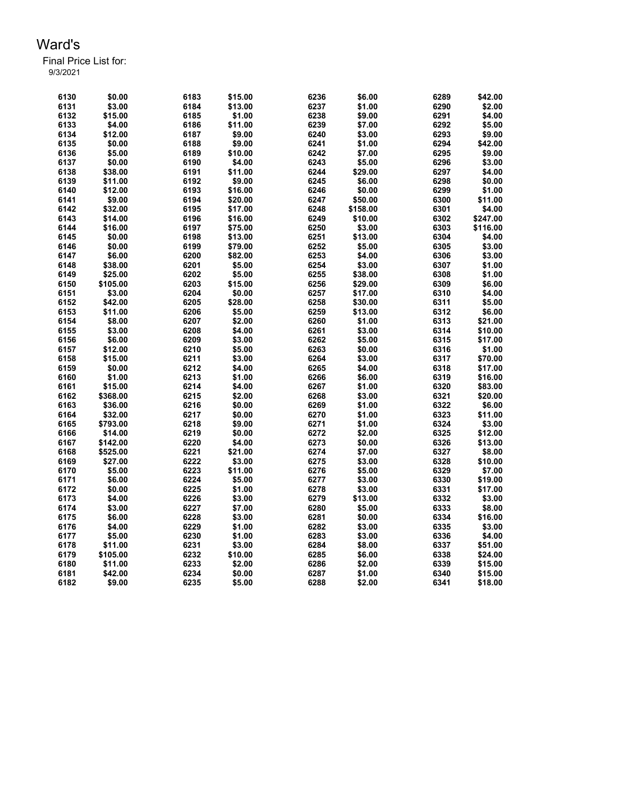| 6130         | \$0.00              | 6183         | \$15.00          | 6236         | \$6.00           | 6289         | \$42.00  |
|--------------|---------------------|--------------|------------------|--------------|------------------|--------------|----------|
| 6131         | \$3.00              | 6184         | \$13.00          | 6237         | \$1.00           | 6290         | \$2.00   |
| 6132         | \$15.00             | 6185         | \$1.00           | 6238         | \$9.00           | 6291         | \$4.00   |
| 6133         | \$4.00              | 6186         | \$11.00          | 6239         | \$7.00           | 6292         | \$5.00   |
| 6134         | \$12.00             | 6187         | \$9.00           | 6240         | \$3.00           | 6293         | \$9.00   |
| 6135         | \$0.00              | 6188         | \$9.00           | 6241         | \$1.00           | 6294         | \$42.00  |
| 6136         | \$5.00              | 6189         | \$10.00          | 6242         | \$7.00           | 6295         | \$9.00   |
| 6137         | \$0.00              | 6190         | \$4.00           | 6243         | \$5.00           | 6296         | \$3.00   |
| 6138         | \$38.00             | 6191         | \$11.00          | 6244         | \$29.00          | 6297         | \$4.00   |
| 6139         | \$11.00             | 6192         | \$9.00           | 6245         | \$6.00           | 6298         | \$0.00   |
| 6140         | \$12.00             | 6193         | \$16.00          | 6246         | \$0.00           | 6299         | \$1.00   |
| 6141         | \$9.00              | 6194         | \$20.00          | 6247         | \$50.00          | 6300         | \$11.00  |
| 6142         | \$32.00             | 6195         | \$17.00          | 6248         | \$158.00         | 6301         | \$4.00   |
| 6143         | \$14.00             | 6196         | \$16.00          | 6249         | \$10.00          | 6302         | \$247.00 |
| 6144         | \$16.00             | 6197         | \$75.00          | 6250         | \$3.00           | 6303         | \$116.00 |
| 6145         | \$0.00              | 6198         | \$13.00          | 6251         | \$13.00          | 6304         | \$4.00   |
| 6146         | \$0.00              | 6199         | \$79.00          | 6252         | \$5.00           | 6305         | \$3.00   |
| 6147         | \$6.00              | 6200         | \$82.00          | 6253         | \$4.00           | 6306         | \$3.00   |
| 6148         | \$38.00             | 6201         | \$5.00           | 6254         | \$3.00           | 6307         | \$1.00   |
| 6149         | \$25.00             | 6202         | \$5.00           | 6255         | \$38.00          | 6308         | \$1.00   |
| 6150         | \$105.00            | 6203         | \$15.00          | 6256         | \$29.00          | 6309         | \$6.00   |
| 6151         | \$3.00              | 6204         | \$0.00           | 6257         | \$17.00          | 6310         | \$4.00   |
| 6152         | \$42.00             | 6205         | \$28.00          | 6258         | \$30.00          | 6311         | \$5.00   |
| 6153         | \$11.00             | 6206         | \$5.00           | 6259         | \$13.00          | 6312         | \$6.00   |
| 6154         | \$8.00              | 6207         | \$2.00           | 6260         | \$1.00           | 6313         | \$21.00  |
| 6155         | \$3.00              | 6208         | \$4.00           | 6261         | \$3.00           | 6314         | \$10.00  |
| 6156         | \$6.00              | 6209         | \$3.00           | 6262         | \$5.00           | 6315         | \$17.00  |
| 6157         | \$12.00             | 6210         | \$5.00           | 6263         | \$0.00           | 6316         | \$1.00   |
| 6158         | \$15.00             | 6211         | \$3.00           | 6264         | \$3.00           | 6317         | \$70.00  |
| 6159         | \$0.00              | 6212         | \$4.00           | 6265         | \$4.00           | 6318         | \$17.00  |
| 6160         | \$1.00              | 6213         | \$1.00           | 6266         | \$6.00           | 6319         | \$16.00  |
| 6161         | \$15.00             | 6214         | \$4.00           | 6267         | \$1.00           | 6320         | \$83.00  |
| 6162         | \$368.00            | 6215         | \$2.00           | 6268         | \$3.00           | 6321         | \$20.00  |
| 6163         | \$36.00             | 6216         | \$0.00           | 6269         | \$1.00           | 6322         | \$6.00   |
| 6164         | \$32.00             | 6217         | \$0.00           | 6270         | \$1.00           | 6323         | \$11.00  |
| 6165         | \$793.00            | 6218         | \$9.00           | 6271         | \$1.00           | 6324         | \$3.00   |
| 6166         | \$14.00             | 6219         | \$0.00           | 6272         | \$2.00           | 6325         | \$12.00  |
| 6167         | \$142.00            | 6220         | \$4.00           | 6273         | \$0.00           | 6326         | \$13.00  |
| 6168         | \$525.00            | 6221         | \$21.00          | 6274         | \$7.00           | 6327         | \$8.00   |
| 6169         | \$27.00             | 6222         | \$3.00           | 6275         | \$3.00           | 6328         | \$10.00  |
| 6170         | \$5.00              | 6223         | \$11.00          | 6276         | \$5.00           | 6329         | \$7.00   |
| 6171         | \$6.00              | 6224         | \$5.00           | 6277         | \$3.00           | 6330         | \$19.00  |
| 6172         | \$0.00              | 6225         | \$1.00           | 6278         | \$3.00           | 6331         | \$17.00  |
| 6173         | \$4.00              | 6226         | \$3.00           | 6279         | \$13.00          | 6332         | \$3.00   |
| 6174         | \$3.00              | 6227         | \$7.00           | 6280         | \$5.00           | 6333         | \$8.00   |
|              |                     |              |                  |              |                  |              | \$16.00  |
| 6175<br>6176 | \$6.00<br>\$4.00    | 6228<br>6229 | \$3.00<br>\$1.00 | 6281<br>6282 | \$0.00<br>\$3.00 | 6334<br>6335 | \$3.00   |
|              |                     | 6230         |                  | 6283         | \$3.00           | 6336         | \$4.00   |
| 6177<br>6178 | \$5.00<br>\$11.00   | 6231         | \$1.00<br>\$3.00 | 6284         | \$8.00           | 6337         | \$51.00  |
| 6179         |                     | 6232         | \$10.00          | 6285         | \$6.00           | 6338         |          |
| 6180         | \$105.00<br>\$11.00 | 6233         |                  |              |                  |              | \$24.00  |
| 6181         |                     |              | \$2.00           | 6286<br>6287 | \$2.00           | 6339<br>6340 | \$15.00  |
|              | \$42.00             | 6234         | \$0.00           |              | \$1.00           |              | \$15.00  |
| 6182         | \$9.00              | 6235         | \$5.00           | 6288         | \$2.00           | 6341         | \$18.00  |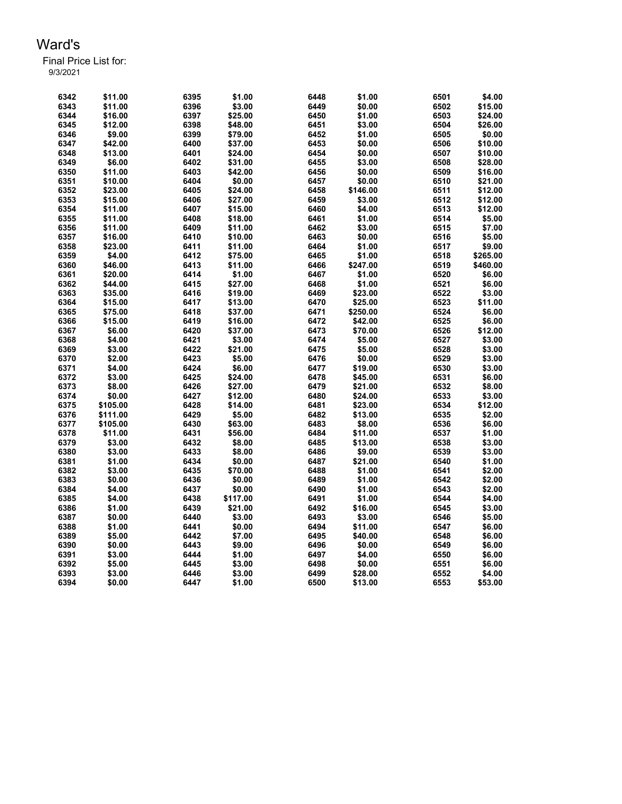| 6342         | \$11.00            | 6395 | \$1.00   | 6448         | \$1.00              | 6501 | \$4.00            |
|--------------|--------------------|------|----------|--------------|---------------------|------|-------------------|
| 6343         | \$11.00            | 6396 | \$3.00   | 6449         | \$0.00              | 6502 | \$15.00           |
| 6344         | \$16.00            | 6397 | \$25.00  | 6450         | \$1.00              | 6503 | \$24.00           |
| 6345         | \$12.00            | 6398 | \$48.00  | 6451         | \$3.00              | 6504 | \$26.00           |
| 6346         | \$9.00             | 6399 | \$79.00  | 6452         | \$1.00              | 6505 | \$0.00            |
| 6347         | \$42.00            | 6400 | \$37.00  | 6453         | \$0.00              | 6506 | \$10.00           |
| 6348         | \$13.00            | 6401 | \$24.00  | 6454         | \$0.00              | 6507 | \$10.00           |
| 6349         | \$6.00             | 6402 | \$31.00  | 6455         | \$3.00              | 6508 | \$28.00           |
| 6350         | \$11.00            | 6403 | \$42.00  | 6456         | \$0.00              | 6509 | \$16.00           |
| 6351         | \$10.00            | 6404 | \$0.00   | 6457         | \$0.00              | 6510 | \$21.00           |
| 6352         | \$23.00            | 6405 | \$24.00  | 6458         | \$146.00            | 6511 | \$12.00           |
| 6353         | \$15.00            | 6406 | \$27.00  | 6459         | \$3.00              | 6512 | \$12.00           |
| 6354         | \$11.00            | 6407 | \$15.00  | 6460         | \$4.00              | 6513 | \$12.00           |
| 6355         | \$11.00            | 6408 | \$18.00  | 6461         | \$1.00              | 6514 | \$5.00            |
| 6356         | \$11.00            | 6409 | \$11.00  | 6462         | \$3.00              | 6515 | \$7.00            |
| 6357         | \$16.00            | 6410 | \$10.00  | 6463         | \$0.00              | 6516 | \$5.00            |
| 6358         | \$23.00            | 6411 | \$11.00  | 6464         | \$1.00              | 6517 | \$9.00            |
| 6359         | \$4.00             | 6412 | \$75.00  | 6465         | \$1.00              | 6518 | \$265.00          |
| 6360         | \$46.00            | 6413 | \$11.00  | 6466         | \$247.00            | 6519 | \$460.00          |
| 6361         | \$20.00            | 6414 | \$1.00   | 6467         | \$1.00              | 6520 | \$6.00            |
| 6362         | \$44.00            | 6415 | \$27.00  | 6468         | \$1.00              | 6521 | \$6.00            |
| 6363         | \$35.00            | 6416 | \$19.00  | 6469         | \$23.00             | 6522 | \$3.00            |
|              |                    | 6417 |          |              |                     | 6523 |                   |
| 6364<br>6365 | \$15.00<br>\$75.00 | 6418 | \$13.00  | 6470<br>6471 | \$25.00<br>\$250.00 | 6524 | \$11.00<br>\$6.00 |
|              |                    |      | \$37.00  |              |                     |      |                   |
| 6366         | \$15.00            | 6419 | \$16.00  | 6472         | \$42.00             | 6525 | \$6.00            |
| 6367         | \$6.00             | 6420 | \$37.00  | 6473         | \$70.00             | 6526 | \$12.00           |
| 6368         | \$4.00             | 6421 | \$3.00   | 6474         | \$5.00              | 6527 | \$3.00            |
| 6369         | \$3.00             | 6422 | \$21.00  | 6475         | \$5.00              | 6528 | \$3.00            |
| 6370         | \$2.00             | 6423 | \$5.00   | 6476         | \$0.00              | 6529 | \$3.00            |
| 6371         | \$4.00             | 6424 | \$6.00   | 6477         | \$19.00             | 6530 | \$3.00            |
| 6372         | \$3.00             | 6425 | \$24.00  | 6478         | \$45.00             | 6531 | \$6.00            |
| 6373         | \$8.00             | 6426 | \$27.00  | 6479         | \$21.00             | 6532 | \$8.00            |
| 6374         | \$0.00             | 6427 | \$12.00  | 6480         | \$24.00             | 6533 | \$3.00            |
| 6375         | \$105.00           | 6428 | \$14.00  | 6481         | \$23.00             | 6534 | \$12.00           |
| 6376         | \$111.00           | 6429 | \$5.00   | 6482         | \$13.00             | 6535 | \$2.00            |
| 6377         | \$105.00           | 6430 | \$63.00  | 6483         | \$8.00              | 6536 | \$6.00            |
| 6378         | \$11.00            | 6431 | \$56.00  | 6484         | \$11.00             | 6537 | \$1.00            |
| 6379         | \$3.00             | 6432 | \$8.00   | 6485         | \$13.00             | 6538 | \$3.00            |
| 6380         | \$3.00             | 6433 | \$8.00   | 6486         | \$9.00              | 6539 | \$3.00            |
| 6381         | \$1.00             | 6434 | \$0.00   | 6487         | \$21.00             | 6540 | \$1.00            |
| 6382         | \$3.00             | 6435 | \$70.00  | 6488         | \$1.00              | 6541 | \$2.00            |
| 6383         | \$0.00             | 6436 | \$0.00   | 6489         | \$1.00              | 6542 | \$2.00            |
| 6384         | \$4.00             | 6437 | \$0.00   | 6490         | \$1.00              | 6543 | \$2.00            |
| 6385         | \$4.00             | 6438 | \$117.00 | 6491         | \$1.00              | 6544 | \$4.00            |
| 6386         | \$1.00             | 6439 | \$21.00  | 6492         | \$16.00             | 6545 | \$3.00            |
| 6387         | \$0.00             | 6440 | \$3.00   | 6493         | \$3.00              | 6546 | \$5.00            |
| 6388         | \$1.00             | 6441 | \$0.00   | 6494         | \$11.00             | 6547 | \$6.00            |
| 6389         | \$5.00             | 6442 | \$7.00   | 6495         | \$40.00             | 6548 | \$6.00            |
| 6390         | \$0.00             | 6443 | \$9.00   | 6496         | \$0.00              | 6549 | \$6.00            |
| 6391         | \$3.00             | 6444 | \$1.00   | 6497         | \$4.00              | 6550 | \$6.00            |
| 6392         | \$5.00             | 6445 | \$3.00   | 6498         | \$0.00              | 6551 | \$6.00            |
| 6393         | \$3.00             | 6446 | \$3.00   | 6499         | \$28.00             | 6552 | \$4.00            |
| 6394         | \$0.00             | 6447 | \$1.00   | 6500         | \$13.00             | 6553 | \$53.00           |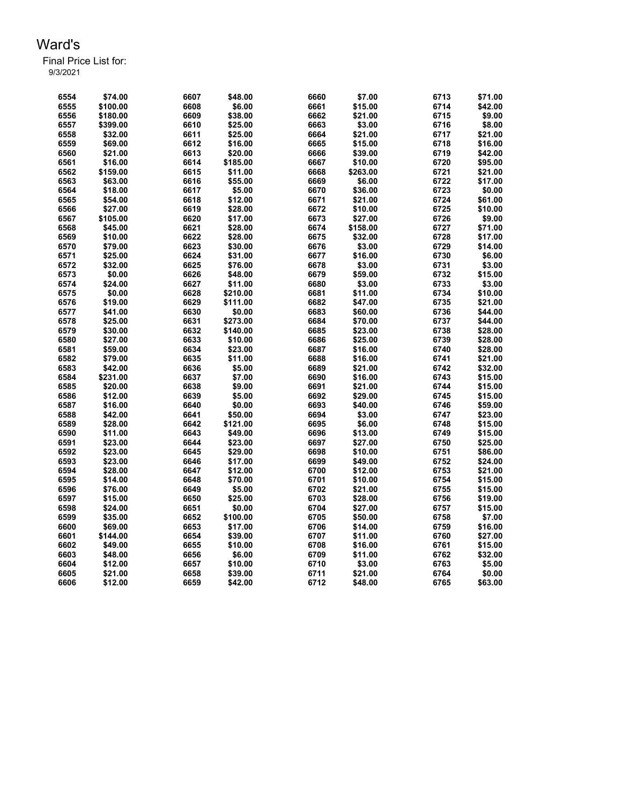| 6554 | \$74.00  | 6607 | \$48.00  | 6660 | \$7.00   | 6713 | \$71.00 |
|------|----------|------|----------|------|----------|------|---------|
| 6555 | \$100.00 | 6608 | \$6.00   | 6661 | \$15.00  | 6714 | \$42.00 |
| 6556 | \$180.00 | 6609 | \$38.00  | 6662 | \$21.00  | 6715 | \$9.00  |
| 6557 | \$399.00 | 6610 | \$25.00  | 6663 | \$3.00   | 6716 | \$8.00  |
| 6558 | \$32.00  | 6611 | \$25.00  | 6664 | \$21.00  | 6717 | \$21.00 |
| 6559 | \$69.00  | 6612 | \$16.00  | 6665 | \$15.00  | 6718 | \$16.00 |
| 6560 | \$21.00  | 6613 | \$20.00  | 6666 | \$39.00  | 6719 | \$42.00 |
| 6561 | \$16.00  | 6614 | \$185.00 | 6667 | \$10.00  | 6720 | \$95.00 |
| 6562 | \$159.00 | 6615 | \$11.00  | 6668 | \$263.00 | 6721 | \$21.00 |
| 6563 | \$63.00  | 6616 | \$55.00  | 6669 | \$6.00   | 6722 | \$17.00 |
| 6564 | \$18.00  | 6617 | \$5.00   | 6670 | \$36.00  | 6723 | \$0.00  |
| 6565 | \$54.00  | 6618 | \$12.00  | 6671 | \$21.00  | 6724 | \$61.00 |
| 6566 | \$27.00  | 6619 | \$28.00  | 6672 | \$10.00  | 6725 | \$10.00 |
| 6567 | \$105.00 | 6620 | \$17.00  | 6673 | \$27.00  | 6726 | \$9.00  |
| 6568 | \$45.00  | 6621 | \$28.00  | 6674 | \$158.00 | 6727 | \$71.00 |
| 6569 | \$10.00  | 6622 | \$28.00  | 6675 | \$32.00  | 6728 | \$17.00 |
| 6570 | \$79.00  | 6623 | \$30.00  | 6676 | \$3.00   | 6729 | \$14.00 |
| 6571 | \$25.00  | 6624 | \$31.00  | 6677 | \$16.00  | 6730 | \$6.00  |
| 6572 | \$32.00  | 6625 | \$76.00  | 6678 | \$3.00   | 6731 | \$3.00  |
| 6573 | \$0.00   | 6626 | \$48.00  | 6679 | \$59.00  | 6732 | \$15.00 |
| 6574 | \$24.00  | 6627 | \$11.00  | 6680 | \$3.00   | 6733 | \$3.00  |
| 6575 | \$0.00   | 6628 | \$210.00 | 6681 | \$11.00  | 6734 | \$10.00 |
| 6576 | \$19.00  | 6629 | \$111.00 | 6682 | \$47.00  | 6735 | \$21.00 |
| 6577 | \$41.00  | 6630 | \$0.00   | 6683 | \$60.00  | 6736 | \$44.00 |
| 6578 | \$25.00  | 6631 | \$273.00 | 6684 | \$70.00  | 6737 | \$44.00 |
| 6579 | \$30.00  | 6632 | \$140.00 | 6685 | \$23.00  | 6738 | \$28.00 |
| 6580 | \$27.00  | 6633 | \$10.00  | 6686 | \$25.00  | 6739 | \$28.00 |
| 6581 | \$59.00  | 6634 | \$23.00  | 6687 | \$16.00  | 6740 | \$28.00 |
| 6582 | \$79.00  | 6635 | \$11.00  | 6688 | \$16.00  | 6741 | \$21.00 |
| 6583 | \$42.00  | 6636 | \$5.00   | 6689 | \$21.00  | 6742 | \$32.00 |
| 6584 | \$231.00 | 6637 | \$7.00   | 6690 | \$16.00  | 6743 | \$15.00 |
| 6585 | \$20.00  | 6638 | \$9.00   | 6691 | \$21.00  | 6744 | \$15.00 |
| 6586 | \$12.00  | 6639 | \$5.00   | 6692 | \$29.00  | 6745 | \$15.00 |
| 6587 | \$16.00  | 6640 | \$0.00   | 6693 | \$40.00  | 6746 | \$59.00 |
| 6588 | \$42.00  | 6641 | \$50.00  | 6694 | \$3.00   | 6747 | \$23.00 |
| 6589 | \$28.00  | 6642 | \$121.00 | 6695 | \$6.00   | 6748 | \$15.00 |
| 6590 | \$11.00  | 6643 | \$49.00  | 6696 | \$13.00  | 6749 | \$15.00 |
| 6591 | \$23.00  | 6644 | \$23.00  | 6697 | \$27.00  | 6750 | \$25.00 |
| 6592 | \$23.00  | 6645 | \$29.00  | 6698 | \$10.00  | 6751 | \$86.00 |
| 6593 | \$23.00  | 6646 | \$17.00  | 6699 | \$49.00  | 6752 | \$24.00 |
| 6594 | \$28.00  | 6647 | \$12.00  | 6700 | \$12.00  | 6753 | \$21.00 |
| 6595 | \$14.00  | 6648 | \$70.00  | 6701 | \$10.00  | 6754 | \$15.00 |
| 6596 | \$76.00  | 6649 | \$5.00   | 6702 | \$21.00  | 6755 | \$15.00 |
| 6597 | \$15.00  | 6650 | \$25.00  | 6703 | \$28.00  | 6756 | \$19.00 |
| 6598 | \$24.00  | 6651 | \$0.00   | 6704 | \$27.00  | 6757 | \$15.00 |
| 6599 | \$35.00  | 6652 | \$100.00 | 6705 | \$50.00  | 6758 | \$7.00  |
| 6600 | \$69.00  | 6653 | \$17.00  | 6706 | \$14.00  | 6759 | \$16.00 |
| 6601 | \$144.00 | 6654 | \$39.00  | 6707 | \$11.00  | 6760 | \$27.00 |
| 6602 | \$49.00  | 6655 | \$10.00  | 6708 | \$16.00  | 6761 | \$15.00 |
| 6603 | \$48.00  | 6656 | \$6.00   | 6709 | \$11.00  | 6762 | \$32.00 |
| 6604 | \$12.00  | 6657 | \$10.00  | 6710 | \$3.00   | 6763 | \$5.00  |
| 6605 | \$21.00  | 6658 | \$39.00  | 6711 | \$21.00  | 6764 | \$0.00  |
|      |          |      |          | 6712 |          |      | \$63.00 |
| 6606 | \$12.00  | 6659 | \$42.00  |      | \$48.00  | 6765 |         |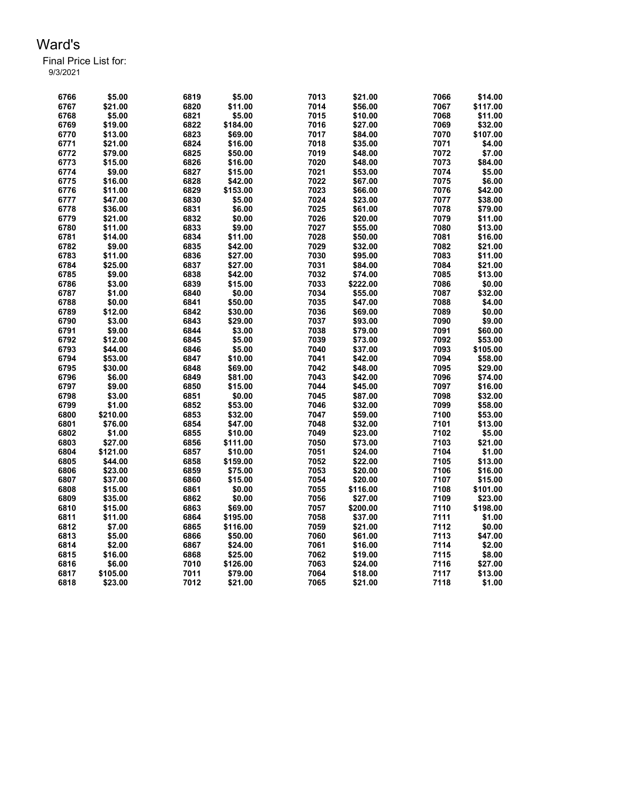| 6766 | \$5.00   | 6819 | \$5.00   | 7013 | \$21.00  | 7066 | \$14.00  |
|------|----------|------|----------|------|----------|------|----------|
| 6767 | \$21.00  | 6820 | \$11.00  | 7014 | \$56.00  | 7067 | \$117.00 |
| 6768 | \$5.00   | 6821 | \$5.00   | 7015 | \$10.00  | 7068 | \$11.00  |
| 6769 | \$19.00  | 6822 | \$184.00 | 7016 | \$27.00  | 7069 | \$32.00  |
| 6770 | \$13.00  | 6823 | \$69.00  | 7017 | \$84.00  | 7070 | \$107.00 |
| 6771 | \$21.00  | 6824 | \$16.00  | 7018 | \$35.00  | 7071 | \$4.00   |
| 6772 | \$79.00  | 6825 | \$50.00  | 7019 | \$48.00  | 7072 | \$7.00   |
| 6773 | \$15.00  | 6826 | \$16.00  | 7020 | \$48.00  | 7073 | \$84.00  |
| 6774 | \$9.00   | 6827 | \$15.00  | 7021 | \$53.00  | 7074 | \$5.00   |
| 6775 | \$16.00  | 6828 | \$42.00  | 7022 | \$67.00  | 7075 | \$6.00   |
| 6776 | \$11.00  | 6829 | \$153.00 | 7023 | \$66.00  | 7076 | \$42.00  |
| 6777 | \$47.00  | 6830 | \$5.00   | 7024 | \$23.00  | 7077 | \$38.00  |
| 6778 | \$36.00  | 6831 | \$6.00   | 7025 | \$61.00  | 7078 | \$79.00  |
| 6779 | \$21.00  | 6832 | \$0.00   | 7026 | \$20.00  | 7079 | \$11.00  |
| 6780 | \$11.00  | 6833 | \$9.00   | 7027 | \$55.00  | 7080 | \$13.00  |
| 6781 | \$14.00  | 6834 | \$11.00  | 7028 | \$50.00  | 7081 | \$16.00  |
| 6782 | \$9.00   | 6835 | \$42.00  | 7029 | \$32.00  | 7082 | \$21.00  |
| 6783 | \$11.00  | 6836 | \$27.00  | 7030 | \$95.00  | 7083 | \$11.00  |
| 6784 | \$25.00  | 6837 | \$27.00  | 7031 | \$84.00  | 7084 | \$21.00  |
| 6785 | \$9.00   | 6838 | \$42.00  | 7032 | \$74.00  | 7085 | \$13.00  |
| 6786 | \$3.00   | 6839 | \$15.00  | 7033 | \$222.00 | 7086 | \$0.00   |
| 6787 | \$1.00   | 6840 | \$0.00   | 7034 | \$55.00  | 7087 | \$32.00  |
| 6788 | \$0.00   | 6841 | \$50.00  | 7035 | \$47.00  | 7088 | \$4.00   |
| 6789 | \$12.00  | 6842 | \$30.00  | 7036 | \$69.00  | 7089 | \$0.00   |
| 6790 | \$3.00   | 6843 | \$29.00  | 7037 | \$93.00  | 7090 | \$9.00   |
| 6791 | \$9.00   | 6844 | \$3.00   | 7038 | \$79.00  | 7091 | \$60.00  |
| 6792 | \$12.00  | 6845 | \$5.00   | 7039 | \$73.00  | 7092 | \$53.00  |
| 6793 | \$44.00  | 6846 | \$5.00   | 7040 | \$37.00  | 7093 | \$105.00 |
| 6794 | \$53.00  | 6847 | \$10.00  | 7041 | \$42.00  | 7094 | \$58.00  |
| 6795 | \$30.00  | 6848 | \$69.00  | 7042 | \$48.00  | 7095 | \$29.00  |
| 6796 | \$6.00   | 6849 | \$81.00  | 7043 | \$42.00  | 7096 | \$74.00  |
| 6797 | \$9.00   | 6850 | \$15.00  | 7044 | \$45.00  | 7097 | \$16.00  |
| 6798 | \$3.00   | 6851 | \$0.00   | 7045 | \$87.00  | 7098 | \$32.00  |
| 6799 | \$1.00   | 6852 | \$53.00  | 7046 | \$32.00  | 7099 | \$58.00  |
| 6800 | \$210.00 | 6853 | \$32.00  | 7047 | \$59.00  | 7100 | \$53.00  |
| 6801 | \$76.00  | 6854 | \$47.00  | 7048 | \$32.00  | 7101 | \$13.00  |
| 6802 | \$1.00   | 6855 | \$10.00  | 7049 | \$23.00  | 7102 | \$5.00   |
| 6803 | \$27.00  | 6856 | \$111.00 | 7050 | \$73.00  | 7103 | \$21.00  |
| 6804 | \$121.00 | 6857 | \$10.00  | 7051 | \$24.00  | 7104 | \$1.00   |
| 6805 | \$44.00  | 6858 | \$159.00 | 7052 | \$22.00  | 7105 | \$13.00  |
| 6806 | \$23.00  | 6859 | \$75.00  | 7053 | \$20.00  | 7106 | \$16.00  |
| 6807 | \$37.00  | 6860 | \$15.00  | 7054 | \$20.00  | 7107 | \$15.00  |
| 6808 | \$15.00  | 6861 | \$0.00   | 7055 | \$116.00 | 7108 | \$101.00 |
| 6809 | \$35.00  | 6862 | \$0.00   | 7056 | \$27.00  | 7109 | \$23.00  |
| 6810 | \$15.00  | 6863 | \$69.00  | 7057 | \$200.00 | 7110 | \$198.00 |
| 6811 | \$11.00  | 6864 | \$195.00 | 7058 | \$37.00  | 7111 | \$1.00   |
| 6812 | \$7.00   | 6865 | \$116.00 | 7059 | \$21.00  | 7112 | \$0.00   |
| 6813 | \$5.00   | 6866 | \$50.00  | 7060 | \$61.00  | 7113 | \$47.00  |
| 6814 | \$2.00   | 6867 | \$24.00  | 7061 | \$16.00  | 7114 | \$2.00   |
| 6815 | \$16.00  | 6868 | \$25.00  | 7062 | \$19.00  | 7115 | \$8.00   |
| 6816 | \$6.00   | 7010 | \$126.00 | 7063 | \$24.00  | 7116 | \$27.00  |
| 6817 | \$105.00 | 7011 | \$79.00  | 7064 | \$18.00  | 7117 | \$13.00  |
| 6818 | \$23.00  | 7012 | \$21.00  | 7065 | \$21.00  | 7118 | \$1.00   |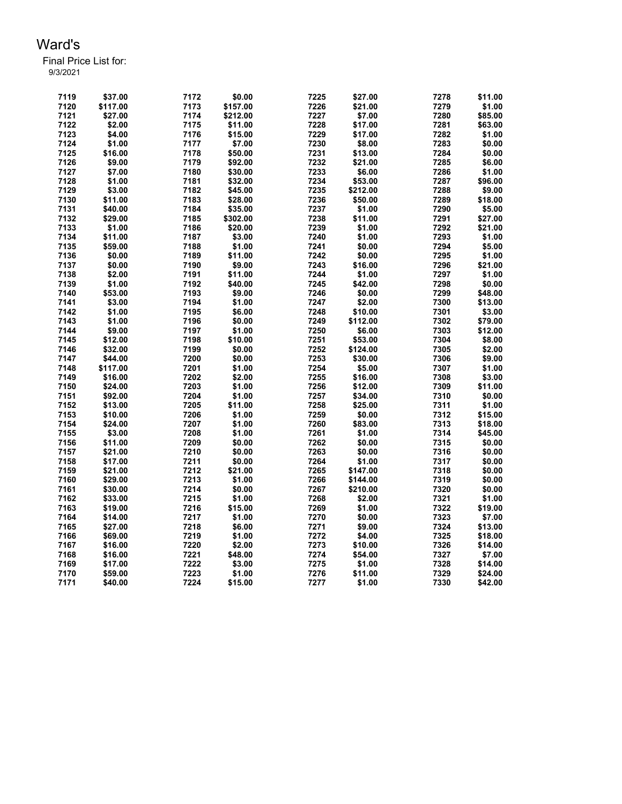| 7119         | \$37.00            | 7172 | \$0.00           | 7225         | \$27.00          | 7278         | \$11.00           |
|--------------|--------------------|------|------------------|--------------|------------------|--------------|-------------------|
| 7120         | \$117.00           | 7173 | \$157.00         | 7226         | \$21.00          | 7279         | \$1.00            |
| 7121         | \$27.00            | 7174 | \$212.00         | 7227         | \$7.00           | 7280         | \$85.00           |
| 7122         | \$2.00             | 7175 | \$11.00          | 7228         | \$17.00          | 7281         | \$63.00           |
| 7123         | \$4.00             | 7176 | \$15.00          | 7229         | \$17.00          | 7282         | \$1.00            |
| 7124         | \$1.00             | 7177 | \$7.00           | 7230         | \$8.00           | 7283         | \$0.00            |
| 7125         | \$16.00            | 7178 | \$50.00          | 7231         | \$13.00          | 7284         | \$0.00            |
| 7126         | \$9.00             | 7179 | \$92.00          | 7232         | \$21.00          | 7285         | \$6.00            |
| 7127         | \$7.00             | 7180 | \$30.00          | 7233         | \$6.00           | 7286         | \$1.00            |
| 7128         | \$1.00             | 7181 | \$32.00          | 7234         | \$53.00          | 7287         | \$96.00           |
| 7129         | \$3.00             | 7182 | \$45.00          | 7235         | \$212.00         | 7288         | \$9.00            |
| 7130         | \$11.00            | 7183 | \$28.00          | 7236         | \$50.00          | 7289         | \$18.00           |
| 7131         | \$40.00            | 7184 | \$35.00          | 7237         | \$1.00           | 7290         | \$5.00            |
| 7132         | \$29.00            | 7185 | \$302.00         | 7238         | \$11.00          | 7291         | \$27.00           |
| 7133         | \$1.00             | 7186 | \$20.00          | 7239         | \$1.00           | 7292         | \$21.00           |
| 7134         | \$11.00            | 7187 | \$3.00           | 7240         | \$1.00           | 7293         | \$1.00            |
| 7135         | \$59.00            | 7188 | \$1.00           | 7241         | \$0.00           | 7294         | \$5.00            |
|              |                    |      |                  |              |                  |              |                   |
| 7136         | \$0.00             | 7189 | \$11.00          | 7242         | \$0.00           | 7295         | \$1.00            |
| 7137         | \$0.00             | 7190 | \$9.00           | 7243         | \$16.00          | 7296         | \$21.00           |
| 7138         | \$2.00             | 7191 | \$11.00          | 7244         | \$1.00           | 7297         | \$1.00            |
| 7139         | \$1.00             | 7192 | \$40.00          | 7245         | \$42.00          | 7298         | \$0.00            |
| 7140         | \$53.00            | 7193 | \$9.00           | 7246         | \$0.00           | 7299         | \$48.00           |
| 7141         | \$3.00             | 7194 | \$1.00           | 7247         | \$2.00           | 7300         | \$13.00           |
| 7142         | \$1.00             | 7195 | \$6.00           | 7248         | \$10.00          | 7301         | \$3.00            |
| 7143         | \$1.00             | 7196 | \$0.00           | 7249         | \$112.00         | 7302         | \$79.00           |
| 7144         | \$9.00             | 7197 | \$1.00           | 7250         | \$6.00           | 7303         | \$12.00           |
| 7145         | \$12.00            | 7198 | \$10.00          | 7251         | \$53.00          | 7304         | \$8.00            |
| 7146         | \$32.00            | 7199 | \$0.00           | 7252         | \$124.00         | 7305         | \$2.00            |
| 7147         | \$44.00            | 7200 | \$0.00           | 7253         | \$30.00          | 7306         | \$9.00            |
| 7148         | \$117.00           | 7201 | \$1.00           | 7254         | \$5.00           | 7307         | \$1.00            |
| 7149         | \$16.00            | 7202 | \$2.00           | 7255         | \$16.00          | 7308         | \$3.00            |
| 7150         | \$24.00            | 7203 | \$1.00           | 7256         | \$12.00          | 7309         | \$11.00           |
| 7151         | \$92.00            | 7204 | \$1.00           | 7257         | \$34.00          | 7310         | \$0.00            |
| 7152         | \$13.00            | 7205 | \$11.00          | 7258         | \$25.00          | 7311         | \$1.00            |
| 7153         | \$10.00            | 7206 | \$1.00           | 7259         | \$0.00           | 7312         | \$15.00           |
| 7154         | \$24.00            | 7207 | \$1.00           | 7260         | \$83.00          | 7313         | \$18.00           |
| 7155         | \$3.00             | 7208 | \$1.00           | 7261         | \$1.00           | 7314         | \$45.00           |
| 7156         | \$11.00            | 7209 | \$0.00           | 7262         | \$0.00           | 7315         | \$0.00            |
| 7157         | \$21.00            | 7210 | \$0.00           | 7263         | \$0.00           | 7316         | \$0.00            |
| 7158         | \$17.00            | 7211 | \$0.00           | 7264         | \$1.00           | 7317         | \$0.00            |
| 7159         | \$21.00            | 7212 | \$21.00          | 7265         | \$147.00         | 7318         | \$0.00            |
| 7160         | \$29.00            | 7213 | \$1.00           | 7266         | \$144.00         | 7319         | \$0.00            |
| 7161         | \$30.00            | 7214 | \$0.00           | 7267         | \$210.00         | 7320         | \$0.00            |
| 7162         | \$33.00            | 7215 | \$1.00           | 7268         | \$2.00           | 7321         | \$1.00            |
| 7163         | \$19.00            | 7216 | \$15.00          | 7269         | \$1.00           | 7322         | \$19.00           |
|              |                    | 7217 |                  |              |                  | 7323         |                   |
| 7164<br>7165 | \$14.00<br>\$27.00 | 7218 | \$1.00<br>\$6.00 | 7270<br>7271 | \$0.00<br>\$9.00 | 7324         | \$7.00<br>\$13.00 |
|              |                    |      |                  |              |                  |              |                   |
| 7166         | \$69.00            | 7219 | \$1.00           | 7272<br>7273 | \$4.00           | 7325<br>7326 | \$18.00           |
| 7167         | \$16.00            | 7220 | \$2.00           |              | \$10.00          |              | \$14.00           |
| 7168         | \$16.00            | 7221 | \$48.00          | 7274         | \$54.00          | 7327         | \$7.00            |
| 7169         | \$17.00            | 7222 | \$3.00           | 7275         | \$1.00           | 7328         | \$14.00           |
| 7170         | \$59.00            | 7223 | \$1.00           | 7276         | \$11.00          | 7329         | \$24.00           |
| 7171         | \$40.00            | 7224 | \$15.00          | 7277         | \$1.00           | 7330         | \$42.00           |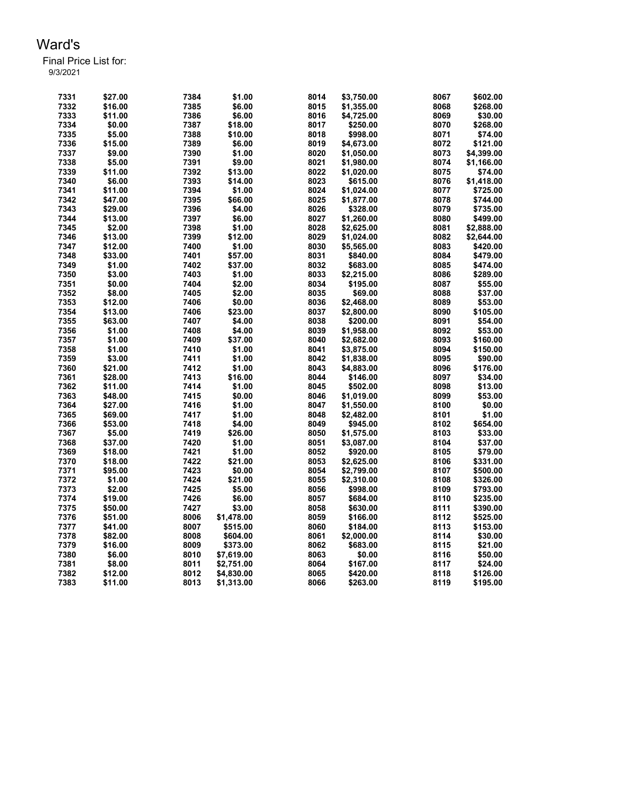| 7331 | \$27.00 | 7384 | \$1.00     | 8014 | \$3,750.00 | 8067 | \$602.00   |
|------|---------|------|------------|------|------------|------|------------|
|      |         |      |            |      |            |      |            |
| 7332 | \$16.00 | 7385 | \$6.00     | 8015 | \$1,355.00 | 8068 | \$268.00   |
| 7333 | \$11.00 | 7386 | \$6.00     | 8016 | \$4,725.00 | 8069 | \$30.00    |
| 7334 | \$0.00  | 7387 | \$18.00    | 8017 | \$250.00   | 8070 | \$268.00   |
| 7335 | \$5.00  | 7388 | \$10.00    | 8018 | \$998.00   | 8071 | \$74.00    |
| 7336 | \$15.00 | 7389 | \$6.00     | 8019 | \$4.673.00 | 8072 | \$121.00   |
| 7337 | \$9.00  | 7390 | \$1.00     | 8020 | \$1,050.00 | 8073 | \$4,399.00 |
| 7338 | \$5.00  | 7391 | \$9.00     | 8021 | \$1,980.00 | 8074 | \$1,166.00 |
| 7339 | \$11.00 | 7392 | \$13.00    | 8022 | \$1,020.00 | 8075 | \$74.00    |
| 7340 | \$6.00  | 7393 | \$14.00    | 8023 | \$615.00   | 8076 | \$1,418.00 |
| 7341 | \$11.00 | 7394 | \$1.00     | 8024 | \$1,024.00 | 8077 | \$725.00   |
| 7342 | \$47.00 | 7395 | \$66.00    | 8025 | \$1,877.00 | 8078 | \$744.00   |
| 7343 | \$29.00 | 7396 | \$4.00     | 8026 | \$328.00   | 8079 | \$735.00   |
|      |         |      |            |      |            |      |            |
| 7344 | \$13.00 | 7397 | \$6.00     | 8027 | \$1,260.00 | 8080 | \$499.00   |
| 7345 | \$2.00  | 7398 | \$1.00     | 8028 | \$2,625.00 | 8081 | \$2,888.00 |
| 7346 | \$13.00 | 7399 | \$12.00    | 8029 | \$1,024.00 | 8082 | \$2,644.00 |
| 7347 | \$12.00 | 7400 | \$1.00     | 8030 | \$5,565.00 | 8083 | \$420.00   |
| 7348 | \$33.00 | 7401 | \$57.00    | 8031 | \$840.00   | 8084 | \$479.00   |
| 7349 | \$1.00  | 7402 | \$37.00    | 8032 | \$683.00   | 8085 | \$474.00   |
| 7350 | \$3.00  | 7403 | \$1.00     | 8033 | \$2,215.00 | 8086 | \$289.00   |
| 7351 | \$0.00  | 7404 | \$2.00     | 8034 | \$195.00   | 8087 | \$55.00    |
| 7352 | \$8.00  | 7405 | \$2.00     | 8035 | \$69.00    | 8088 | \$37.00    |
| 7353 | \$12.00 | 7406 | \$0.00     | 8036 | \$2.468.00 | 8089 | \$53.00    |
| 7354 | \$13.00 | 7406 | \$23.00    | 8037 | \$2,800.00 | 8090 | \$105.00   |
| 7355 | \$63.00 | 7407 | \$4.00     | 8038 | \$200.00   | 8091 | \$54.00    |
| 7356 | \$1.00  | 7408 | \$4.00     | 8039 | \$1,958.00 | 8092 | \$53.00    |
| 7357 | \$1.00  | 7409 | \$37.00    | 8040 | \$2,682.00 | 8093 | \$160.00   |
|      |         |      |            |      |            |      |            |
| 7358 | \$1.00  | 7410 | \$1.00     | 8041 | \$3,875.00 | 8094 | \$150.00   |
| 7359 | \$3.00  | 7411 | \$1.00     | 8042 | \$1,838.00 | 8095 | \$90.00    |
| 7360 | \$21.00 | 7412 | \$1.00     | 8043 | \$4,883.00 | 8096 | \$176.00   |
| 7361 | \$28.00 | 7413 | \$16.00    | 8044 | \$146.00   | 8097 | \$34.00    |
| 7362 | \$11.00 | 7414 | \$1.00     | 8045 | \$502.00   | 8098 | \$13.00    |
| 7363 | \$48.00 | 7415 | \$0.00     | 8046 | \$1.019.00 | 8099 | \$53.00    |
| 7364 | \$27.00 | 7416 | \$1.00     | 8047 | \$1,550.00 | 8100 | \$0.00     |
| 7365 | \$69.00 | 7417 | \$1.00     | 8048 | \$2,482.00 | 8101 | \$1.00     |
| 7366 | \$53.00 | 7418 | \$4.00     | 8049 | \$945.00   | 8102 | \$654.00   |
| 7367 | \$5.00  | 7419 | \$26.00    | 8050 | \$1,575.00 | 8103 | \$33.00    |
| 7368 | \$37.00 | 7420 | \$1.00     | 8051 | \$3,087.00 | 8104 | \$37.00    |
| 7369 | \$18.00 | 7421 | \$1.00     | 8052 | \$920.00   | 8105 | \$79.00    |
| 7370 | \$18.00 | 7422 | \$21.00    | 8053 | \$2,625.00 | 8106 | \$331.00   |
| 7371 | \$95.00 | 7423 | \$0.00     | 8054 | \$2,799.00 | 8107 | \$500.00   |
| 7372 | \$1.00  | 7424 | \$21.00    | 8055 | \$2,310.00 | 8108 | \$326.00   |
| 7373 |         | 7425 |            | 8056 |            | 8109 |            |
|      | \$2.00  |      | \$5.00     |      | \$998.00   |      | \$793.00   |
| 7374 | \$19.00 | 7426 | \$6.00     | 8057 | \$684.00   | 8110 | \$235.00   |
| 7375 | \$50.00 | 7427 | \$3.00     | 8058 | \$630.00   | 8111 | \$390.00   |
| 7376 | \$51.00 | 8006 | \$1,478.00 | 8059 | \$166.00   | 8112 | \$525.00   |
| 7377 | \$41.00 | 8007 | \$515.00   | 8060 | \$184.00   | 8113 | \$153.00   |
| 7378 | \$82.00 | 8008 | \$604.00   | 8061 | \$2,000.00 | 8114 | \$30.00    |
| 7379 | \$16.00 | 8009 | \$373.00   | 8062 | \$683.00   | 8115 | \$21.00    |
| 7380 | \$6.00  | 8010 | \$7,619.00 | 8063 | \$0.00     | 8116 | \$50.00    |
| 7381 | \$8.00  | 8011 | \$2,751.00 | 8064 | \$167.00   | 8117 | \$24.00    |
| 7382 | \$12.00 | 8012 | \$4,830.00 | 8065 | \$420.00   | 8118 | \$126.00   |
| 7383 | \$11.00 | 8013 | \$1,313.00 | 8066 | \$263.00   | 8119 | \$195.00   |
|      |         |      |            |      |            |      |            |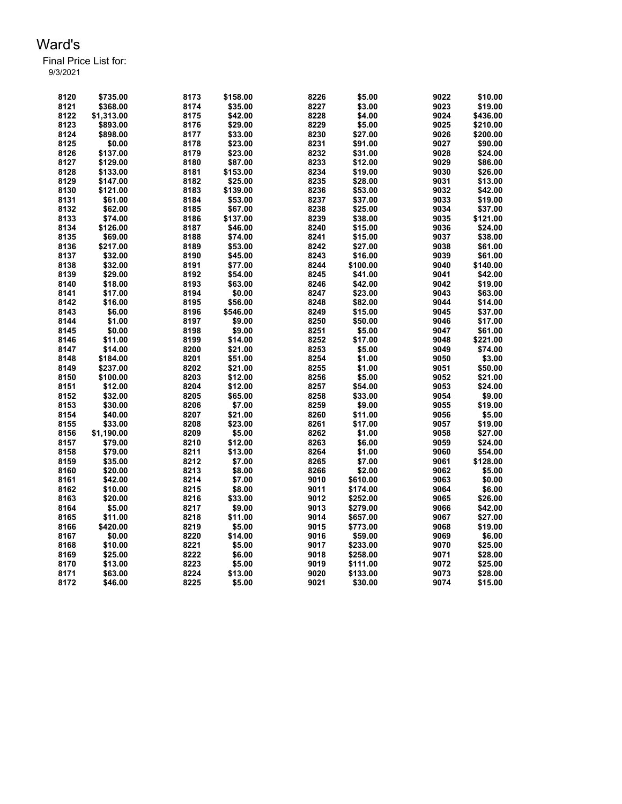| 8120 | \$735.00   | 8173 | \$158.00 | 8226 | \$5.00   | 9022 | \$10.00  |
|------|------------|------|----------|------|----------|------|----------|
| 8121 | \$368.00   | 8174 | \$35.00  | 8227 | \$3.00   | 9023 | \$19.00  |
| 8122 | \$1,313.00 | 8175 | \$42.00  | 8228 | \$4.00   | 9024 | \$436.00 |
| 8123 | \$893.00   | 8176 | \$29.00  | 8229 | \$5.00   | 9025 | \$210.00 |
| 8124 | \$898.00   | 8177 | \$33.00  | 8230 | \$27.00  | 9026 | \$200.00 |
| 8125 | \$0.00     | 8178 | \$23.00  | 8231 | \$91.00  | 9027 | \$90.00  |
| 8126 | \$137.00   | 8179 | \$23.00  | 8232 | \$31.00  | 9028 | \$24.00  |
| 8127 | \$129.00   | 8180 | \$87.00  | 8233 | \$12.00  | 9029 | \$86.00  |
| 8128 | \$133.00   | 8181 | \$153.00 | 8234 | \$19.00  | 9030 | \$26.00  |
| 8129 | \$147.00   | 8182 | \$25.00  | 8235 | \$28.00  | 9031 | \$13.00  |
| 8130 | \$121.00   | 8183 | \$139.00 | 8236 | \$53.00  | 9032 | \$42.00  |
| 8131 | \$61.00    | 8184 | \$53.00  | 8237 | \$37.00  | 9033 | \$19.00  |
| 8132 | \$62.00    | 8185 | \$67.00  | 8238 | \$25.00  | 9034 | \$37.00  |
| 8133 | \$74.00    | 8186 | \$137.00 | 8239 | \$38.00  | 9035 | \$121.00 |
| 8134 | \$126.00   | 8187 | \$46.00  | 8240 | \$15.00  | 9036 | \$24.00  |
| 8135 | \$69.00    | 8188 | \$74.00  | 8241 | \$15.00  | 9037 | \$38.00  |
| 8136 | \$217.00   | 8189 | \$53.00  | 8242 | \$27.00  | 9038 | \$61.00  |
| 8137 | \$32.00    | 8190 | \$45.00  | 8243 | \$16.00  | 9039 | \$61.00  |
| 8138 | \$32.00    | 8191 | \$77.00  | 8244 | \$100.00 | 9040 | \$140.00 |
| 8139 | \$29.00    | 8192 | \$54.00  | 8245 | \$41.00  | 9041 | \$42.00  |
| 8140 | \$18.00    | 8193 | \$63.00  | 8246 | \$42.00  | 9042 | \$19.00  |
| 8141 | \$17.00    | 8194 | \$0.00   | 8247 | \$23.00  | 9043 | \$63.00  |
| 8142 | \$16.00    | 8195 | \$56.00  | 8248 | \$82.00  | 9044 | \$14.00  |
| 8143 | \$6.00     | 8196 | \$546.00 | 8249 | \$15.00  | 9045 | \$37.00  |
| 8144 | \$1.00     | 8197 | \$9.00   | 8250 | \$50.00  | 9046 | \$17.00  |
| 8145 | \$0.00     | 8198 | \$9.00   | 8251 | \$5.00   | 9047 | \$61.00  |
| 8146 | \$11.00    | 8199 | \$14.00  | 8252 | \$17.00  | 9048 | \$221.00 |
| 8147 | \$14.00    | 8200 | \$21.00  | 8253 | \$5.00   | 9049 | \$74.00  |
| 8148 | \$184.00   | 8201 | \$51.00  | 8254 | \$1.00   | 9050 | \$3.00   |
| 8149 | \$237.00   | 8202 | \$21.00  | 8255 | \$1.00   | 9051 | \$50.00  |
| 8150 | \$100.00   | 8203 | \$12.00  | 8256 | \$5.00   | 9052 | \$21.00  |
| 8151 | \$12.00    | 8204 | \$12.00  | 8257 | \$54.00  | 9053 | \$24.00  |
| 8152 | \$32.00    | 8205 | \$65.00  | 8258 | \$33.00  | 9054 | \$9.00   |
| 8153 | \$30.00    | 8206 | \$7.00   | 8259 | \$9.00   | 9055 | \$19.00  |
| 8154 | \$40.00    | 8207 | \$21.00  | 8260 | \$11.00  | 9056 | \$5.00   |
| 8155 | \$33.00    | 8208 | \$23.00  | 8261 | \$17.00  | 9057 | \$19.00  |
| 8156 | \$1,190.00 | 8209 | \$5.00   | 8262 | \$1.00   | 9058 | \$27.00  |
| 8157 | \$79.00    | 8210 | \$12.00  | 8263 | \$6.00   | 9059 | \$24.00  |
| 8158 | \$79.00    | 8211 | \$13.00  | 8264 | \$1.00   | 9060 | \$54.00  |
| 8159 | \$35.00    | 8212 | \$7.00   | 8265 | \$7.00   | 9061 | \$128.00 |
| 8160 | \$20.00    | 8213 | \$8.00   | 8266 | \$2.00   | 9062 | \$5.00   |
| 8161 | \$42.00    | 8214 | \$7.00   | 9010 | \$610.00 | 9063 | \$0.00   |
| 8162 | \$10.00    | 8215 | \$8.00   | 9011 | \$174.00 | 9064 | \$6.00   |
| 8163 | \$20.00    | 8216 | \$33.00  | 9012 | \$252.00 | 9065 | \$26.00  |
| 8164 | \$5.00     | 8217 | \$9.00   | 9013 | \$279.00 | 9066 | \$42.00  |
| 8165 | \$11.00    | 8218 | \$11.00  | 9014 | \$657.00 | 9067 | \$27.00  |
| 8166 | \$420.00   | 8219 | \$5.00   | 9015 | \$773.00 | 9068 | \$19.00  |
| 8167 | \$0.00     | 8220 | \$14.00  | 9016 | \$59.00  | 9069 | \$6.00   |
| 8168 | \$10.00    | 8221 | \$5.00   | 9017 | \$233.00 | 9070 | \$25.00  |
| 8169 | \$25.00    | 8222 | \$6.00   | 9018 | \$258.00 | 9071 | \$28.00  |
| 8170 | \$13.00    | 8223 | \$5.00   | 9019 | \$111.00 | 9072 | \$25.00  |
| 8171 | \$63.00    | 8224 | \$13.00  | 9020 | \$133.00 | 9073 | \$28.00  |
| 8172 | \$46.00    | 8225 | \$5.00   | 9021 | \$30.00  | 9074 | \$15.00  |
|      |            |      |          |      |          |      |          |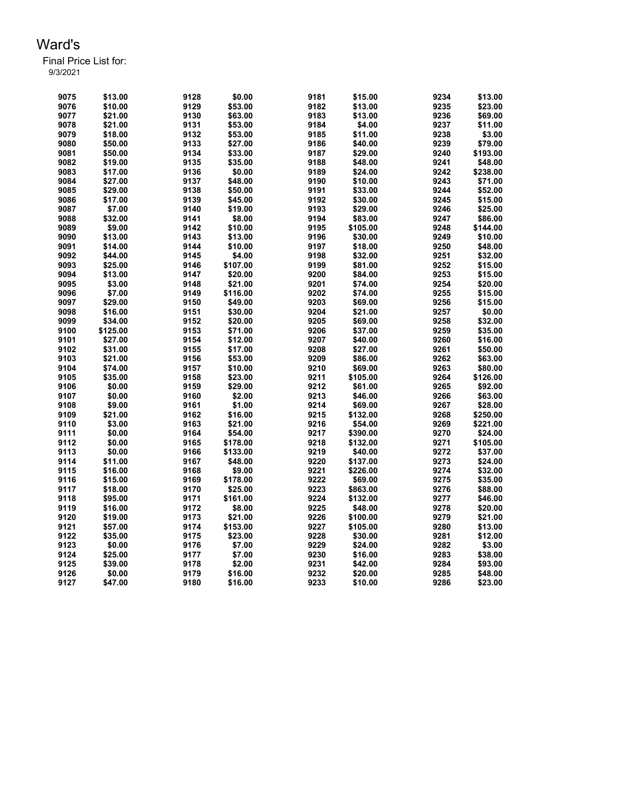| 9075 | \$13.00  | 9128 | \$0.00   | 9181 | \$15.00  | 9234 | \$13.00  |
|------|----------|------|----------|------|----------|------|----------|
| 9076 | \$10.00  | 9129 | \$53.00  | 9182 | \$13.00  | 9235 | \$23.00  |
| 9077 | \$21.00  | 9130 | \$63.00  | 9183 | \$13.00  | 9236 | \$69.00  |
| 9078 | \$21.00  | 9131 | \$53.00  | 9184 | \$4.00   | 9237 | \$11.00  |
| 9079 | \$18.00  | 9132 | \$53.00  | 9185 | \$11.00  | 9238 | \$3.00   |
| 9080 | \$50.00  | 9133 | \$27.00  | 9186 | \$40.00  | 9239 | \$79.00  |
| 9081 | \$50.00  | 9134 | \$33.00  | 9187 | \$29.00  | 9240 | \$193.00 |
| 9082 | \$19.00  | 9135 | \$35.00  | 9188 | \$48.00  | 9241 | \$48.00  |
| 9083 | \$17.00  | 9136 | \$0.00   | 9189 | \$24.00  | 9242 | \$238.00 |
| 9084 | \$27.00  | 9137 | \$48.00  | 9190 | \$10.00  | 9243 | \$71.00  |
| 9085 | \$29.00  | 9138 | \$50.00  | 9191 | \$33.00  | 9244 | \$52.00  |
| 9086 | \$17.00  | 9139 | \$45.00  | 9192 | \$30.00  | 9245 | \$15.00  |
| 9087 | \$7.00   | 9140 | \$19.00  | 9193 | \$29.00  | 9246 | \$25.00  |
| 9088 | \$32.00  | 9141 | \$8.00   | 9194 | \$83.00  | 9247 | \$86.00  |
| 9089 | \$9.00   | 9142 | \$10.00  | 9195 | \$105.00 | 9248 | \$144.00 |
| 9090 | \$13.00  | 9143 | \$13.00  | 9196 | \$30.00  | 9249 | \$10.00  |
| 9091 | \$14.00  | 9144 | \$10.00  | 9197 | \$18.00  | 9250 | \$48.00  |
| 9092 | \$44.00  | 9145 | \$4.00   | 9198 | \$32.00  | 9251 | \$32.00  |
| 9093 | \$25.00  | 9146 | \$107.00 | 9199 | \$81.00  | 9252 | \$15.00  |
| 9094 | \$13.00  | 9147 | \$20.00  | 9200 | \$84.00  | 9253 | \$15.00  |
| 9095 | \$3.00   | 9148 | \$21.00  | 9201 | \$74.00  | 9254 | \$20.00  |
| 9096 | \$7.00   | 9149 | \$116.00 | 9202 | \$74.00  | 9255 | \$15.00  |
| 9097 | \$29.00  | 9150 | \$49.00  | 9203 | \$69.00  | 9256 | \$15.00  |
| 9098 | \$16.00  | 9151 | \$30.00  | 9204 | \$21.00  | 9257 | \$0.00   |
| 9099 | \$34.00  | 9152 | \$20.00  | 9205 | \$69.00  | 9258 | \$32.00  |
| 9100 | \$125.00 | 9153 | \$71.00  | 9206 | \$37.00  | 9259 | \$35.00  |
| 9101 | \$27.00  | 9154 | \$12.00  | 9207 | \$40.00  | 9260 | \$16.00  |
| 9102 | \$31.00  | 9155 | \$17.00  | 9208 | \$27.00  | 9261 | \$50.00  |
| 9103 | \$21.00  | 9156 | \$53.00  | 9209 | \$86.00  | 9262 | \$63.00  |
| 9104 | \$74.00  | 9157 | \$10.00  | 9210 | \$69.00  | 9263 | \$80.00  |
| 9105 | \$35.00  | 9158 | \$23.00  | 9211 | \$105.00 | 9264 | \$126.00 |
| 9106 | \$0.00   | 9159 | \$29.00  | 9212 | \$61.00  | 9265 | \$92.00  |
| 9107 | \$0.00   | 9160 | \$2.00   | 9213 | \$46.00  | 9266 | \$63.00  |
| 9108 | \$9.00   | 9161 | \$1.00   | 9214 | \$69.00  | 9267 | \$28.00  |
| 9109 | \$21.00  | 9162 | \$16.00  | 9215 | \$132.00 | 9268 | \$250.00 |
| 9110 | \$3.00   | 9163 | \$21.00  | 9216 | \$54.00  | 9269 | \$221.00 |
| 9111 | \$0.00   | 9164 | \$54.00  | 9217 | \$390.00 | 9270 | \$24.00  |
| 9112 | \$0.00   | 9165 | \$178.00 | 9218 | \$132.00 | 9271 | \$105.00 |
| 9113 | \$0.00   | 9166 | \$133.00 | 9219 | \$40.00  | 9272 | \$37.00  |
| 9114 | \$11.00  | 9167 | \$48.00  | 9220 | \$137.00 | 9273 | \$24.00  |
| 9115 | \$16.00  | 9168 | \$9.00   | 9221 | \$226.00 | 9274 | \$32.00  |
| 9116 | \$15.00  | 9169 | \$178.00 | 9222 | \$69.00  | 9275 | \$35.00  |
| 9117 | \$18.00  | 9170 | \$25.00  | 9223 | \$863.00 | 9276 | \$88.00  |
| 9118 | \$95.00  | 9171 | \$161.00 | 9224 | \$132.00 | 9277 | \$46.00  |
| 9119 | \$16.00  | 9172 | \$8.00   | 9225 | \$48.00  | 9278 | \$20.00  |
| 9120 | \$19.00  | 9173 | \$21.00  | 9226 | \$100.00 | 9279 | \$21.00  |
| 9121 | \$57.00  | 9174 | \$153.00 | 9227 | \$105.00 | 9280 | \$13.00  |
| 9122 | \$35.00  | 9175 | \$23.00  | 9228 | \$30.00  | 9281 | \$12.00  |
| 9123 | \$0.00   | 9176 | \$7.00   | 9229 | \$24.00  | 9282 | \$3.00   |
| 9124 | \$25.00  | 9177 | \$7.00   | 9230 | \$16.00  | 9283 | \$38.00  |
| 9125 | \$39.00  | 9178 | \$2.00   | 9231 | \$42.00  | 9284 | \$93.00  |
| 9126 | \$0.00   | 9179 | \$16.00  | 9232 | \$20.00  | 9285 | \$48.00  |
| 9127 | \$47.00  | 9180 | \$16.00  | 9233 | \$10.00  | 9286 | \$23.00  |
|      |          |      |          |      |          |      |          |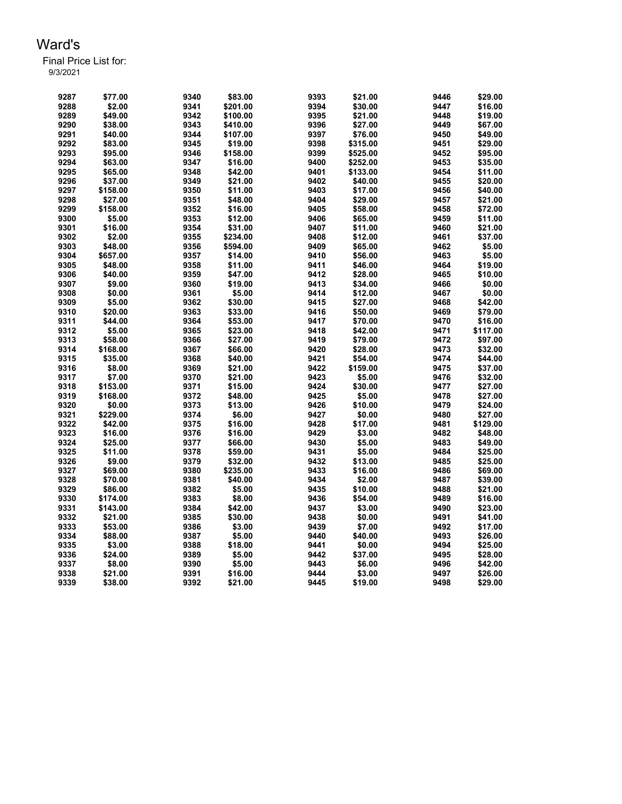| 9287 | \$77.00  | 9340 | \$83.00  | 9393 | \$21.00  | 9446 | \$29.00  |
|------|----------|------|----------|------|----------|------|----------|
| 9288 | \$2.00   | 9341 | \$201.00 | 9394 | \$30.00  | 9447 | \$16.00  |
| 9289 | \$49.00  | 9342 | \$100.00 | 9395 | \$21.00  | 9448 | \$19.00  |
| 9290 | \$38.00  | 9343 | \$410.00 | 9396 | \$27.00  | 9449 | \$67.00  |
| 9291 | \$40.00  | 9344 | \$107.00 | 9397 | \$76.00  | 9450 | \$49.00  |
| 9292 | \$83.00  | 9345 | \$19.00  | 9398 | \$315.00 | 9451 | \$29.00  |
| 9293 | \$95.00  | 9346 | \$158.00 | 9399 | \$525.00 | 9452 | \$95.00  |
| 9294 | \$63.00  | 9347 | \$16.00  | 9400 | \$252.00 | 9453 | \$35.00  |
| 9295 | \$65.00  | 9348 | \$42.00  | 9401 | \$133.00 | 9454 | \$11.00  |
| 9296 | \$37.00  | 9349 | \$21.00  | 9402 | \$40.00  | 9455 | \$20.00  |
| 9297 | \$158.00 | 9350 | \$11.00  | 9403 | \$17.00  | 9456 | \$40.00  |
| 9298 | \$27.00  | 9351 | \$48.00  | 9404 | \$29.00  | 9457 | \$21.00  |
| 9299 | \$158.00 | 9352 | \$16.00  | 9405 | \$58.00  | 9458 | \$72.00  |
| 9300 | \$5.00   | 9353 | \$12.00  | 9406 | \$65.00  | 9459 | \$11.00  |
| 9301 | \$16.00  | 9354 | \$31.00  | 9407 | \$11.00  | 9460 | \$21.00  |
| 9302 | \$2.00   | 9355 | \$234.00 | 9408 | \$12.00  | 9461 | \$37.00  |
| 9303 | \$48.00  | 9356 | \$594.00 | 9409 | \$65.00  | 9462 | \$5.00   |
| 9304 | \$657.00 | 9357 | \$14.00  | 9410 | \$56.00  | 9463 | \$5.00   |
| 9305 | \$48.00  | 9358 | \$11.00  | 9411 | \$46.00  | 9464 | \$19.00  |
| 9306 | \$40.00  | 9359 | \$47.00  | 9412 | \$28.00  | 9465 | \$10.00  |
| 9307 | \$9.00   | 9360 | \$19.00  | 9413 | \$34.00  | 9466 | \$0.00   |
| 9308 | \$0.00   | 9361 | \$5.00   | 9414 | \$12.00  | 9467 | \$0.00   |
| 9309 | \$5.00   | 9362 | \$30.00  | 9415 | \$27.00  | 9468 | \$42.00  |
| 9310 | \$20.00  | 9363 | \$33.00  | 9416 | \$50.00  | 9469 | \$79.00  |
| 9311 | \$44.00  | 9364 | \$53.00  | 9417 | \$70.00  | 9470 | \$16.00  |
| 9312 | \$5.00   | 9365 | \$23.00  | 9418 | \$42.00  | 9471 | \$117.00 |
| 9313 | \$58.00  | 9366 | \$27.00  | 9419 | \$79.00  | 9472 | \$97.00  |
| 9314 | \$168.00 | 9367 | \$66.00  | 9420 | \$28.00  | 9473 | \$32.00  |
| 9315 | \$35.00  | 9368 | \$40.00  | 9421 | \$54.00  | 9474 | \$44.00  |
| 9316 | \$8.00   | 9369 | \$21.00  | 9422 | \$159.00 | 9475 | \$37.00  |
| 9317 | \$7.00   | 9370 | \$21.00  | 9423 | \$5.00   | 9476 | \$32.00  |
| 9318 | \$153.00 | 9371 | \$15.00  | 9424 | \$30.00  | 9477 | \$27.00  |
| 9319 | \$168.00 | 9372 | \$48.00  | 9425 | \$5.00   | 9478 | \$27.00  |
| 9320 | \$0.00   | 9373 | \$13.00  | 9426 | \$10.00  | 9479 | \$24.00  |
| 9321 | \$229.00 | 9374 | \$6.00   | 9427 | \$0.00   | 9480 | \$27.00  |
| 9322 | \$42.00  | 9375 | \$16.00  | 9428 | \$17.00  | 9481 | \$129.00 |
| 9323 | \$16.00  | 9376 | \$16.00  | 9429 | \$3.00   | 9482 | \$48.00  |
| 9324 | \$25.00  | 9377 | \$66.00  | 9430 | \$5.00   | 9483 | \$49.00  |
| 9325 | \$11.00  | 9378 | \$59.00  | 9431 | \$5.00   | 9484 | \$25.00  |
| 9326 | \$9.00   | 9379 | \$32.00  | 9432 | \$13.00  | 9485 | \$25.00  |
| 9327 | \$69.00  | 9380 | \$235.00 | 9433 | \$16.00  | 9486 | \$69.00  |
| 9328 | \$70.00  | 9381 | \$40.00  | 9434 | \$2.00   | 9487 | \$39.00  |
| 9329 | \$86.00  | 9382 | \$5.00   | 9435 | \$10.00  | 9488 | \$21.00  |
| 9330 | \$174.00 | 9383 | \$8.00   | 9436 | \$54.00  | 9489 | \$16.00  |
| 9331 | \$143.00 | 9384 | \$42.00  | 9437 | \$3.00   | 9490 | \$23.00  |
| 9332 | \$21.00  | 9385 | \$30.00  | 9438 | \$0.00   | 9491 | \$41.00  |
| 9333 | \$53.00  | 9386 | \$3.00   | 9439 | \$7.00   | 9492 | \$17.00  |
| 9334 | \$88.00  | 9387 | \$5.00   | 9440 | \$40.00  | 9493 | \$26.00  |
| 9335 | \$3.00   | 9388 | \$18.00  | 9441 | \$0.00   | 9494 | \$25.00  |
| 9336 | \$24.00  | 9389 | \$5.00   | 9442 | \$37.00  | 9495 | \$28.00  |
| 9337 | \$8.00   | 9390 | \$5.00   | 9443 | \$6.00   | 9496 | \$42.00  |
| 9338 | \$21.00  | 9391 | \$16.00  | 9444 | \$3.00   | 9497 | \$26.00  |
| 9339 | \$38.00  | 9392 | \$21.00  | 9445 | \$19.00  | 9498 |          |
|      |          |      |          |      |          |      | \$29.00  |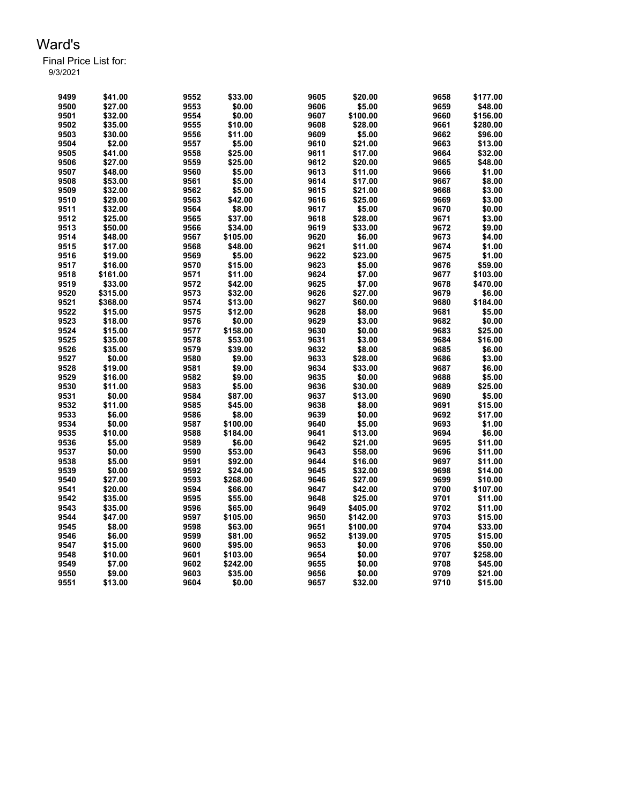| 9499 | \$41.00  | 9552 | \$33.00  | 9605 | \$20.00  | 9658 | \$177.00 |
|------|----------|------|----------|------|----------|------|----------|
| 9500 | \$27.00  | 9553 | \$0.00   | 9606 | \$5.00   | 9659 | \$48.00  |
| 9501 | \$32.00  | 9554 | \$0.00   | 9607 | \$100.00 | 9660 | \$156.00 |
| 9502 | \$35.00  | 9555 | \$10.00  | 9608 | \$28.00  | 9661 | \$280.00 |
| 9503 | \$30.00  | 9556 | \$11.00  | 9609 | \$5.00   | 9662 | \$96.00  |
| 9504 | \$2.00   | 9557 | \$5.00   | 9610 | \$21.00  | 9663 | \$13.00  |
| 9505 | \$41.00  | 9558 | \$25.00  | 9611 | \$17.00  | 9664 | \$32.00  |
| 9506 | \$27.00  | 9559 | \$25.00  | 9612 | \$20.00  | 9665 | \$48.00  |
| 9507 | \$48.00  | 9560 | \$5.00   | 9613 | \$11.00  | 9666 | \$1.00   |
| 9508 | \$53.00  | 9561 | \$5.00   | 9614 | \$17.00  | 9667 | \$8.00   |
| 9509 | \$32.00  | 9562 | \$5.00   | 9615 | \$21.00  | 9668 | \$3.00   |
| 9510 | \$29.00  | 9563 | \$42.00  | 9616 | \$25.00  | 9669 | \$3.00   |
| 9511 | \$32.00  | 9564 | \$8.00   | 9617 | \$5.00   | 9670 | \$0.00   |
| 9512 | \$25.00  | 9565 | \$37.00  | 9618 | \$28.00  | 9671 | \$3.00   |
| 9513 | \$50.00  | 9566 | \$34.00  | 9619 | \$33.00  | 9672 | \$9.00   |
| 9514 | \$48.00  | 9567 | \$105.00 | 9620 | \$6.00   | 9673 | \$4.00   |
| 9515 | \$17.00  | 9568 | \$48.00  | 9621 | \$11.00  | 9674 | \$1.00   |
| 9516 | \$19.00  | 9569 | \$5.00   | 9622 | \$23.00  | 9675 | \$1.00   |
| 9517 | \$16.00  | 9570 | \$15.00  | 9623 | \$5.00   | 9676 | \$59.00  |
| 9518 | \$161.00 | 9571 | \$11.00  | 9624 | \$7.00   | 9677 | \$103.00 |
| 9519 | \$33.00  | 9572 | \$42.00  | 9625 | \$7.00   | 9678 | \$470.00 |
| 9520 | \$315.00 | 9573 | \$32.00  | 9626 | \$27.00  | 9679 | \$6.00   |
| 9521 | \$368.00 | 9574 | \$13.00  | 9627 | \$60.00  | 9680 | \$184.00 |
| 9522 | \$15.00  | 9575 | \$12.00  | 9628 | \$8.00   | 9681 | \$5.00   |
| 9523 | \$18.00  | 9576 | \$0.00   | 9629 | \$3.00   | 9682 | \$0.00   |
| 9524 | \$15.00  | 9577 | \$158.00 | 9630 | \$0.00   | 9683 | \$25.00  |
| 9525 | \$35.00  | 9578 | \$53.00  | 9631 | \$3.00   | 9684 | \$16.00  |
| 9526 | \$35.00  | 9579 | \$39.00  | 9632 | \$8.00   | 9685 | \$6.00   |
| 9527 | \$0.00   | 9580 | \$9.00   | 9633 | \$28.00  | 9686 | \$3.00   |
| 9528 | \$19.00  | 9581 | \$9.00   | 9634 | \$33.00  | 9687 | \$6.00   |
| 9529 | \$16.00  | 9582 | \$9.00   | 9635 | \$0.00   | 9688 | \$5.00   |
| 9530 | \$11.00  | 9583 | \$5.00   | 9636 | \$30.00  | 9689 | \$25.00  |
| 9531 | \$0.00   | 9584 | \$87.00  | 9637 | \$13.00  | 9690 | \$5.00   |
| 9532 | \$11.00  | 9585 | \$45.00  | 9638 | \$8.00   | 9691 | \$15.00  |
| 9533 | \$6.00   | 9586 | \$8.00   | 9639 | \$0.00   | 9692 | \$17.00  |
| 9534 | \$0.00   | 9587 | \$100.00 | 9640 | \$5.00   | 9693 | \$1.00   |
| 9535 | \$10.00  | 9588 | \$184.00 | 9641 | \$13.00  | 9694 | \$6.00   |
| 9536 | \$5.00   | 9589 | \$6.00   | 9642 | \$21.00  | 9695 | \$11.00  |
| 9537 | \$0.00   | 9590 | \$53.00  | 9643 | \$58.00  | 9696 | \$11.00  |
| 9538 | \$5.00   | 9591 | \$92.00  | 9644 | \$16.00  | 9697 | \$11.00  |
|      |          | 9592 |          | 9645 |          |      |          |
| 9539 | \$0.00   |      | \$24.00  |      | \$32.00  | 9698 | \$14.00  |
| 9540 | \$27.00  | 9593 | \$268.00 | 9646 | \$27.00  | 9699 | \$10.00  |
| 9541 | \$20.00  | 9594 | \$66.00  | 9647 | \$42.00  | 9700 | \$107.00 |
| 9542 | \$35.00  | 9595 | \$55.00  | 9648 | \$25.00  | 9701 | \$11.00  |
| 9543 | \$35.00  | 9596 | \$65.00  | 9649 | \$405.00 | 9702 | \$11.00  |
| 9544 | \$47.00  | 9597 | \$105.00 | 9650 | \$142.00 | 9703 | \$15.00  |
| 9545 | \$8.00   | 9598 | \$63.00  | 9651 | \$100.00 | 9704 | \$33.00  |
| 9546 | \$6.00   | 9599 | \$81.00  | 9652 | \$139.00 | 9705 | \$15.00  |
| 9547 | \$15.00  | 9600 | \$95.00  | 9653 | \$0.00   | 9706 | \$50.00  |
| 9548 | \$10.00  | 9601 | \$103.00 | 9654 | \$0.00   | 9707 | \$258.00 |
| 9549 | \$7.00   | 9602 | \$242.00 | 9655 | \$0.00   | 9708 | \$45.00  |
| 9550 | \$9.00   | 9603 | \$35.00  | 9656 | \$0.00   | 9709 | \$21.00  |
| 9551 | \$13.00  | 9604 | \$0.00   | 9657 | \$32.00  | 9710 | \$15.00  |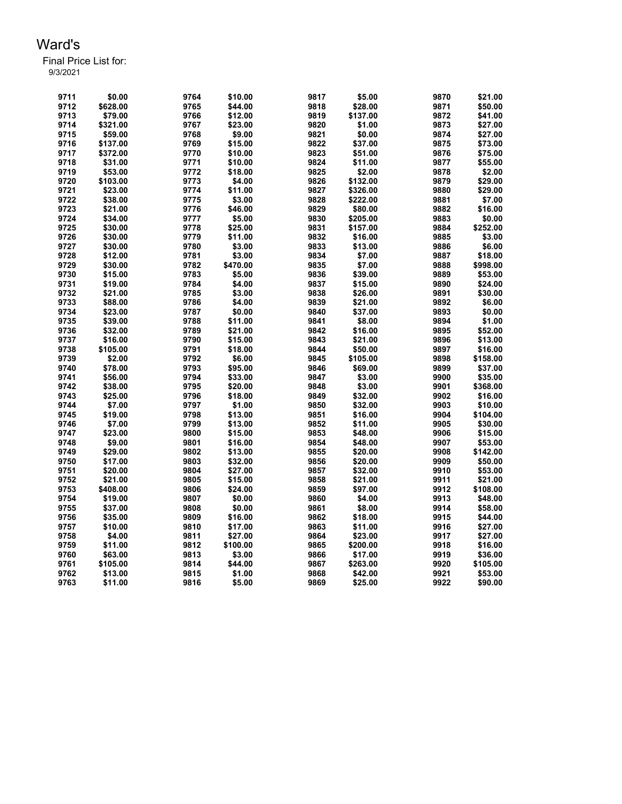| 9711 | \$0.00   | 9764 | \$10.00  | 9817 | \$5.00   | 9870 | \$21.00  |
|------|----------|------|----------|------|----------|------|----------|
| 9712 | \$628.00 | 9765 | \$44.00  | 9818 | \$28.00  | 9871 | \$50.00  |
| 9713 | \$79.00  | 9766 | \$12.00  | 9819 | \$137.00 | 9872 | \$41.00  |
| 9714 | \$321.00 | 9767 | \$23.00  | 9820 | \$1.00   | 9873 | \$27.00  |
| 9715 | \$59.00  | 9768 | \$9.00   | 9821 | \$0.00   | 9874 | \$27.00  |
| 9716 | \$137.00 | 9769 | \$15.00  | 9822 | \$37.00  | 9875 | \$73.00  |
| 9717 | \$372.00 | 9770 | \$10.00  | 9823 | \$51.00  | 9876 | \$75.00  |
| 9718 | \$31.00  | 9771 | \$10.00  | 9824 | \$11.00  | 9877 | \$55.00  |
| 9719 | \$53.00  | 9772 | \$18.00  | 9825 | \$2.00   | 9878 | \$2.00   |
| 9720 | \$103.00 | 9773 | \$4.00   | 9826 | \$132.00 | 9879 | \$29.00  |
| 9721 | \$23.00  | 9774 | \$11.00  | 9827 | \$326.00 | 9880 | \$29.00  |
| 9722 | \$38.00  | 9775 | \$3.00   | 9828 | \$222.00 | 9881 | \$7.00   |
| 9723 | \$21.00  | 9776 | \$46.00  | 9829 | \$80.00  | 9882 | \$16.00  |
| 9724 | \$34.00  | 9777 | \$5.00   | 9830 | \$205.00 | 9883 | \$0.00   |
| 9725 | \$30.00  | 9778 | \$25.00  | 9831 | \$157.00 | 9884 | \$252.00 |
| 9726 | \$30.00  | 9779 | \$11.00  | 9832 | \$16.00  | 9885 | \$3.00   |
| 9727 | \$30.00  | 9780 | \$3.00   | 9833 | \$13.00  | 9886 | \$6.00   |
| 9728 | \$12.00  | 9781 | \$3.00   | 9834 | \$7.00   | 9887 | \$18.00  |
| 9729 | \$30.00  | 9782 | \$470.00 | 9835 | \$7.00   | 9888 | \$998.00 |
| 9730 | \$15.00  | 9783 | \$5.00   | 9836 | \$39.00  | 9889 | \$53.00  |
| 9731 | \$19.00  | 9784 | \$4.00   | 9837 | \$15.00  | 9890 | \$24.00  |
| 9732 | \$21.00  | 9785 | \$3.00   | 9838 | \$26.00  | 9891 | \$30.00  |
| 9733 | \$88.00  | 9786 | \$4.00   | 9839 | \$21.00  | 9892 | \$6.00   |
| 9734 | \$23.00  | 9787 | \$0.00   | 9840 | \$37.00  | 9893 | \$0.00   |
| 9735 | \$39.00  | 9788 | \$11.00  | 9841 | \$8.00   | 9894 | \$1.00   |
| 9736 | \$32.00  | 9789 | \$21.00  | 9842 | \$16.00  | 9895 | \$52.00  |
| 9737 | \$16.00  | 9790 | \$15.00  | 9843 | \$21.00  | 9896 | \$13.00  |
| 9738 | \$105.00 | 9791 | \$18.00  | 9844 | \$50.00  | 9897 | \$16.00  |
| 9739 | \$2.00   | 9792 | \$6.00   | 9845 | \$105.00 | 9898 | \$158.00 |
| 9740 | \$78.00  | 9793 | \$95.00  | 9846 | \$69.00  | 9899 | \$37.00  |
| 9741 | \$56.00  | 9794 | \$33.00  | 9847 | \$3.00   | 9900 | \$35.00  |
| 9742 | \$38.00  | 9795 | \$20.00  | 9848 | \$3.00   | 9901 | \$368.00 |
| 9743 | \$25.00  | 9796 | \$18.00  | 9849 | \$32.00  | 9902 | \$16.00  |
| 9744 | \$7.00   | 9797 | \$1.00   | 9850 | \$32.00  | 9903 | \$10.00  |
| 9745 | \$19.00  | 9798 | \$13.00  | 9851 | \$16.00  | 9904 | \$104.00 |
| 9746 | \$7.00   | 9799 | \$13.00  | 9852 | \$11.00  | 9905 | \$30.00  |
| 9747 | \$23.00  | 9800 | \$15.00  | 9853 | \$48.00  | 9906 | \$15.00  |
| 9748 | \$9.00   | 9801 | \$16.00  | 9854 | \$48.00  | 9907 | \$53.00  |
| 9749 | \$29.00  | 9802 | \$13.00  | 9855 | \$20.00  | 9908 | \$142.00 |
| 9750 | \$17.00  | 9803 | \$32.00  | 9856 | \$20.00  | 9909 | \$50.00  |
| 9751 | \$20.00  | 9804 | \$27.00  | 9857 | \$32.00  | 9910 | \$53.00  |
| 9752 | \$21.00  | 9805 | \$15.00  | 9858 | \$21.00  | 9911 | \$21.00  |
| 9753 | \$408.00 | 9806 | \$24.00  | 9859 | \$97.00  | 9912 | \$108.00 |
| 9754 | \$19.00  | 9807 | \$0.00   | 9860 | \$4.00   | 9913 | \$48.00  |
| 9755 | \$37.00  | 9808 | \$0.00   | 9861 | \$8.00   | 9914 | \$58.00  |
| 9756 | \$35.00  | 9809 | \$16.00  | 9862 | \$18.00  | 9915 | \$44.00  |
| 9757 | \$10.00  | 9810 | \$17.00  | 9863 | \$11.00  | 9916 | \$27.00  |
| 9758 | \$4.00   | 9811 | \$27.00  | 9864 | \$23.00  | 9917 | \$27.00  |
| 9759 | \$11.00  | 9812 | \$100.00 | 9865 | \$200.00 | 9918 | \$16.00  |
| 9760 | \$63.00  | 9813 | \$3.00   | 9866 | \$17.00  | 9919 | \$36.00  |
| 9761 | \$105.00 | 9814 | \$44.00  | 9867 | \$263.00 | 9920 | \$105.00 |
| 9762 | \$13.00  | 9815 | \$1.00   | 9868 | \$42.00  | 9921 | \$53.00  |
| 9763 | \$11.00  | 9816 | \$5.00   | 9869 | \$25.00  | 9922 | \$90.00  |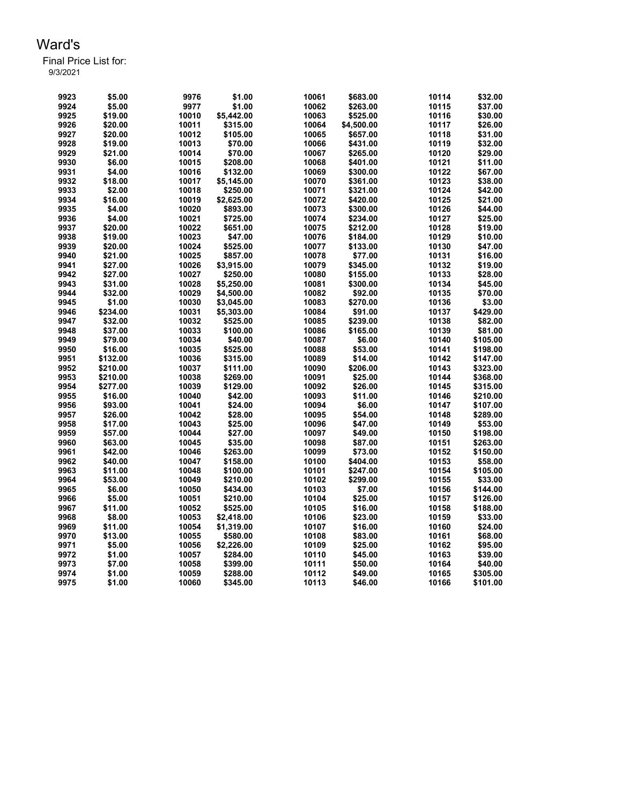Final Price List for: 9/3/2021

> \$5.00 9976 \$1.00 10061 \$683.00 10114 \$32.00 \$5.00 9977 \$1.00 10062 \$263.00 10115 \$37.00 \$19.00 10010 \$5,442.00 10063 \$525.00 10116 \$30.00 \$20.00 10011 \$315.00 10064 \$4,500.00 10117 \$26.00 \$20.00 10012 \$105.00 10065 \$657.00 10118 \$31.00 \$19.00 10013 \$70.00 10066 \$431.00 10119 \$32.00 \$21.00 10014 \$70.00 10067 \$265.00 10120 \$29.00 \$6.00 10015 \$208.00 10068 \$401.00 10121 \$11.00 \$4.00 10016 \$132.00 10069 \$300.00 10122 \$67.00 \$18.00 10017 \$5,145.00 10070 \$361.00 10123 \$38.00 \$2.00 10018 \$250.00 10071 \$321.00 10124 \$42.00 \$16.00 10019 \$2,625.00 10072 \$420.00 10125 \$21.00 \$4.00 10020 \$893.00 10073 \$300.00 10126 \$44.00 \$4.00 10021 \$725.00 10074 \$234.00 10127 \$25.00 \$20.00 10022 \$651.00 10075 \$212.00 10128 \$19.00 \$19.00 10023 \$47.00 10076 \$184.00 10129 \$10.00 \$20.00 10024 \$525.00 10077 \$133.00 10130 \$47.00 \$21.00 10025 \$857.00 10078 \$77.00 10131 \$16.00 \$27.00 10026 \$3,915.00 10079 \$345.00 10132 \$19.00 \$27.00 10027 \$250.00 10080 \$155.00 10133 \$28.00 \$31.00 10028 \$5,250.00 10081 \$300.00 10134 \$45.00 \$32.00 10029 \$4,500.00 10082 \$92.00 10135 \$70.00 \$1.00 10030 \$3,045.00 10083 \$270.00 10136 \$3.00 \$234.00 10031 \$5,303.00 10084 \$91.00 10137 \$429.00 \$32.00 10032 \$525.00 10085 \$239.00 10138 \$82.00 \$37.00 10033 \$100.00 10086 \$165.00 10139 \$81.00 \$79.00 10034 \$40.00 10087 \$6.00 10140 \$105.00 \$16.00 10035 \$525.00 10088 \$53.00 10141 \$198.00 \$132.00 10036 \$315.00 10089 \$14.00 10142 \$147.00 \$210.00 10037 \$111.00 10090 \$206.00 10143 \$323.00 \$210.00 10038 \$269.00 10091 \$25.00 10144 \$368.00 \$277.00 10039 \$129.00 10092 \$26.00 10145 \$315.00 \$16.00 10040 \$42.00 10093 \$11.00 10146 \$210.00 \$93.00 10041 \$24.00 10094 \$6.00 10147 \$107.00 \$26.00 10042 \$28.00 10095 \$54.00 10148 \$289.00 \$17.00 10043 \$25.00 10096 \$47.00 10149 \$53.00 \$57.00 10044 \$27.00 10097 \$49.00 10150 \$198.00 \$63.00 10045 \$35.00 10098 \$87.00 10151 \$263.00 \$42.00 10046 \$263.00 10099 \$73.00 10152 \$150.00 \$40.00 10047 \$158.00 10100 \$404.00 10153 \$58.00 \$11.00 10048 \$100.00 10101 \$247.00 10154 \$105.00 \$53.00 10049 \$210.00 10102 \$299.00 10155 \$33.00 \$6.00 10050 \$434.00 10103 \$7.00 10156 \$144.00 \$5.00 10051 \$210.00 10104 \$25.00 10157 \$126.00 \$11.00 10052 \$525.00 10105 \$16.00 10158 \$188.00 \$8.00 10053 \$2,418.00 10106 \$23.00 10159 \$33.00 \$11.00 10054 \$1,319.00 10107 \$16.00 10160 \$24.00 \$13.00 10055 \$580.00 10108 \$83.00 10161 \$68.00 \$5.00 10056 \$2,226.00 10109 \$25.00 10162 \$95.00 \$1.00 10057 \$284.00 10110 \$45.00 10163 \$39.00 \$7.00 10058 \$399.00 10111 \$50.00 10164 \$40.00 \$1.00 10059 \$288.00 10112 \$49.00 10165 \$305.00 \$1.00 10060 \$345.00 10113 \$46.00 10166 \$101.00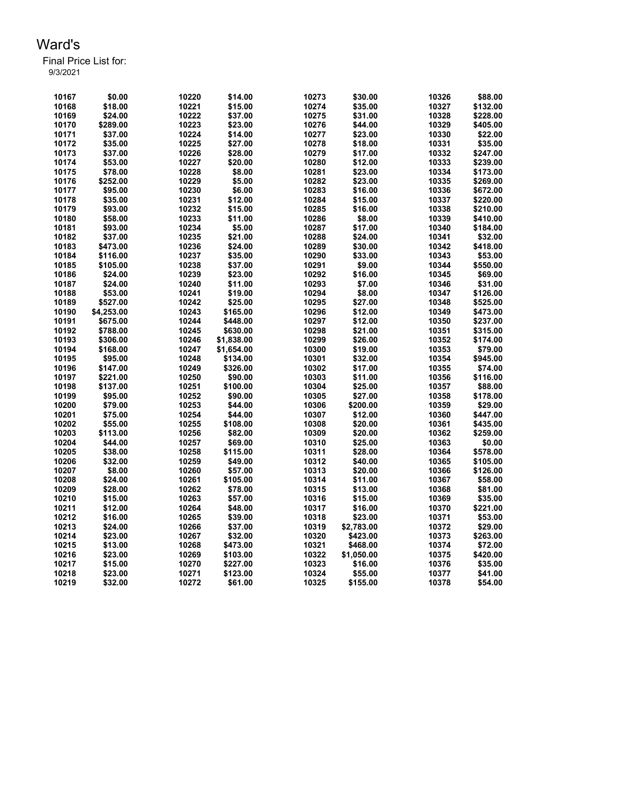| 10167 | \$0.00     | 10220 | \$14.00    | 10273 | \$30.00    | 10326 | \$88.00  |
|-------|------------|-------|------------|-------|------------|-------|----------|
| 10168 | \$18.00    | 10221 | \$15.00    | 10274 | \$35.00    | 10327 | \$132.00 |
| 10169 | \$24.00    | 10222 | \$37.00    | 10275 | \$31.00    | 10328 | \$228.00 |
| 10170 | \$289.00   | 10223 | \$23.00    | 10276 | \$44.00    | 10329 | \$405.00 |
| 10171 | \$37.00    | 10224 | \$14.00    | 10277 | \$23.00    | 10330 | \$22.00  |
| 10172 | \$35.00    | 10225 | \$27.00    | 10278 | \$18.00    | 10331 | \$35.00  |
| 10173 | \$37.00    | 10226 | \$28.00    | 10279 | \$17.00    | 10332 | \$247.00 |
| 10174 | \$53.00    | 10227 | \$20.00    | 10280 | \$12.00    | 10333 | \$239.00 |
| 10175 | \$78.00    | 10228 | \$8.00     | 10281 | \$23.00    | 10334 | \$173.00 |
| 10176 | \$252.00   | 10229 | \$5.00     | 10282 | \$23.00    | 10335 | \$269.00 |
| 10177 | \$95.00    | 10230 | \$6.00     | 10283 | \$16.00    | 10336 | \$672.00 |
| 10178 | \$35.00    | 10231 | \$12.00    | 10284 | \$15.00    | 10337 | \$220.00 |
| 10179 | \$93.00    | 10232 | \$15.00    | 10285 | \$16.00    | 10338 | \$210.00 |
| 10180 | \$58.00    | 10233 | \$11.00    | 10286 | \$8.00     | 10339 | \$410.00 |
| 10181 | \$93.00    | 10234 | \$5.00     | 10287 | \$17.00    | 10340 | \$184.00 |
| 10182 | \$37.00    | 10235 | \$21.00    | 10288 | \$24.00    | 10341 | \$32.00  |
| 10183 | \$473.00   | 10236 | \$24.00    | 10289 | \$30.00    | 10342 | \$418.00 |
| 10184 | \$116.00   | 10237 | \$35.00    | 10290 | \$33.00    | 10343 | \$53.00  |
| 10185 | \$105.00   | 10238 | \$37.00    | 10291 | \$9.00     | 10344 | \$550.00 |
| 10186 | \$24.00    | 10239 | \$23.00    | 10292 | \$16.00    | 10345 | \$69.00  |
| 10187 | \$24.00    | 10240 | \$11.00    | 10293 | \$7.00     | 10346 | \$31.00  |
| 10188 | \$53.00    | 10241 | \$19.00    | 10294 | \$8.00     | 10347 | \$126.00 |
| 10189 | \$527.00   | 10242 | \$25.00    | 10295 | \$27.00    | 10348 | \$525.00 |
| 10190 | \$4,253.00 | 10243 | \$165.00   | 10296 | \$12.00    | 10349 | \$473.00 |
| 10191 | \$675.00   | 10244 | \$448.00   | 10297 | \$12.00    | 10350 | \$237.00 |
| 10192 | \$788.00   | 10245 | \$630.00   | 10298 | \$21.00    | 10351 | \$315.00 |
| 10193 | \$306.00   | 10246 | \$1,838.00 | 10299 | \$26.00    | 10352 | \$174.00 |
| 10194 | \$168.00   | 10247 | \$1,654.00 | 10300 | \$19.00    | 10353 | \$79.00  |
| 10195 | \$95.00    | 10248 | \$134.00   | 10301 | \$32.00    | 10354 | \$945.00 |
| 10196 | \$147.00   | 10249 | \$326.00   | 10302 | \$17.00    | 10355 | \$74.00  |
| 10197 | \$221.00   | 10250 | \$90.00    | 10303 | \$11.00    | 10356 | \$116.00 |
| 10198 | \$137.00   | 10251 | \$100.00   | 10304 | \$25.00    | 10357 | \$88.00  |
| 10199 | \$95.00    | 10252 | \$90.00    | 10305 | \$27.00    | 10358 | \$178.00 |
| 10200 | \$79.00    | 10253 | \$44.00    | 10306 | \$200.00   | 10359 | \$29.00  |
| 10201 | \$75.00    | 10254 | \$44.00    | 10307 | \$12.00    | 10360 | \$447.00 |
| 10202 | \$55.00    | 10255 | \$108.00   | 10308 | \$20.00    | 10361 | \$435.00 |
| 10203 | \$113.00   | 10256 | \$82.00    | 10309 | \$20.00    | 10362 | \$259.00 |
| 10204 | \$44.00    | 10257 | \$69.00    | 10310 | \$25.00    | 10363 | \$0.00   |
| 10205 | \$38.00    | 10258 | \$115.00   | 10311 | \$28.00    | 10364 | \$578.00 |
| 10206 | \$32.00    | 10259 | \$49.00    | 10312 | \$40.00    | 10365 | \$105.00 |
| 10207 | \$8.00     | 10260 | \$57.00    | 10313 | \$20.00    | 10366 | \$126.00 |
| 10208 | \$24.00    | 10261 | \$105.00   | 10314 | \$11.00    | 10367 | \$58.00  |
| 10209 | \$28.00    | 10262 | \$78.00    | 10315 | \$13.00    | 10368 | \$81.00  |
| 10210 | \$15.00    | 10263 | \$57.00    | 10316 | \$15.00    | 10369 | \$35.00  |
| 10211 | \$12.00    | 10264 | \$48.00    | 10317 | \$16.00    | 10370 | \$221.00 |
| 10212 | \$16.00    | 10265 | \$39.00    | 10318 | \$23.00    | 10371 | \$53.00  |
| 10213 | \$24.00    | 10266 | \$37.00    | 10319 | \$2,783.00 | 10372 | \$29.00  |
| 10214 | \$23.00    | 10267 | \$32.00    | 10320 | \$423.00   | 10373 | \$263.00 |
| 10215 | \$13.00    | 10268 | \$473.00   | 10321 | \$468.00   | 10374 | \$72.00  |
| 10216 | \$23.00    | 10269 | \$103.00   | 10322 | \$1,050.00 | 10375 | \$420.00 |
| 10217 | \$15.00    | 10270 | \$227.00   | 10323 | \$16.00    | 10376 | \$35.00  |
| 10218 | \$23.00    | 10271 | \$123.00   | 10324 | \$55.00    | 10377 | \$41.00  |
| 10219 |            | 10272 |            | 10325 |            | 10378 |          |
|       | \$32.00    |       | \$61.00    |       | \$155.00   |       | \$54.00  |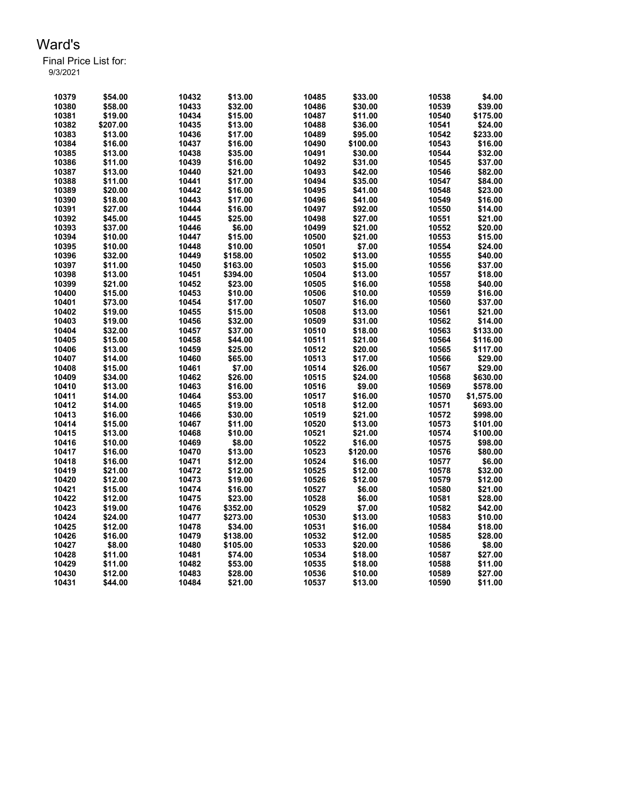| 10379 | \$54.00  | 10432 | \$13.00  | 10485          | \$33.00             | 10538 | \$4.00               |
|-------|----------|-------|----------|----------------|---------------------|-------|----------------------|
| 10380 | \$58.00  | 10433 | \$32.00  | 10486          | \$30.00             | 10539 | \$39.00              |
| 10381 | \$19.00  | 10434 | \$15.00  | 10487          | \$11.00             | 10540 | \$175.00             |
| 10382 | \$207.00 | 10435 | \$13.00  | 10488          | \$36.00             | 10541 | \$24.00              |
| 10383 | \$13.00  | 10436 | \$17.00  | 10489          | \$95.00             | 10542 | \$233.00             |
| 10384 | \$16.00  | 10437 | \$16.00  | 10490          | \$100.00            | 10543 | \$16.00              |
| 10385 | \$13.00  | 10438 | \$35.00  | 10491          | \$30.00             | 10544 | \$32.00              |
| 10386 | \$11.00  | 10439 | \$16.00  | 10492          | \$31.00             | 10545 | \$37.00              |
| 10387 | \$13.00  | 10440 | \$21.00  | 10493          | \$42.00             | 10546 | \$82.00              |
| 10388 | \$11.00  | 10441 | \$17.00  | 10494          | \$35.00             | 10547 | \$84.00              |
| 10389 | \$20.00  | 10442 | \$16.00  | 10495          | \$41.00             | 10548 | \$23.00              |
| 10390 | \$18.00  | 10443 | \$17.00  | 10496          | \$41.00             | 10549 | \$16.00              |
| 10391 | \$27.00  | 10444 | \$16.00  | 10497          | \$92.00             | 10550 | \$14.00              |
| 10392 | \$45.00  | 10445 | \$25.00  | 10498          | \$27.00             | 10551 | \$21.00              |
| 10393 | \$37.00  | 10446 | \$6.00   | 10499          | \$21.00             | 10552 | \$20.00              |
| 10394 | \$10.00  | 10447 | \$15.00  | 10500          | \$21.00             | 10553 | \$15.00              |
| 10395 | \$10.00  | 10448 | \$10.00  | 10501          | \$7.00              | 10554 | \$24.00              |
| 10396 | \$32.00  | 10449 | \$158.00 | 10502          | \$13.00             | 10555 | \$40.00              |
| 10397 | \$11.00  | 10450 | \$163.00 | 10503          | \$15.00             | 10556 | \$37.00              |
| 10398 | \$13.00  | 10451 | \$394.00 | 10504          | \$13.00             | 10557 | \$18.00              |
| 10399 | \$21.00  | 10452 | \$23.00  | 10505          | \$16.00             | 10558 | \$40.00              |
| 10400 | \$15.00  | 10453 | \$10.00  | 10506          | \$10.00             | 10559 | \$16.00              |
| 10401 | \$73.00  | 10454 | \$17.00  | 10507          | \$16.00             | 10560 | \$37.00              |
| 10402 | \$19.00  | 10455 | \$15.00  | 10508          | \$13.00             | 10561 | \$21.00              |
| 10403 | \$19.00  | 10456 | \$32.00  | 10509          | \$31.00             | 10562 | \$14.00              |
| 10404 | \$32.00  | 10457 | \$37.00  | 10510          | \$18.00             | 10563 | \$133.00             |
| 10405 | \$15.00  | 10458 | \$44.00  | 10511          | \$21.00             | 10564 | \$116.00             |
| 10406 | \$13.00  | 10459 | \$25.00  | 10512          | \$20.00             | 10565 | \$117.00             |
| 10407 | \$14.00  | 10460 | \$65.00  | 10513          | \$17.00             | 10566 | \$29.00              |
| 10408 | \$15.00  | 10461 | \$7.00   | 10514          | \$26.00             | 10567 | \$29.00              |
| 10409 | \$34.00  | 10462 | \$26.00  | 10515          | \$24.00             | 10568 | \$630.00             |
| 10410 | \$13.00  | 10463 | \$16.00  | 10516          | \$9.00              | 10569 | \$578.00             |
| 10411 | \$14.00  | 10464 | \$53.00  | 10517          | \$16.00             | 10570 | \$1,575.00           |
| 10412 | \$14.00  | 10465 | \$19.00  | 10518          | \$12.00             | 10571 | \$693.00             |
| 10413 | \$16.00  | 10466 | \$30.00  | 10519          | \$21.00             | 10572 |                      |
| 10414 | \$15.00  | 10467 | \$11.00  | 10520          | \$13.00             | 10573 | \$998.00<br>\$101.00 |
| 10415 |          | 10468 |          |                |                     |       |                      |
|       | \$13.00  |       | \$10.00  | 10521          | \$21.00             | 10574 | \$100.00             |
| 10416 | \$10.00  | 10469 | \$8.00   | 10522<br>10523 | \$16.00<br>\$120.00 | 10575 | \$98.00              |
| 10417 | \$16.00  | 10470 | \$13.00  |                |                     | 10576 | \$80.00              |
| 10418 | \$16.00  | 10471 | \$12.00  | 10524          | \$16.00             | 10577 | \$6.00               |
| 10419 | \$21.00  | 10472 | \$12.00  | 10525          | \$12.00             | 10578 | \$32.00<br>\$12.00   |
| 10420 | \$12.00  | 10473 | \$19.00  | 10526          | \$12.00             | 10579 |                      |
| 10421 | \$15.00  | 10474 | \$16.00  | 10527          | \$6.00              | 10580 | \$21.00              |
| 10422 | \$12.00  | 10475 | \$23.00  | 10528          | \$6.00              | 10581 | \$28.00              |
| 10423 | \$19.00  | 10476 | \$352.00 | 10529          | \$7.00              | 10582 | \$42.00              |
| 10424 | \$24.00  | 10477 | \$273.00 | 10530          | \$13.00             | 10583 | \$10.00              |
| 10425 | \$12.00  | 10478 | \$34.00  | 10531          | \$16.00             | 10584 | \$18.00              |
| 10426 | \$16.00  | 10479 | \$138.00 | 10532          | \$12.00             | 10585 | \$28.00              |
| 10427 | \$8.00   | 10480 | \$105.00 | 10533          | \$20.00             | 10586 | \$8.00               |
| 10428 | \$11.00  | 10481 | \$74.00  | 10534          | \$18.00             | 10587 | \$27.00              |
| 10429 | \$11.00  | 10482 | \$53.00  | 10535          | \$18.00             | 10588 | \$11.00              |
| 10430 | \$12.00  | 10483 | \$28.00  | 10536          | \$10.00             | 10589 | \$27.00              |
| 10431 | \$44.00  | 10484 | \$21.00  | 10537          | \$13.00             | 10590 | \$11.00              |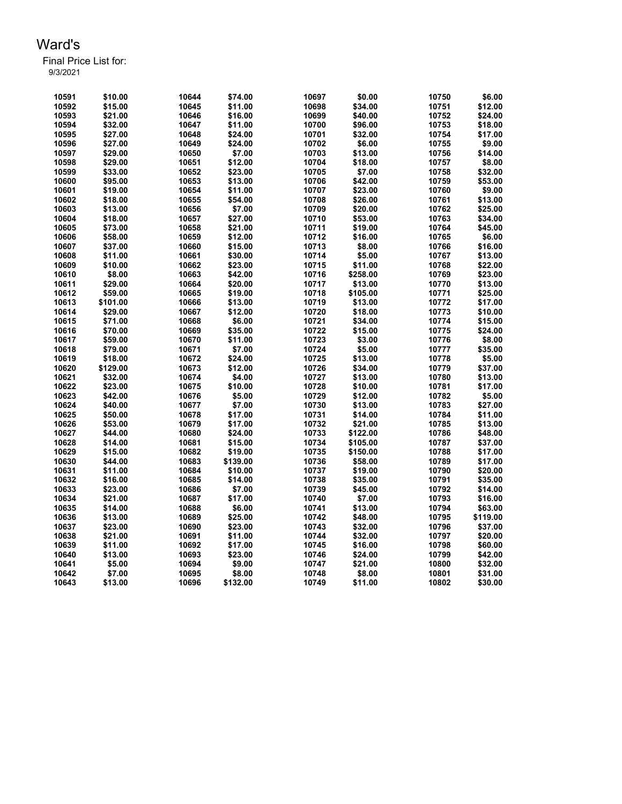| 3/3/2021 |  |  |
|----------|--|--|
|          |  |  |

| 10591 | \$10.00  | 10644 | \$74.00  | 10697 | \$0.00   | 10750 | \$6.00   |
|-------|----------|-------|----------|-------|----------|-------|----------|
| 10592 | \$15.00  | 10645 | \$11.00  | 10698 | \$34.00  | 10751 | \$12.00  |
| 10593 | \$21.00  | 10646 | \$16.00  | 10699 | \$40.00  | 10752 | \$24.00  |
| 10594 | \$32.00  | 10647 | \$11.00  | 10700 | \$96.00  | 10753 | \$18.00  |
| 10595 | \$27.00  | 10648 | \$24.00  | 10701 | \$32.00  | 10754 | \$17.00  |
| 10596 | \$27.00  | 10649 | \$24.00  | 10702 | \$6.00   | 10755 | \$9.00   |
| 10597 | \$29.00  | 10650 | \$7.00   | 10703 | \$13.00  | 10756 | \$14.00  |
| 10598 | \$29.00  | 10651 | \$12.00  | 10704 | \$18.00  | 10757 | \$8.00   |
| 10599 | \$33.00  | 10652 | \$23.00  | 10705 | \$7.00   | 10758 | \$32.00  |
| 10600 | \$95.00  | 10653 | \$13.00  | 10706 | \$42.00  | 10759 | \$53.00  |
| 10601 | \$19.00  | 10654 | \$11.00  | 10707 | \$23.00  | 10760 | \$9.00   |
| 10602 | \$18.00  | 10655 | \$54.00  | 10708 | \$26.00  | 10761 | \$13.00  |
| 10603 | \$13.00  | 10656 | \$7.00   | 10709 | \$20.00  | 10762 | \$25.00  |
| 10604 | \$18.00  | 10657 | \$27.00  | 10710 | \$53.00  | 10763 | \$34.00  |
| 10605 | \$73.00  | 10658 | \$21.00  | 10711 | \$19.00  | 10764 | \$45.00  |
| 10606 | \$58.00  | 10659 | \$12.00  | 10712 | \$16.00  | 10765 | \$6.00   |
| 10607 | \$37.00  | 10660 | \$15.00  | 10713 | \$8.00   | 10766 | \$16.00  |
| 10608 | \$11.00  | 10661 | \$30.00  | 10714 | \$5.00   | 10767 | \$13.00  |
| 10609 | \$10.00  | 10662 | \$23.00  | 10715 | \$11.00  |       | \$22.00  |
|       |          |       |          |       |          | 10768 |          |
| 10610 | \$8.00   | 10663 | \$42.00  | 10716 | \$258.00 | 10769 | \$23.00  |
| 10611 | \$29.00  | 10664 | \$20.00  | 10717 | \$13.00  | 10770 | \$13.00  |
| 10612 | \$59.00  | 10665 | \$19.00  | 10718 | \$105.00 | 10771 | \$25.00  |
| 10613 | \$101.00 | 10666 | \$13.00  | 10719 | \$13.00  | 10772 | \$17.00  |
| 10614 | \$29.00  | 10667 | \$12.00  | 10720 | \$18.00  | 10773 | \$10.00  |
| 10615 | \$71.00  | 10668 | \$6.00   | 10721 | \$34.00  | 10774 | \$15.00  |
| 10616 | \$70.00  | 10669 | \$35.00  | 10722 | \$15.00  | 10775 | \$24.00  |
| 10617 | \$59.00  | 10670 | \$11.00  | 10723 | \$3.00   | 10776 | \$8.00   |
| 10618 | \$79.00  | 10671 | \$7.00   | 10724 | \$5.00   | 10777 | \$35.00  |
| 10619 | \$18.00  | 10672 | \$24.00  | 10725 | \$13.00  | 10778 | \$5.00   |
| 10620 | \$129.00 | 10673 | \$12.00  | 10726 | \$34.00  | 10779 | \$37.00  |
| 10621 | \$32.00  | 10674 | \$4.00   | 10727 | \$13.00  | 10780 | \$13.00  |
| 10622 | \$23.00  | 10675 | \$10.00  | 10728 | \$10.00  | 10781 | \$17.00  |
| 10623 | \$42.00  | 10676 | \$5.00   | 10729 | \$12.00  | 10782 | \$5.00   |
| 10624 | \$40.00  | 10677 | \$7.00   | 10730 | \$13.00  | 10783 | \$27.00  |
| 10625 | \$50.00  | 10678 | \$17.00  | 10731 | \$14.00  | 10784 | \$11.00  |
| 10626 | \$53.00  | 10679 | \$17.00  | 10732 | \$21.00  | 10785 | \$13.00  |
| 10627 | \$44.00  | 10680 | \$24.00  | 10733 | \$122.00 | 10786 | \$48.00  |
| 10628 | \$14.00  | 10681 | \$15.00  | 10734 | \$105.00 | 10787 | \$37.00  |
| 10629 | \$15.00  | 10682 | \$19.00  | 10735 | \$150.00 | 10788 | \$17.00  |
| 10630 | \$44.00  | 10683 | \$139.00 | 10736 | \$58.00  | 10789 | \$17.00  |
| 10631 | \$11.00  | 10684 | \$10.00  | 10737 | \$19.00  | 10790 | \$20.00  |
| 10632 | \$16.00  | 10685 | \$14.00  | 10738 | \$35.00  | 10791 | \$35.00  |
| 10633 | \$23.00  | 10686 | \$7.00   | 10739 | \$45.00  | 10792 | \$14.00  |
| 10634 | \$21.00  | 10687 | \$17.00  | 10740 | \$7.00   | 10793 | \$16.00  |
| 10635 | \$14.00  | 10688 | \$6.00   | 10741 | \$13.00  | 10794 | \$63.00  |
| 10636 | \$13.00  | 10689 | \$25.00  | 10742 | \$48.00  | 10795 | \$119.00 |
| 10637 | \$23.00  | 10690 | \$23.00  | 10743 | \$32.00  | 10796 | \$37.00  |
| 10638 | \$21.00  | 10691 | \$11.00  | 10744 | \$32.00  | 10797 | \$20.00  |
| 10639 | \$11.00  | 10692 | \$17.00  | 10745 | \$16.00  | 10798 | \$60.00  |
| 10640 | \$13.00  | 10693 | \$23.00  | 10746 | \$24.00  | 10799 | \$42.00  |
| 10641 | \$5.00   | 10694 | \$9.00   | 10747 | \$21.00  | 10800 | \$32.00  |
| 10642 | \$7.00   | 10695 | \$8.00   | 10748 | \$8.00   | 10801 | \$31.00  |
| 10643 | \$13.00  | 10696 | \$132.00 | 10749 | \$11.00  | 10802 | \$30.00  |
|       |          |       |          |       |          |       |          |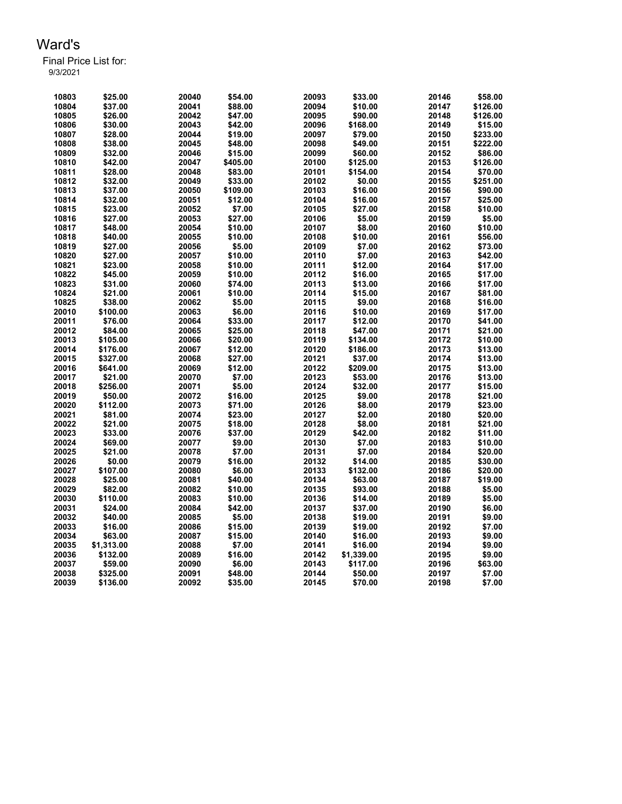| 10803 | \$25.00    | 20040 | \$54.00  | 20093 | \$33.00    | 20146 | \$58.00  |
|-------|------------|-------|----------|-------|------------|-------|----------|
| 10804 | \$37.00    | 20041 | \$88.00  | 20094 | \$10.00    | 20147 | \$126.00 |
| 10805 | \$26.00    | 20042 | \$47.00  | 20095 | \$90.00    | 20148 | \$126.00 |
| 10806 | \$30.00    | 20043 | \$42.00  | 20096 | \$168.00   | 20149 | \$15.00  |
| 10807 | \$28.00    | 20044 | \$19.00  | 20097 | \$79.00    | 20150 | \$233.00 |
| 10808 | \$38.00    | 20045 | \$48.00  | 20098 | \$49.00    | 20151 | \$222.00 |
| 10809 | \$32.00    | 20046 | \$15.00  | 20099 | \$60.00    | 20152 | \$86.00  |
| 10810 | \$42.00    | 20047 | \$405.00 | 20100 | \$125.00   | 20153 | \$126.00 |
| 10811 | \$28.00    | 20048 | \$83.00  | 20101 | \$154.00   | 20154 | \$70.00  |
| 10812 | \$32.00    | 20049 | \$33.00  | 20102 | \$0.00     | 20155 | \$251.00 |
| 10813 | \$37.00    | 20050 | \$109.00 | 20103 | \$16.00    | 20156 | \$90.00  |
| 10814 | \$32.00    | 20051 | \$12.00  | 20104 | \$16.00    | 20157 | \$25.00  |
| 10815 | \$23.00    | 20052 | \$7.00   | 20105 | \$27.00    | 20158 | \$10.00  |
| 10816 | \$27.00    | 20053 | \$27.00  | 20106 | \$5.00     | 20159 | \$5.00   |
| 10817 | \$48.00    | 20054 | \$10.00  | 20107 | \$8.00     | 20160 | \$10.00  |
| 10818 | \$40.00    | 20055 | \$10.00  | 20108 | \$10.00    | 20161 | \$56.00  |
| 10819 | \$27.00    | 20056 | \$5.00   | 20109 | \$7.00     | 20162 | \$73.00  |
| 10820 | \$27.00    | 20057 | \$10.00  | 20110 | \$7.00     | 20163 | \$42.00  |
| 10821 | \$23.00    | 20058 | \$10.00  | 20111 | \$12.00    | 20164 | \$17.00  |
| 10822 | \$45.00    | 20059 | \$10.00  | 20112 | \$16.00    | 20165 | \$17.00  |
| 10823 | \$31.00    | 20060 | \$74.00  | 20113 | \$13.00    | 20166 | \$17.00  |
| 10824 | \$21.00    | 20061 | \$10.00  | 20114 | \$15.00    | 20167 | \$81.00  |
| 10825 | \$38.00    | 20062 | \$5.00   | 20115 | \$9.00     | 20168 | \$16.00  |
| 20010 | \$100.00   | 20063 | \$6.00   | 20116 | \$10.00    | 20169 | \$17.00  |
| 20011 | \$76.00    | 20064 | \$33.00  | 20117 | \$12.00    | 20170 | \$41.00  |
| 20012 | \$84.00    | 20065 | \$25.00  | 20118 | \$47.00    | 20171 | \$21.00  |
| 20013 | \$105.00   | 20066 | \$20.00  | 20119 | \$134.00   | 20172 | \$10.00  |
| 20014 | \$176.00   | 20067 | \$12.00  | 20120 | \$186.00   | 20173 | \$13.00  |
| 20015 | \$327.00   | 20068 | \$27.00  | 20121 | \$37.00    | 20174 | \$13.00  |
| 20016 | \$641.00   | 20069 | \$12.00  | 20122 | \$209.00   | 20175 | \$13.00  |
| 20017 | \$21.00    | 20070 | \$7.00   | 20123 | \$53.00    | 20176 | \$13.00  |
| 20018 | \$256.00   | 20071 | \$5.00   | 20124 | \$32.00    | 20177 | \$15.00  |
| 20019 | \$50.00    | 20072 | \$16.00  | 20125 | \$9.00     | 20178 | \$21.00  |
| 20020 | \$112.00   | 20073 | \$71.00  | 20126 | \$8.00     | 20179 | \$23.00  |
| 20021 | \$81.00    | 20074 | \$23.00  | 20127 | \$2.00     | 20180 | \$20.00  |
| 20022 | \$21.00    | 20075 | \$18.00  | 20128 | \$8.00     | 20181 | \$21.00  |
| 20023 | \$33.00    | 20076 | \$37.00  | 20129 | \$42.00    | 20182 | \$11.00  |
| 20024 | \$69.00    | 20077 | \$9.00   | 20130 | \$7.00     | 20183 | \$10.00  |
| 20025 | \$21.00    | 20078 | \$7.00   | 20131 | \$7.00     | 20184 | \$20.00  |
| 20026 | \$0.00     | 20079 | \$16.00  | 20132 | \$14.00    | 20185 | \$30.00  |
| 20027 | \$107.00   | 20080 | \$6.00   | 20133 | \$132.00   | 20186 | \$20.00  |
| 20028 | \$25.00    | 20081 | \$40.00  | 20134 | \$63.00    | 20187 | \$19.00  |
| 20029 | \$82.00    | 20082 | \$10.00  | 20135 | \$93.00    | 20188 | \$5.00   |
| 20030 | \$110.00   | 20083 | \$10.00  | 20136 | \$14.00    | 20189 | \$5.00   |
| 20031 | \$24.00    | 20084 | \$42.00  | 20137 | \$37.00    | 20190 | \$6.00   |
| 20032 | \$40.00    | 20085 | \$5.00   | 20138 | \$19.00    | 20191 | \$9.00   |
| 20033 | \$16.00    | 20086 | \$15.00  | 20139 | \$19.00    | 20192 | \$7.00   |
| 20034 | \$63.00    | 20087 | \$15.00  | 20140 | \$16.00    | 20193 | \$9.00   |
| 20035 | \$1,313.00 | 20088 | \$7.00   | 20141 | \$16.00    | 20194 | \$9.00   |
| 20036 | \$132.00   | 20089 | \$16.00  | 20142 | \$1,339.00 | 20195 | \$9.00   |
| 20037 | \$59.00    | 20090 | \$6.00   | 20143 | \$117.00   | 20196 | \$63.00  |
| 20038 | \$325.00   | 20091 | \$48.00  | 20144 | \$50.00    | 20197 | \$7.00   |
| 20039 | \$136.00   | 20092 | \$35.00  | 20145 | \$70.00    | 20198 | \$7.00   |
|       |            |       |          |       |            |       |          |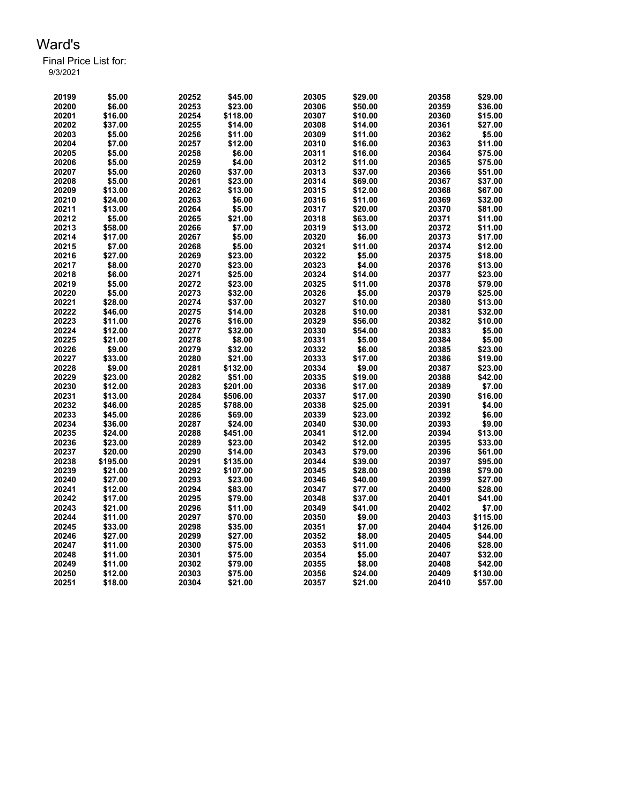| 20199 | \$5.00   | 20252 | \$45.00  | 20305 | \$29.00 | 20358 | \$29.00  |
|-------|----------|-------|----------|-------|---------|-------|----------|
| 20200 | \$6.00   | 20253 | \$23.00  | 20306 | \$50.00 | 20359 | \$36.00  |
| 20201 | \$16.00  | 20254 | \$118.00 | 20307 | \$10.00 | 20360 | \$15.00  |
| 20202 | \$37.00  | 20255 | \$14.00  | 20308 | \$14.00 | 20361 | \$27.00  |
| 20203 | \$5.00   | 20256 | \$11.00  | 20309 | \$11.00 | 20362 | \$5.00   |
| 20204 | \$7.00   | 20257 | \$12.00  | 20310 | \$16.00 | 20363 | \$11.00  |
| 20205 | \$5.00   | 20258 | \$6.00   | 20311 | \$16.00 | 20364 | \$75.00  |
| 20206 | \$5.00   | 20259 | \$4.00   | 20312 | \$11.00 | 20365 | \$75.00  |
| 20207 | \$5.00   | 20260 | \$37.00  | 20313 | \$37.00 | 20366 | \$51.00  |
| 20208 | \$5.00   | 20261 | \$23.00  | 20314 | \$69.00 | 20367 | \$37.00  |
| 20209 | \$13.00  | 20262 | \$13.00  | 20315 | \$12.00 | 20368 | \$67.00  |
| 20210 | \$24.00  | 20263 | \$6.00   | 20316 | \$11.00 | 20369 | \$32.00  |
| 20211 | \$13.00  | 20264 | \$5.00   | 20317 | \$20.00 | 20370 | \$81.00  |
| 20212 | \$5.00   | 20265 | \$21.00  | 20318 | \$63.00 | 20371 | \$11.00  |
| 20213 | \$58.00  | 20266 | \$7.00   | 20319 | \$13.00 | 20372 | \$11.00  |
| 20214 | \$17.00  | 20267 | \$5.00   | 20320 | \$6.00  | 20373 | \$17.00  |
| 20215 | \$7.00   | 20268 | \$5.00   | 20321 | \$11.00 | 20374 | \$12.00  |
| 20216 | \$27.00  | 20269 | \$23.00  | 20322 | \$5.00  | 20375 | \$18.00  |
| 20217 | \$8.00   | 20270 | \$23.00  | 20323 | \$4.00  | 20376 | \$13.00  |
| 20218 | \$6.00   | 20271 | \$25.00  | 20324 | \$14.00 | 20377 | \$23.00  |
| 20219 | \$5.00   | 20272 | \$23.00  | 20325 | \$11.00 | 20378 | \$79.00  |
| 20220 | \$5.00   | 20273 | \$32.00  | 20326 | \$5.00  | 20379 | \$25.00  |
| 20221 | \$28.00  | 20274 | \$37.00  | 20327 | \$10.00 | 20380 | \$13.00  |
| 20222 | \$46.00  | 20275 | \$14.00  | 20328 | \$10.00 | 20381 | \$32.00  |
| 20223 | \$11.00  | 20276 | \$16.00  | 20329 | \$56.00 | 20382 | \$10.00  |
| 20224 | \$12.00  | 20277 | \$32.00  | 20330 | \$54.00 | 20383 | \$5.00   |
| 20225 | \$21.00  | 20278 | \$8.00   | 20331 | \$5.00  | 20384 | \$5.00   |
| 20226 | \$9.00   | 20279 | \$32.00  | 20332 | \$6.00  | 20385 | \$23.00  |
| 20227 | \$33.00  | 20280 | \$21.00  | 20333 | \$17.00 | 20386 | \$19.00  |
| 20228 | \$9.00   | 20281 | \$132.00 | 20334 | \$9.00  | 20387 | \$23.00  |
| 20229 | \$23.00  | 20282 | \$51.00  | 20335 | \$19.00 | 20388 | \$42.00  |
| 20230 | \$12.00  | 20283 | \$201.00 | 20336 | \$17.00 | 20389 | \$7.00   |
| 20231 | \$13.00  | 20284 | \$506.00 | 20337 | \$17.00 | 20390 | \$16.00  |
| 20232 | \$46.00  | 20285 | \$788.00 | 20338 | \$25.00 | 20391 | \$4.00   |
| 20233 | \$45.00  | 20286 | \$69.00  | 20339 | \$23.00 | 20392 | \$6.00   |
| 20234 | \$36.00  | 20287 | \$24.00  | 20340 | \$30.00 | 20393 | \$9.00   |
| 20235 | \$24.00  | 20288 | \$451.00 | 20341 | \$12.00 | 20394 | \$13.00  |
| 20236 | \$23.00  | 20289 | \$23.00  | 20342 | \$12.00 | 20395 | \$33.00  |
| 20237 | \$20.00  | 20290 | \$14.00  | 20343 | \$79.00 | 20396 | \$61.00  |
| 20238 | \$195.00 | 20291 | \$135.00 | 20344 | \$39.00 | 20397 | \$95.00  |
| 20239 | \$21.00  | 20292 | \$107.00 | 20345 | \$28.00 | 20398 | \$79.00  |
| 20240 | \$27.00  | 20293 | \$23.00  | 20346 | \$40.00 | 20399 | \$27.00  |
| 20241 | \$12.00  | 20294 | \$83.00  | 20347 | \$77.00 | 20400 | \$28.00  |
| 20242 | \$17.00  | 20295 | \$79.00  | 20348 | \$37.00 | 20401 | \$41.00  |
| 20243 | \$21.00  | 20296 | \$11.00  | 20349 | \$41.00 | 20402 | \$7.00   |
| 20244 | \$11.00  | 20297 | \$70.00  | 20350 | \$9.00  | 20403 | \$115.00 |
| 20245 | \$33.00  | 20298 | \$35.00  | 20351 | \$7.00  | 20404 | \$126.00 |
| 20246 | \$27.00  | 20299 | \$27.00  | 20352 | \$8.00  | 20405 | \$44.00  |
| 20247 | \$11.00  | 20300 | \$75.00  | 20353 | \$11.00 | 20406 | \$28.00  |
| 20248 | \$11.00  | 20301 | \$75.00  | 20354 | \$5.00  | 20407 | \$32.00  |
| 20249 | \$11.00  | 20302 | \$79.00  | 20355 | \$8.00  | 20408 | \$42.00  |
| 20250 | \$12.00  | 20303 | \$75.00  | 20356 | \$24.00 | 20409 | \$130.00 |
| 20251 | \$18.00  | 20304 | \$21.00  | 20357 | \$21.00 | 20410 | \$57.00  |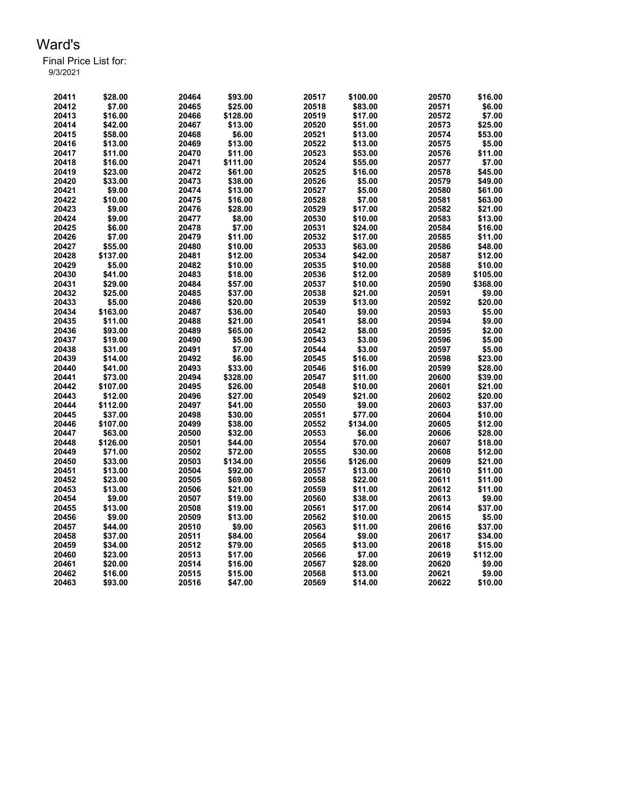| 20411 | \$28.00  | 20464 | \$93.00  | 20517 | \$100.00 | 20570 | \$16.00  |
|-------|----------|-------|----------|-------|----------|-------|----------|
| 20412 | \$7.00   | 20465 | \$25.00  | 20518 | \$83.00  | 20571 | \$6.00   |
| 20413 | \$16.00  | 20466 | \$128.00 | 20519 | \$17.00  | 20572 | \$7.00   |
| 20414 | \$42.00  | 20467 | \$13.00  | 20520 | \$51.00  | 20573 | \$25.00  |
| 20415 | \$58.00  | 20468 | \$6.00   | 20521 | \$13.00  | 20574 | \$53.00  |
| 20416 | \$13.00  | 20469 | \$13.00  | 20522 | \$13.00  | 20575 | \$5.00   |
| 20417 | \$11.00  | 20470 | \$11.00  | 20523 | \$53.00  | 20576 | \$11.00  |
| 20418 | \$16.00  | 20471 | \$111.00 | 20524 | \$55.00  | 20577 | \$7.00   |
| 20419 | \$23.00  | 20472 | \$61.00  | 20525 | \$16.00  | 20578 | \$45.00  |
| 20420 | \$33.00  | 20473 | \$38.00  | 20526 | \$5.00   | 20579 | \$49.00  |
| 20421 | \$9.00   | 20474 | \$13.00  | 20527 | \$5.00   | 20580 | \$61.00  |
| 20422 | \$10.00  | 20475 | \$16.00  | 20528 | \$7.00   | 20581 | \$63.00  |
| 20423 | \$9.00   | 20476 | \$28.00  | 20529 | \$17.00  | 20582 | \$21.00  |
| 20424 | \$9.00   | 20477 | \$8.00   | 20530 | \$10.00  | 20583 | \$13.00  |
| 20425 | \$6.00   | 20478 | \$7.00   | 20531 | \$24.00  | 20584 | \$16.00  |
| 20426 | \$7.00   | 20479 | \$11.00  | 20532 | \$17.00  | 20585 | \$11.00  |
| 20427 | \$55.00  | 20480 | \$10.00  | 20533 | \$63.00  | 20586 | \$48.00  |
| 20428 | \$137.00 | 20481 | \$12.00  | 20534 | \$42.00  | 20587 | \$12.00  |
| 20429 | \$5.00   | 20482 | \$10.00  | 20535 | \$10.00  | 20588 | \$10.00  |
| 20430 | \$41.00  | 20483 | \$18.00  | 20536 | \$12.00  | 20589 | \$105.00 |
| 20431 | \$29.00  | 20484 | \$57.00  | 20537 | \$10.00  | 20590 | \$368.00 |
| 20432 | \$25.00  | 20485 | \$37.00  | 20538 | \$21.00  | 20591 | \$9.00   |
| 20433 | \$5.00   | 20486 | \$20.00  | 20539 | \$13.00  | 20592 | \$20.00  |
| 20434 | \$163.00 | 20487 | \$36.00  | 20540 | \$9.00   | 20593 | \$5.00   |
| 20435 | \$11.00  | 20488 | \$21.00  | 20541 | \$8.00   | 20594 | \$9.00   |
| 20436 | \$93.00  | 20489 | \$65.00  | 20542 | \$8.00   | 20595 | \$2.00   |
| 20437 | \$19.00  | 20490 | \$5.00   | 20543 | \$3.00   | 20596 | \$5.00   |
| 20438 | \$31.00  | 20491 | \$7.00   | 20544 | \$3.00   | 20597 | \$5.00   |
| 20439 | \$14.00  | 20492 | \$6.00   | 20545 | \$16.00  | 20598 | \$23.00  |
| 20440 | \$41.00  | 20493 | \$33.00  | 20546 | \$16.00  | 20599 | \$28.00  |
| 20441 | \$73.00  | 20494 | \$328.00 | 20547 | \$11.00  | 20600 | \$39.00  |
| 20442 | \$107.00 | 20495 | \$26.00  | 20548 | \$10.00  | 20601 | \$21.00  |
| 20443 | \$12.00  | 20496 | \$27.00  | 20549 | \$21.00  | 20602 | \$20.00  |
| 20444 | \$112.00 | 20497 | \$41.00  | 20550 | \$9.00   | 20603 | \$37.00  |
| 20445 | \$37.00  | 20498 | \$30.00  | 20551 | \$77.00  | 20604 | \$10.00  |
| 20446 | \$107.00 | 20499 | \$38.00  | 20552 | \$134.00 | 20605 | \$12.00  |
| 20447 | \$63.00  | 20500 | \$32.00  | 20553 | \$6.00   | 20606 | \$28.00  |
| 20448 | \$126.00 | 20501 | \$44.00  | 20554 | \$70.00  | 20607 | \$18.00  |
| 20449 | \$71.00  | 20502 | \$72.00  | 20555 | \$30.00  | 20608 | \$12.00  |
| 20450 | \$33.00  | 20503 | \$134.00 | 20556 | \$126.00 | 20609 | \$21.00  |
| 20451 | \$13.00  | 20504 | \$92.00  | 20557 | \$13.00  | 20610 | \$11.00  |
| 20452 | \$23.00  | 20505 | \$69.00  | 20558 | \$22.00  | 20611 | \$11.00  |
| 20453 | \$13.00  | 20506 | \$21.00  | 20559 | \$11.00  | 20612 | \$11.00  |
| 20454 | \$9.00   | 20507 | \$19.00  | 20560 | \$38.00  | 20613 | \$9.00   |
| 20455 | \$13.00  | 20508 | \$19.00  | 20561 | \$17.00  | 20614 | \$37.00  |
| 20456 | \$9.00   | 20509 | \$13.00  | 20562 | \$10.00  | 20615 | \$5.00   |
| 20457 | \$44.00  | 20510 | \$9.00   | 20563 | \$11.00  | 20616 | \$37.00  |
| 20458 | \$37.00  | 20511 | \$84.00  | 20564 | \$9.00   | 20617 | \$34.00  |
| 20459 | \$34.00  | 20512 | \$79.00  | 20565 | \$13.00  | 20618 | \$15.00  |
| 20460 | \$23.00  | 20513 | \$17.00  | 20566 | \$7.00   | 20619 | \$112.00 |
| 20461 | \$20.00  | 20514 | \$16.00  | 20567 | \$28.00  | 20620 | \$9.00   |
| 20462 | \$16.00  | 20515 | \$15.00  | 20568 | \$13.00  | 20621 | \$9.00   |
| 20463 | \$93.00  | 20516 | \$47.00  | 20569 | \$14.00  | 20622 | \$10.00  |
|       |          |       |          |       |          |       |          |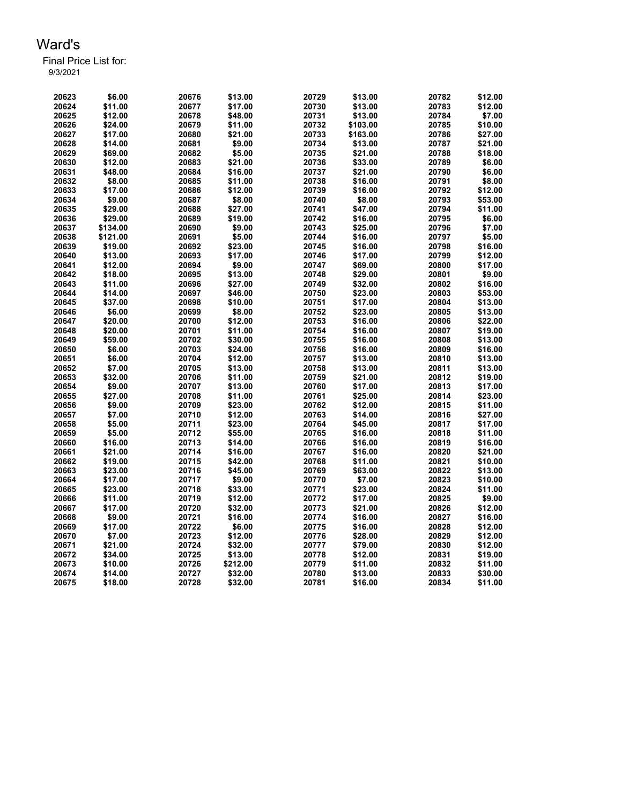| 20623 | \$6.00   | 20676 | \$13.00  | 20729 | \$13.00  | 20782 | \$12.00 |
|-------|----------|-------|----------|-------|----------|-------|---------|
| 20624 | \$11.00  | 20677 | \$17.00  | 20730 | \$13.00  | 20783 | \$12.00 |
| 20625 | \$12.00  | 20678 | \$48.00  | 20731 | \$13.00  | 20784 | \$7.00  |
| 20626 | \$24.00  | 20679 | \$11.00  | 20732 | \$103.00 | 20785 | \$10.00 |
| 20627 | \$17.00  | 20680 | \$21.00  | 20733 | \$163.00 | 20786 | \$27.00 |
| 20628 | \$14.00  | 20681 | \$9.00   | 20734 | \$13.00  | 20787 | \$21.00 |
| 20629 | \$69.00  | 20682 | \$5.00   | 20735 | \$21.00  | 20788 | \$18.00 |
| 20630 | \$12.00  | 20683 | \$21.00  | 20736 | \$33.00  | 20789 | \$6.00  |
| 20631 | \$48.00  | 20684 | \$16.00  | 20737 | \$21.00  | 20790 | \$6.00  |
| 20632 | \$8.00   | 20685 | \$11.00  | 20738 | \$16.00  | 20791 | \$8.00  |
| 20633 | \$17.00  | 20686 | \$12.00  | 20739 | \$16.00  | 20792 | \$12.00 |
| 20634 | \$9.00   | 20687 | \$8.00   | 20740 | \$8.00   | 20793 | \$53.00 |
| 20635 | \$29.00  | 20688 | \$27.00  | 20741 | \$47.00  | 20794 | \$11.00 |
| 20636 | \$29.00  | 20689 | \$19.00  | 20742 | \$16.00  | 20795 | \$6.00  |
| 20637 | \$134.00 | 20690 | \$9.00   | 20743 | \$25.00  | 20796 | \$7.00  |
| 20638 | \$121.00 | 20691 | \$5.00   | 20744 | \$16.00  | 20797 | \$5.00  |
| 20639 | \$19.00  | 20692 | \$23.00  | 20745 | \$16.00  | 20798 | \$16.00 |
| 20640 | \$13.00  | 20693 | \$17.00  | 20746 | \$17.00  | 20799 | \$12.00 |
| 20641 | \$12.00  | 20694 | \$9.00   | 20747 | \$69.00  | 20800 | \$17.00 |
| 20642 | \$18.00  | 20695 | \$13.00  | 20748 | \$29.00  | 20801 | \$9.00  |
| 20643 | \$11.00  | 20696 | \$27.00  | 20749 | \$32.00  | 20802 | \$16.00 |
| 20644 | \$14.00  | 20697 | \$46.00  | 20750 | \$23.00  | 20803 | \$53.00 |
| 20645 | \$37.00  | 20698 | \$10.00  | 20751 | \$17.00  | 20804 | \$13.00 |
| 20646 | \$6.00   | 20699 | \$8.00   | 20752 | \$23.00  | 20805 | \$13.00 |
| 20647 | \$20.00  | 20700 | \$12.00  | 20753 | \$16.00  | 20806 | \$22.00 |
| 20648 | \$20.00  | 20701 | \$11.00  | 20754 | \$16.00  | 20807 | \$19.00 |
| 20649 | \$59.00  | 20702 | \$30.00  | 20755 | \$16.00  | 20808 | \$13.00 |
| 20650 | \$6.00   | 20703 | \$24.00  | 20756 | \$16.00  | 20809 | \$16.00 |
| 20651 | \$6.00   | 20704 | \$12.00  | 20757 | \$13.00  | 20810 | \$13.00 |
| 20652 | \$7.00   | 20705 | \$13.00  | 20758 | \$13.00  | 20811 | \$13.00 |
| 20653 | \$32.00  | 20706 | \$11.00  | 20759 | \$21.00  | 20812 | \$19.00 |
| 20654 | \$9.00   | 20707 | \$13.00  | 20760 | \$17.00  | 20813 | \$17.00 |
| 20655 | \$27.00  | 20708 | \$11.00  | 20761 | \$25.00  | 20814 | \$23.00 |
| 20656 | \$9.00   | 20709 | \$23.00  | 20762 | \$12.00  | 20815 | \$11.00 |
| 20657 | \$7.00   | 20710 | \$12.00  | 20763 | \$14.00  | 20816 | \$27.00 |
| 20658 | \$5.00   | 20711 | \$23.00  | 20764 | \$45.00  | 20817 | \$17.00 |
| 20659 | \$5.00   | 20712 | \$55.00  | 20765 | \$16.00  | 20818 | \$11.00 |
| 20660 | \$16.00  | 20713 | \$14.00  | 20766 | \$16.00  | 20819 | \$16.00 |
| 20661 | \$21.00  | 20714 | \$16.00  | 20767 | \$16.00  | 20820 | \$21.00 |
| 20662 | \$19.00  | 20715 | \$42.00  | 20768 | \$11.00  | 20821 | \$10.00 |
| 20663 | \$23.00  | 20716 | \$45.00  | 20769 | \$63.00  | 20822 | \$13.00 |
| 20664 | \$17.00  | 20717 | \$9.00   | 20770 | \$7.00   | 20823 | \$10.00 |
| 20665 | \$23.00  | 20718 | \$33.00  | 20771 | \$23.00  | 20824 | \$11.00 |
| 20666 | \$11.00  | 20719 | \$12.00  | 20772 | \$17.00  | 20825 | \$9.00  |
| 20667 | \$17.00  | 20720 | \$32.00  | 20773 | \$21.00  | 20826 | \$12.00 |
| 20668 | \$9.00   | 20721 | \$16.00  | 20774 | \$16.00  | 20827 | \$16.00 |
| 20669 | \$17.00  | 20722 | \$6.00   | 20775 | \$16.00  | 20828 | \$12.00 |
| 20670 | \$7.00   | 20723 | \$12.00  | 20776 | \$28.00  | 20829 | \$12.00 |
| 20671 | \$21.00  | 20724 | \$32.00  | 20777 | \$79.00  | 20830 | \$12.00 |
| 20672 | \$34.00  | 20725 | \$13.00  | 20778 | \$12.00  | 20831 | \$19.00 |
| 20673 | \$10.00  | 20726 | \$212.00 | 20779 | \$11.00  | 20832 | \$11.00 |
| 20674 | \$14.00  | 20727 | \$32.00  | 20780 | \$13.00  | 20833 | \$30.00 |
| 20675 | \$18.00  | 20728 | \$32.00  | 20781 | \$16.00  | 20834 | \$11.00 |
|       |          |       |          |       |          |       |         |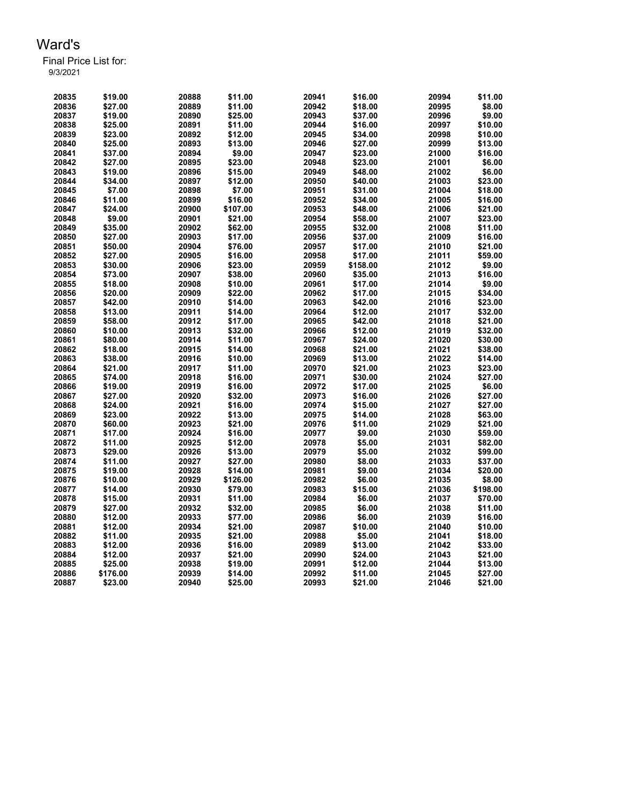| 20835          | \$19.00            | 20888          | \$11.00            | 20941          | \$16.00          | 20994          | \$11.00            |
|----------------|--------------------|----------------|--------------------|----------------|------------------|----------------|--------------------|
| 20836          | \$27.00            | 20889          | \$11.00            | 20942          | \$18.00          | 20995          | \$8.00             |
| 20837          | \$19.00            | 20890          | \$25.00            | 20943          | \$37.00          | 20996          | \$9.00             |
| 20838          | \$25.00            | 20891          | \$11.00            | 20944          | \$16.00          | 20997          | \$10.00            |
| 20839          | \$23.00            | 20892          | \$12.00            | 20945          | \$34.00          | 20998          | \$10.00            |
| 20840          | \$25.00            | 20893          | \$13.00            | 20946          | \$27.00          | 20999          | \$13.00            |
| 20841          | \$37.00            | 20894          | \$9.00             | 20947          | \$23.00          | 21000          | \$16.00            |
| 20842          | \$27.00            | 20895          | \$23.00            | 20948          | \$23.00          | 21001          | \$6.00             |
| 20843          | \$19.00            | 20896          | \$15.00            | 20949          | \$48.00          | 21002          | \$6.00             |
| 20844          | \$34.00            | 20897          | \$12.00            | 20950          | \$40.00          | 21003          | \$23.00            |
| 20845          | \$7.00             | 20898          | \$7.00             | 20951          | \$31.00          | 21004          | \$18.00            |
| 20846          | \$11.00            | 20899          | \$16.00            | 20952          | \$34.00          | 21005          | \$16.00            |
| 20847          | \$24.00            | 20900          | \$107.00           | 20953          | \$48.00          | 21006          | \$21.00            |
| 20848          | \$9.00             | 20901          | \$21.00            | 20954          | \$58.00          | 21007          | \$23.00            |
| 20849          | \$35.00            | 20902          | \$62.00            | 20955          | \$32.00          | 21008          | \$11.00            |
| 20850          | \$27.00            | 20903          | \$17.00            | 20956          | \$37.00          | 21009          | \$16.00            |
| 20851          | \$50.00            | 20904          | \$76.00            | 20957          | \$17.00          | 21010          | \$21.00            |
| 20852          | \$27.00            | 20905          | \$16.00            | 20958          | \$17.00          | 21011          | \$59.00            |
| 20853          | \$30.00            | 20906          | \$23.00            | 20959          | \$158.00         | 21012          | \$9.00             |
| 20854          | \$73.00            | 20907          | \$38.00            | 20960          | \$35.00          | 21013          | \$16.00            |
| 20855          | \$18.00            | 20908          | \$10.00            | 20961          | \$17.00          | 21014          | \$9.00             |
| 20856          | \$20.00            | 20909          | \$22.00            | 20962          | \$17.00          | 21015          | \$34.00            |
| 20857          | \$42.00            | 20910          | \$14.00            | 20963          | \$42.00          | 21016          | \$23.00            |
| 20858          | \$13.00            | 20911          | \$14.00            | 20964          | \$12.00          | 21017          | \$32.00            |
| 20859          | \$58.00            | 20912          | \$17.00            | 20965          | \$42.00          | 21018          | \$21.00            |
| 20860          | \$10.00            | 20913          | \$32.00            | 20966          | \$12.00          | 21019          | \$32.00            |
| 20861          | \$80.00            | 20914          | \$11.00            | 20967          | \$24.00          | 21020          | \$30.00            |
| 20862          | \$18.00            | 20915          | \$14.00            | 20968          | \$21.00          | 21021          | \$38.00            |
| 20863          | \$38.00            | 20916          | \$10.00            | 20969          | \$13.00          | 21022          | \$14.00            |
| 20864          | \$21.00            | 20917          | \$11.00            | 20970          | \$21.00          | 21023          | \$23.00            |
| 20865          | \$74.00            | 20918          | \$16.00            | 20971          | \$30.00          | 21024          | \$27.00            |
| 20866          | \$19.00            | 20919          | \$16.00            | 20972          | \$17.00          | 21025          | \$6.00             |
| 20867          | \$27.00            | 20920          | \$32.00            | 20973          | \$16.00          | 21026          | \$27.00            |
|                |                    |                |                    |                | \$15.00          |                |                    |
| 20868<br>20869 | \$24.00<br>\$23.00 | 20921<br>20922 | \$16.00            | 20974<br>20975 | \$14.00          | 21027<br>21028 | \$27.00<br>\$63.00 |
| 20870          | \$60.00            | 20923          | \$13.00            | 20976          | \$11.00          | 21029          | \$21.00            |
|                | \$17.00            |                | \$21.00            |                |                  |                |                    |
| 20871          |                    | 20924          | \$16.00            | 20977          | \$9.00           | 21030          | \$59.00            |
| 20872<br>20873 | \$11.00<br>\$29.00 | 20925<br>20926 | \$12.00<br>\$13.00 | 20978<br>20979 | \$5.00<br>\$5.00 | 21031<br>21032 | \$82.00<br>\$99.00 |
|                | \$11.00            | 20927          | \$27.00            | 20980          | \$8.00           |                |                    |
| 20874<br>20875 | \$19.00            | 20928          | \$14.00            | 20981          | \$9.00           | 21033<br>21034 | \$37.00<br>\$20.00 |
| 20876          | \$10.00            | 20929          | \$126.00           | 20982          | \$6.00           | 21035          | \$8.00             |
|                |                    | 20930          |                    |                | \$15.00          |                | \$198.00           |
| 20877          | \$14.00            |                | \$79.00            | 20983          |                  | 21036          |                    |
| 20878          | \$15.00            | 20931          | \$11.00            | 20984          | \$6.00           | 21037          | \$70.00            |
| 20879          | \$27.00            | 20932          | \$32.00            | 20985          | \$6.00           | 21038          | \$11.00            |
| 20880          | \$12.00            | 20933          | \$77.00            | 20986          | \$6.00           | 21039          | \$16.00            |
| 20881          | \$12.00            | 20934          | \$21.00            | 20987          | \$10.00          | 21040          | \$10.00            |
| 20882          | \$11.00            | 20935          | \$21.00            | 20988          | \$5.00           | 21041          | \$18.00            |
| 20883          | \$12.00            | 20936          | \$16.00            | 20989          | \$13.00          | 21042          | \$33.00            |
| 20884          | \$12.00            | 20937          | \$21.00            | 20990          | \$24.00          | 21043          | \$21.00<br>\$13.00 |
| 20885          | \$25.00            | 20938          | \$19.00            | 20991          | \$12.00          | 21044          |                    |
| 20886          | \$176.00           | 20939          | \$14.00            | 20992          | \$11.00          | 21045          | \$27.00            |
| 20887          | \$23.00            | 20940          | \$25.00            | 20993          | \$21.00          | 21046          | \$21.00            |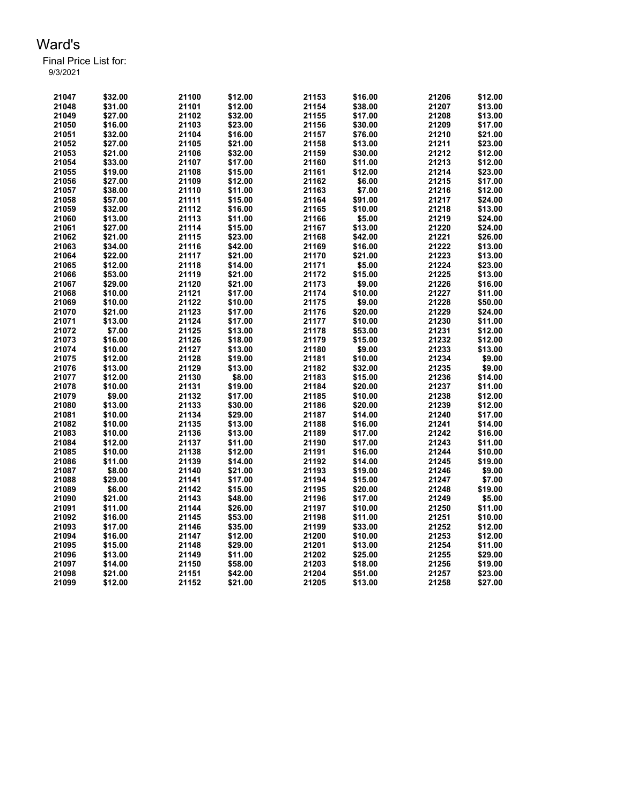| 21047 | \$32.00            | 21100          | \$12.00 | 21153          | \$16.00           | 21206          | \$12.00            |
|-------|--------------------|----------------|---------|----------------|-------------------|----------------|--------------------|
| 21048 | \$31.00            | 21101          | \$12.00 | 21154          | \$38.00           | 21207          | \$13.00            |
| 21049 | \$27.00            | 21102          | \$32.00 | 21155          | \$17.00           | 21208          | \$13.00            |
| 21050 | \$16.00            | 21103          | \$23.00 | 21156          | \$30.00           | 21209          | \$17.00            |
| 21051 | \$32.00            | 21104          | \$16.00 | 21157          | \$76.00           | 21210          | \$21.00            |
| 21052 | \$27.00            | 21105          | \$21.00 | 21158          | \$13.00           | 21211          | \$23.00            |
| 21053 | \$21.00            | 21106          | \$32.00 | 21159          | \$30.00           | 21212          | \$12.00            |
| 21054 | \$33.00            | 21107          | \$17.00 | 21160          | \$11.00           | 21213          | \$12.00            |
| 21055 | \$19.00            | 21108          | \$15.00 | 21161          | \$12.00           | 21214          | \$23.00            |
| 21056 | \$27.00            | 21109          | \$12.00 | 21162          | \$6.00            | 21215          | \$17.00            |
| 21057 | \$38.00            | 21110          | \$11.00 | 21163          | \$7.00            | 21216          | \$12.00            |
| 21058 | \$57.00            | 21111          | \$15.00 | 21164          | \$91.00           | 21217          | \$24.00            |
| 21059 | \$32.00            | 21112          | \$16.00 | 21165          | \$10.00           | 21218          | \$13.00            |
| 21060 | \$13.00            | 21113          | \$11.00 | 21166          | \$5.00            | 21219          | \$24.00            |
| 21061 | \$27.00            | 21114          | \$15.00 | 21167          | \$13.00           | 21220          | \$24.00            |
| 21062 | \$21.00            | 21115          | \$23.00 | 21168          | \$42.00           | 21221          | \$26.00            |
| 21063 | \$34.00            | 21116          | \$42.00 | 21169          | \$16.00           | 21222          | \$13.00            |
| 21064 | \$22.00            | 21117          | \$21.00 | 21170          | \$21.00           | 21223          | \$13.00            |
| 21065 | \$12.00            | 21118          | \$14.00 | 21171          | \$5.00            | 21224          | \$23.00            |
| 21066 | \$53.00            | 21119          | \$21.00 | 21172          | \$15.00           | 21225          | \$13.00            |
| 21067 | \$29.00            | 21120          | \$21.00 | 21173          | \$9.00            | 21226          | \$16.00            |
| 21068 | \$10.00            | 21121          | \$17.00 | 21174          | \$10.00           | 21227          | \$11.00            |
| 21069 | \$10.00            | 21122          | \$10.00 | 21175          | \$9.00            | 21228          | \$50.00            |
| 21070 | \$21.00            | 21123          | \$17.00 | 21176          | \$20.00           | 21229          | \$24.00            |
|       |                    |                |         |                |                   |                |                    |
| 21071 | \$13.00<br>\$7.00  | 21124<br>21125 | \$17.00 | 21177<br>21178 | \$10.00           | 21230<br>21231 | \$11.00            |
| 21072 |                    |                | \$13.00 |                | \$53.00           |                | \$12.00            |
| 21073 | \$16.00<br>\$10.00 | 21126<br>21127 | \$18.00 | 21179<br>21180 | \$15.00<br>\$9.00 | 21232<br>21233 | \$12.00<br>\$13.00 |
| 21074 |                    |                | \$13.00 |                |                   |                |                    |
| 21075 | \$12.00            | 21128          | \$19.00 | 21181          | \$10.00           | 21234          | \$9.00<br>\$9.00   |
| 21076 | \$13.00            | 21129          | \$13.00 | 21182          | \$32.00           | 21235          |                    |
| 21077 | \$12.00            | 21130          | \$8.00  | 21183          | \$15.00           | 21236          | \$14.00            |
| 21078 | \$10.00            | 21131          | \$19.00 | 21184          | \$20.00           | 21237          | \$11.00            |
| 21079 | \$9.00             | 21132          | \$17.00 | 21185          | \$10.00           | 21238          | \$12.00            |
| 21080 | \$13.00            | 21133          | \$30.00 | 21186          | \$20.00           | 21239          | \$12.00            |
| 21081 | \$10.00            | 21134          | \$29.00 | 21187          | \$14.00           | 21240          | \$17.00            |
| 21082 | \$10.00            | 21135          | \$13.00 | 21188          | \$16.00           | 21241          | \$14.00            |
| 21083 | \$10.00            | 21136          | \$13.00 | 21189          | \$17.00           | 21242          | \$16.00            |
| 21084 | \$12.00            | 21137          | \$11.00 | 21190          | \$17.00           | 21243          | \$11.00            |
| 21085 | \$10.00            | 21138          | \$12.00 | 21191          | \$16.00           | 21244          | \$10.00            |
| 21086 | \$11.00            | 21139          | \$14.00 | 21192          | \$14.00           | 21245          | \$19.00            |
| 21087 | \$8.00             | 21140          | \$21.00 | 21193          | \$19.00           | 21246          | \$9.00             |
| 21088 | \$29.00            | 21141          | \$17.00 | 21194          | \$15.00           | 21247          | \$7.00             |
| 21089 | \$6.00             | 21142          | \$15.00 | 21195          | \$20.00           | 21248          | \$19.00            |
| 21090 | \$21.00            | 21143          | \$48.00 | 21196          | \$17.00           | 21249          | \$5.00             |
| 21091 | \$11.00            | 21144          | \$26.00 | 21197          | \$10.00           | 21250          | \$11.00            |
| 21092 | \$16.00            | 21145          | \$53.00 | 21198          | \$11.00           | 21251          | \$10.00            |
| 21093 | \$17.00            | 21146          | \$35.00 | 21199          | \$33.00           | 21252          | \$12.00            |
| 21094 | \$16.00            | 21147          | \$12.00 | 21200          | \$10.00           | 21253          | \$12.00            |
| 21095 | \$15.00            | 21148          | \$29.00 | 21201          | \$13.00           | 21254          | \$11.00            |
| 21096 | \$13.00            | 21149          | \$11.00 | 21202          | \$25.00           | 21255          | \$29.00            |
| 21097 | \$14.00            | 21150          | \$58.00 | 21203          | \$18.00           | 21256          | \$19.00            |
| 21098 | \$21.00            | 21151          | \$42.00 | 21204          | \$51.00           | 21257          | \$23.00            |
| 21099 | \$12.00            | 21152          | \$21.00 | 21205          | \$13.00           | 21258          | \$27.00            |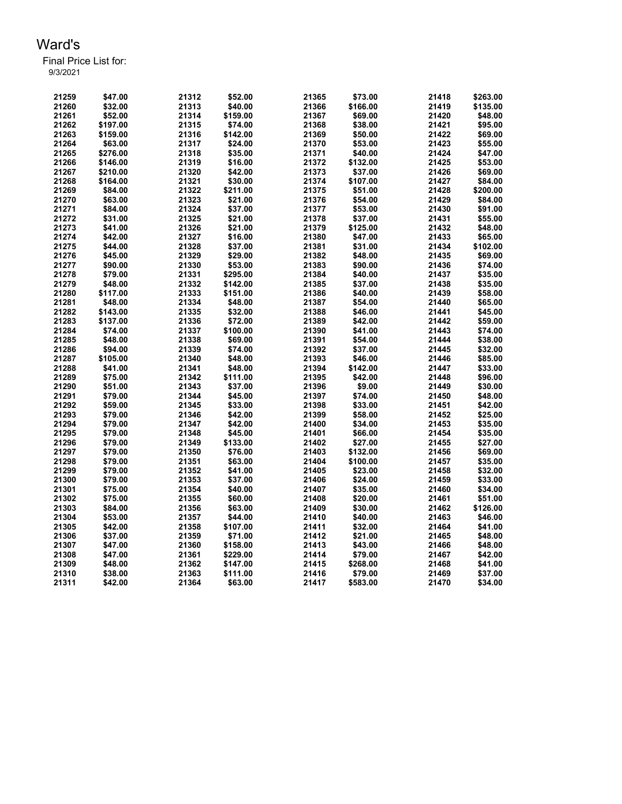| 21259 | \$47.00  | 21312 | \$52.00  | 21365 | \$73.00  | 21418 | \$263.00 |
|-------|----------|-------|----------|-------|----------|-------|----------|
| 21260 | \$32.00  | 21313 | \$40.00  | 21366 | \$166.00 | 21419 | \$135.00 |
| 21261 | \$52.00  | 21314 | \$159.00 | 21367 | \$69.00  | 21420 | \$48.00  |
| 21262 | \$197.00 | 21315 | \$74.00  | 21368 | \$38.00  | 21421 | \$95.00  |
| 21263 | \$159.00 | 21316 | \$142.00 | 21369 | \$50.00  | 21422 | \$69.00  |
| 21264 | \$63.00  | 21317 | \$24.00  | 21370 | \$53.00  | 21423 | \$55.00  |
| 21265 | \$276.00 | 21318 | \$35.00  | 21371 | \$40.00  | 21424 | \$47.00  |
| 21266 | \$146.00 | 21319 | \$16.00  | 21372 | \$132.00 | 21425 | \$53.00  |
| 21267 | \$210.00 | 21320 | \$42.00  | 21373 | \$37.00  | 21426 | \$69.00  |
| 21268 | \$164.00 | 21321 | \$30.00  | 21374 | \$107.00 | 21427 | \$84.00  |
| 21269 | \$84.00  | 21322 | \$211.00 | 21375 | \$51.00  | 21428 | \$200.00 |
| 21270 | \$63.00  | 21323 | \$21.00  | 21376 | \$54.00  | 21429 | \$84.00  |
| 21271 | \$84.00  | 21324 | \$37.00  | 21377 | \$53.00  | 21430 | \$91.00  |
| 21272 | \$31.00  | 21325 | \$21.00  | 21378 | \$37.00  | 21431 | \$55.00  |
| 21273 | \$41.00  | 21326 | \$21.00  | 21379 | \$125.00 | 21432 | \$48.00  |
| 21274 | \$42.00  | 21327 | \$16.00  | 21380 | \$47.00  | 21433 | \$65.00  |
| 21275 | \$44.00  | 21328 | \$37.00  | 21381 | \$31.00  | 21434 | \$102.00 |
| 21276 | \$45.00  | 21329 | \$29.00  | 21382 | \$48.00  | 21435 | \$69.00  |
| 21277 | \$90.00  | 21330 | \$53.00  | 21383 | \$90.00  | 21436 | \$74.00  |
| 21278 | \$79.00  | 21331 | \$295.00 | 21384 | \$40.00  | 21437 | \$35.00  |
| 21279 | \$48.00  | 21332 | \$142.00 | 21385 | \$37.00  | 21438 | \$35.00  |
| 21280 | \$117.00 | 21333 | \$151.00 | 21386 | \$40.00  | 21439 | \$58.00  |
| 21281 | \$48.00  | 21334 | \$48.00  | 21387 | \$54.00  | 21440 | \$65.00  |
| 21282 | \$143.00 | 21335 | \$32.00  | 21388 | \$46.00  | 21441 | \$45.00  |
| 21283 | \$137.00 | 21336 | \$72.00  | 21389 | \$42.00  | 21442 | \$59.00  |
| 21284 | \$74.00  | 21337 | \$100.00 | 21390 | \$41.00  | 21443 | \$74.00  |
| 21285 | \$48.00  | 21338 | \$69.00  | 21391 | \$54.00  | 21444 | \$38.00  |
| 21286 | \$94.00  | 21339 | \$74.00  | 21392 | \$37.00  | 21445 | \$32.00  |
| 21287 | \$105.00 | 21340 | \$48.00  | 21393 | \$46.00  | 21446 | \$85.00  |
| 21288 | \$41.00  | 21341 | \$48.00  | 21394 | \$142.00 | 21447 | \$33.00  |
| 21289 | \$75.00  | 21342 | \$111.00 | 21395 | \$42.00  | 21448 | \$96.00  |
| 21290 | \$51.00  | 21343 | \$37.00  | 21396 | \$9.00   | 21449 | \$30.00  |
| 21291 | \$79.00  | 21344 | \$45.00  | 21397 | \$74.00  | 21450 | \$48.00  |
| 21292 | \$59.00  | 21345 | \$33.00  | 21398 | \$33.00  | 21451 | \$42.00  |
| 21293 | \$79.00  | 21346 | \$42.00  | 21399 | \$58.00  | 21452 | \$25.00  |
| 21294 | \$79.00  | 21347 | \$42.00  | 21400 | \$34.00  | 21453 | \$35.00  |
| 21295 | \$79.00  | 21348 | \$45.00  | 21401 | \$66.00  | 21454 | \$35.00  |
| 21296 | \$79.00  | 21349 | \$133.00 | 21402 | \$27.00  | 21455 | \$27.00  |
| 21297 | \$79.00  | 21350 | \$76.00  | 21403 | \$132.00 | 21456 | \$69.00  |
| 21298 | \$79.00  | 21351 | \$63.00  | 21404 | \$100.00 | 21457 | \$35.00  |
| 21299 | \$79.00  | 21352 | \$41.00  | 21405 | \$23.00  | 21458 | \$32.00  |
| 21300 | \$79.00  | 21353 | \$37.00  | 21406 | \$24.00  | 21459 | \$33.00  |
| 21301 | \$75.00  | 21354 | \$40.00  | 21407 | \$35.00  | 21460 | \$34.00  |
| 21302 | \$75.00  | 21355 | \$60.00  | 21408 | \$20.00  | 21461 | \$51.00  |
| 21303 | \$84.00  | 21356 | \$63.00  | 21409 | \$30.00  | 21462 | \$126.00 |
| 21304 | \$53.00  | 21357 | \$44.00  | 21410 | \$40.00  | 21463 | \$46.00  |
| 21305 | \$42.00  | 21358 | \$107.00 | 21411 | \$32.00  | 21464 | \$41.00  |
| 21306 | \$37.00  | 21359 | \$71.00  | 21412 | \$21.00  | 21465 | \$48.00  |
| 21307 | \$47.00  | 21360 | \$158.00 | 21413 | \$43.00  | 21466 | \$48.00  |
| 21308 | \$47.00  | 21361 | \$229.00 | 21414 | \$79.00  | 21467 | \$42.00  |
| 21309 | \$48.00  | 21362 | \$147.00 | 21415 | \$268.00 | 21468 | \$41.00  |
| 21310 | \$38.00  | 21363 | \$111.00 | 21416 | \$79.00  | 21469 | \$37.00  |
| 21311 | \$42.00  | 21364 | \$63.00  | 21417 | \$583.00 | 21470 | \$34.00  |
|       |          |       |          |       |          |       |          |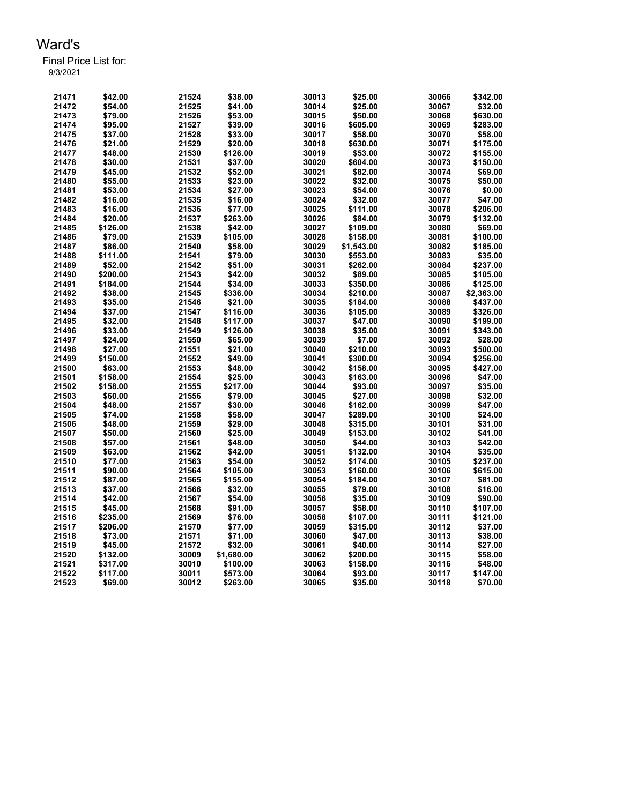| 21471 | \$42.00  | 21524 | \$38.00    | 30013 | \$25.00    | 30066 | \$342.00   |
|-------|----------|-------|------------|-------|------------|-------|------------|
| 21472 | \$54.00  | 21525 | \$41.00    | 30014 | \$25.00    | 30067 | \$32.00    |
| 21473 | \$79.00  | 21526 | \$53.00    | 30015 | \$50.00    | 30068 | \$630.00   |
| 21474 | \$95.00  | 21527 | \$39.00    | 30016 | \$605.00   | 30069 | \$283.00   |
| 21475 | \$37.00  | 21528 | \$33.00    | 30017 | \$58.00    | 30070 | \$58.00    |
| 21476 | \$21.00  | 21529 | \$20.00    | 30018 | \$630.00   | 30071 | \$175.00   |
| 21477 | \$48.00  | 21530 | \$126.00   | 30019 | \$53.00    | 30072 | \$155.00   |
| 21478 | \$30.00  | 21531 | \$37.00    | 30020 | \$604.00   | 30073 | \$150.00   |
| 21479 | \$45.00  | 21532 | \$52.00    | 30021 | \$82.00    | 30074 | \$69.00    |
| 21480 | \$55.00  | 21533 | \$23.00    | 30022 | \$32.00    | 30075 | \$50.00    |
| 21481 | \$53.00  | 21534 | \$27.00    | 30023 | \$54.00    | 30076 | \$0.00     |
| 21482 | \$16.00  | 21535 | \$16.00    | 30024 | \$32.00    | 30077 | \$47.00    |
| 21483 | \$16.00  | 21536 | \$77.00    | 30025 | \$111.00   | 30078 | \$206.00   |
| 21484 | \$20.00  | 21537 | \$263.00   | 30026 | \$84.00    | 30079 | \$132.00   |
| 21485 | \$126.00 | 21538 | \$42.00    | 30027 | \$109.00   | 30080 | \$69.00    |
| 21486 | \$79.00  | 21539 | \$105.00   | 30028 | \$158.00   | 30081 | \$100.00   |
| 21487 | \$86.00  | 21540 | \$58.00    | 30029 | \$1,543.00 | 30082 | \$185.00   |
| 21488 | \$111.00 | 21541 | \$79.00    | 30030 | \$553.00   | 30083 | \$35.00    |
| 21489 | \$52.00  | 21542 | \$51.00    | 30031 | \$262.00   | 30084 | \$237.00   |
| 21490 | \$200.00 | 21543 | \$42.00    | 30032 | \$89.00    | 30085 | \$105.00   |
| 21491 | \$184.00 | 21544 | \$34.00    | 30033 | \$350.00   | 30086 | \$125.00   |
| 21492 | \$38.00  | 21545 | \$336.00   | 30034 | \$210.00   | 30087 | \$2,363.00 |
| 21493 | \$35.00  | 21546 | \$21.00    | 30035 | \$184.00   | 30088 | \$437.00   |
| 21494 | \$37.00  | 21547 | \$116.00   | 30036 | \$105.00   | 30089 | \$326.00   |
| 21495 | \$32.00  | 21548 | \$117.00   | 30037 | \$47.00    | 30090 | \$199.00   |
| 21496 | \$33.00  | 21549 | \$126.00   | 30038 | \$35.00    | 30091 | \$343.00   |
| 21497 | \$24.00  | 21550 | \$65.00    | 30039 | \$7.00     | 30092 | \$28.00    |
| 21498 | \$27.00  | 21551 | \$21.00    | 30040 | \$210.00   | 30093 | \$500.00   |
| 21499 | \$150.00 | 21552 | \$49.00    | 30041 | \$300.00   | 30094 | \$256.00   |
| 21500 | \$63.00  | 21553 | \$48.00    | 30042 | \$158.00   | 30095 | \$427.00   |
| 21501 | \$158.00 | 21554 | \$25.00    | 30043 | \$163.00   | 30096 | \$47.00    |
| 21502 | \$158.00 | 21555 | \$217.00   | 30044 | \$93.00    | 30097 | \$35.00    |
| 21503 | \$60.00  | 21556 | \$79.00    | 30045 | \$27.00    | 30098 | \$32.00    |
| 21504 | \$48.00  | 21557 | \$30.00    | 30046 | \$162.00   | 30099 | \$47.00    |
| 21505 | \$74.00  | 21558 | \$58.00    | 30047 | \$289.00   | 30100 | \$24.00    |
| 21506 | \$48.00  | 21559 | \$29.00    | 30048 | \$315.00   | 30101 | \$31.00    |
| 21507 | \$50.00  | 21560 | \$25.00    | 30049 | \$153.00   | 30102 | \$41.00    |
| 21508 | \$57.00  | 21561 | \$48.00    | 30050 | \$44.00    | 30103 | \$42.00    |
| 21509 | \$63.00  | 21562 | \$42.00    | 30051 | \$132.00   | 30104 | \$35.00    |
| 21510 | \$77.00  | 21563 | \$54.00    | 30052 | \$174.00   | 30105 | \$237.00   |
| 21511 | \$90.00  | 21564 | \$105.00   | 30053 | \$160.00   | 30106 | \$615.00   |
| 21512 | \$87.00  | 21565 | \$155.00   | 30054 | \$184.00   | 30107 | \$81.00    |
| 21513 | \$37.00  | 21566 | \$32.00    | 30055 | \$79.00    | 30108 | \$16.00    |
| 21514 | \$42.00  | 21567 | \$54.00    | 30056 | \$35.00    | 30109 | \$90.00    |
| 21515 | \$45.00  | 21568 | \$91.00    | 30057 | \$58.00    | 30110 | \$107.00   |
| 21516 | \$235.00 | 21569 | \$76.00    | 30058 | \$107.00   | 30111 | \$121.00   |
| 21517 | \$206.00 | 21570 | \$77.00    | 30059 | \$315.00   | 30112 | \$37.00    |
| 21518 | \$73.00  | 21571 | \$71.00    | 30060 | \$47.00    | 30113 | \$38.00    |
| 21519 | \$45.00  | 21572 | \$32.00    | 30061 | \$40.00    | 30114 | \$27.00    |
| 21520 | \$132.00 | 30009 | \$1,680.00 | 30062 | \$200.00   | 30115 | \$58.00    |
| 21521 | \$317.00 | 30010 | \$100.00   | 30063 | \$158.00   | 30116 | \$48.00    |
| 21522 | \$117.00 | 30011 | \$573.00   | 30064 | \$93.00    | 30117 | \$147.00   |
| 21523 | \$69.00  | 30012 | \$263.00   | 30065 | \$35.00    | 30118 | \$70.00    |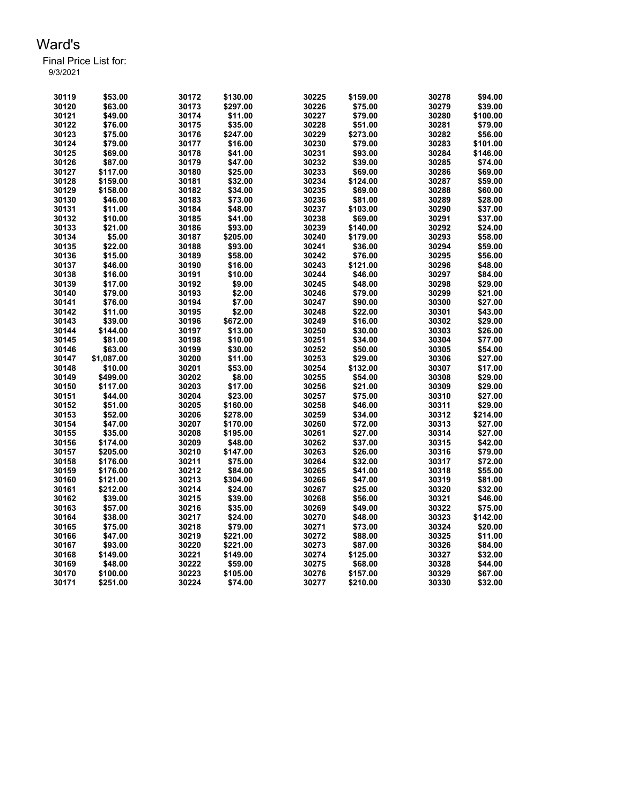| 30119 | \$53.00    | 30172 | \$130.00 | 30225 | \$159.00 | 30278 | \$94.00  |
|-------|------------|-------|----------|-------|----------|-------|----------|
| 30120 | \$63.00    | 30173 | \$297.00 | 30226 | \$75.00  | 30279 | \$39.00  |
| 30121 | \$49.00    | 30174 | \$11.00  | 30227 | \$79.00  | 30280 | \$100.00 |
| 30122 | \$76.00    | 30175 | \$35.00  | 30228 | \$51.00  | 30281 | \$79.00  |
| 30123 | \$75.00    | 30176 | \$247.00 | 30229 | \$273.00 | 30282 | \$56.00  |
| 30124 | \$79.00    | 30177 | \$16.00  | 30230 | \$79.00  | 30283 | \$101.00 |
| 30125 | \$69.00    | 30178 | \$41.00  | 30231 | \$93.00  | 30284 | \$146.00 |
| 30126 | \$87.00    | 30179 | \$47.00  | 30232 | \$39.00  | 30285 | \$74.00  |
| 30127 | \$117.00   | 30180 | \$25.00  | 30233 | \$69.00  | 30286 | \$69.00  |
| 30128 | \$159.00   | 30181 | \$32.00  | 30234 | \$124.00 | 30287 | \$59.00  |
| 30129 | \$158.00   | 30182 | \$34.00  | 30235 | \$69.00  | 30288 | \$60.00  |
| 30130 | \$46.00    | 30183 | \$73.00  | 30236 | \$81.00  | 30289 | \$28.00  |
| 30131 | \$11.00    | 30184 | \$48.00  | 30237 | \$103.00 | 30290 | \$37.00  |
| 30132 | \$10.00    | 30185 | \$41.00  | 30238 | \$69.00  | 30291 | \$37.00  |
| 30133 | \$21.00    | 30186 | \$93.00  | 30239 | \$140.00 | 30292 | \$24.00  |
| 30134 | \$5.00     | 30187 | \$205.00 | 30240 | \$179.00 | 30293 | \$58.00  |
| 30135 | \$22.00    | 30188 | \$93.00  | 30241 | \$36.00  | 30294 | \$59.00  |
| 30136 | \$15.00    | 30189 | \$58.00  | 30242 | \$76.00  | 30295 | \$56.00  |
| 30137 | \$46.00    | 30190 | \$16.00  | 30243 | \$121.00 | 30296 | \$48.00  |
| 30138 | \$16.00    | 30191 | \$10.00  | 30244 | \$46.00  | 30297 | \$84.00  |
| 30139 | \$17.00    | 30192 | \$9.00   | 30245 | \$48.00  | 30298 | \$29.00  |
| 30140 | \$79.00    | 30193 | \$2.00   | 30246 | \$79.00  | 30299 | \$21.00  |
| 30141 | \$76.00    | 30194 | \$7.00   | 30247 | \$90.00  | 30300 | \$27.00  |
| 30142 | \$11.00    | 30195 | \$2.00   | 30248 | \$22.00  | 30301 | \$43.00  |
| 30143 | \$39.00    | 30196 | \$672.00 | 30249 | \$16.00  | 30302 | \$29.00  |
| 30144 | \$144.00   | 30197 | \$13.00  | 30250 | \$30.00  | 30303 | \$26.00  |
| 30145 | \$81.00    | 30198 | \$10.00  | 30251 | \$34.00  | 30304 | \$77.00  |
| 30146 | \$63.00    | 30199 | \$30.00  | 30252 | \$50.00  | 30305 | \$54.00  |
| 30147 | \$1,087.00 | 30200 | \$11.00  | 30253 | \$29.00  | 30306 | \$27.00  |
| 30148 | \$10.00    | 30201 | \$53.00  | 30254 | \$132.00 | 30307 | \$17.00  |
| 30149 | \$499.00   | 30202 | \$8.00   | 30255 | \$54.00  | 30308 | \$29.00  |
| 30150 | \$117.00   | 30203 | \$17.00  | 30256 | \$21.00  | 30309 | \$29.00  |
| 30151 | \$44.00    | 30204 | \$23.00  | 30257 | \$75.00  | 30310 | \$27.00  |
| 30152 | \$51.00    | 30205 | \$160.00 | 30258 | \$46.00  | 30311 | \$29.00  |
| 30153 | \$52.00    | 30206 | \$278.00 | 30259 | \$34.00  | 30312 | \$214.00 |
| 30154 | \$47.00    | 30207 | \$170.00 | 30260 | \$72.00  | 30313 | \$27.00  |
| 30155 | \$35.00    | 30208 | \$195.00 | 30261 | \$27.00  | 30314 | \$27.00  |
| 30156 | \$174.00   | 30209 | \$48.00  | 30262 | \$37.00  | 30315 | \$42.00  |
| 30157 | \$205.00   | 30210 | \$147.00 | 30263 | \$26.00  | 30316 | \$79.00  |
| 30158 | \$176.00   | 30211 | \$75.00  | 30264 | \$32.00  | 30317 | \$72.00  |
| 30159 | \$176.00   | 30212 | \$84.00  | 30265 | \$41.00  | 30318 | \$55.00  |
| 30160 | \$121.00   | 30213 | \$304.00 | 30266 | \$47.00  | 30319 | \$81.00  |
| 30161 | \$212.00   | 30214 | \$24.00  | 30267 | \$25.00  | 30320 | \$32.00  |
| 30162 | \$39.00    | 30215 | \$39.00  | 30268 | \$56.00  | 30321 | \$46.00  |
| 30163 | \$57.00    | 30216 | \$35.00  | 30269 | \$49.00  | 30322 | \$75.00  |
| 30164 | \$38.00    | 30217 | \$24.00  | 30270 | \$48.00  | 30323 | \$142.00 |
| 30165 | \$75.00    | 30218 | \$79.00  | 30271 | \$73.00  | 30324 | \$20.00  |
| 30166 | \$47.00    | 30219 | \$221.00 | 30272 | \$88.00  | 30325 | \$11.00  |
| 30167 | \$93.00    | 30220 | \$221.00 | 30273 | \$87.00  | 30326 | \$84.00  |
| 30168 | \$149.00   | 30221 | \$149.00 | 30274 | \$125.00 | 30327 | \$32.00  |
| 30169 | \$48.00    | 30222 | \$59.00  | 30275 | \$68.00  | 30328 | \$44.00  |
| 30170 | \$100.00   | 30223 | \$105.00 | 30276 | \$157.00 | 30329 | \$67.00  |
| 30171 | \$251.00   | 30224 | \$74.00  | 30277 | \$210.00 | 30330 | \$32.00  |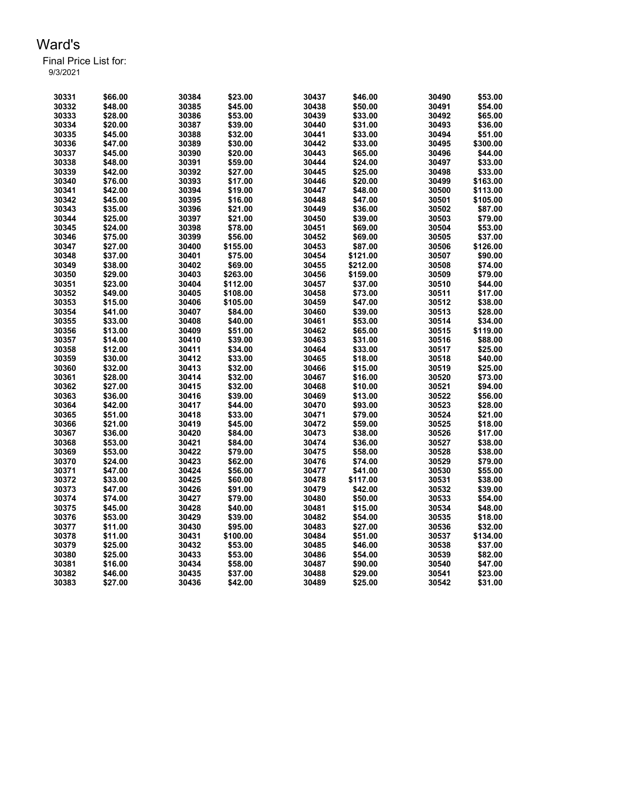| 30331 | \$66.00 | 30384 | \$23.00  | 30437 | \$46.00  | 30490 | \$53.00  |
|-------|---------|-------|----------|-------|----------|-------|----------|
| 30332 | \$48.00 | 30385 | \$45.00  | 30438 | \$50.00  | 30491 | \$54.00  |
| 30333 | \$28.00 | 30386 | \$53.00  | 30439 | \$33.00  | 30492 | \$65.00  |
| 30334 | \$20.00 | 30387 | \$39.00  | 30440 | \$31.00  | 30493 | \$36.00  |
| 30335 | \$45.00 | 30388 | \$32.00  | 30441 | \$33.00  | 30494 | \$51.00  |
| 30336 | \$47.00 | 30389 | \$30.00  | 30442 | \$33.00  | 30495 | \$300.00 |
| 30337 | \$45.00 | 30390 | \$20.00  | 30443 | \$65.00  | 30496 | \$44.00  |
| 30338 | \$48.00 | 30391 | \$59.00  | 30444 | \$24.00  | 30497 | \$33.00  |
| 30339 | \$42.00 | 30392 | \$27.00  | 30445 | \$25.00  | 30498 | \$33.00  |
| 30340 | \$76.00 | 30393 | \$17.00  | 30446 | \$20.00  | 30499 | \$163.00 |
| 30341 | \$42.00 | 30394 | \$19.00  | 30447 | \$48.00  | 30500 | \$113.00 |
| 30342 | \$45.00 | 30395 | \$16.00  | 30448 | \$47.00  | 30501 | \$105.00 |
| 30343 | \$35.00 | 30396 | \$21.00  | 30449 | \$36.00  | 30502 | \$87.00  |
| 30344 | \$25.00 | 30397 | \$21.00  | 30450 | \$39.00  | 30503 | \$79.00  |
| 30345 | \$24.00 | 30398 | \$78.00  | 30451 | \$69.00  | 30504 | \$53.00  |
| 30346 | \$75.00 | 30399 | \$56.00  | 30452 | \$69.00  | 30505 | \$37.00  |
| 30347 | \$27.00 | 30400 | \$155.00 | 30453 | \$87.00  | 30506 | \$126.00 |
| 30348 | \$37.00 | 30401 | \$75.00  | 30454 | \$121.00 | 30507 | \$90.00  |
| 30349 | \$38.00 | 30402 | \$69.00  | 30455 | \$212.00 | 30508 | \$74.00  |
| 30350 | \$29.00 | 30403 | \$263.00 | 30456 | \$159.00 | 30509 | \$79.00  |
| 30351 | \$23.00 | 30404 | \$112.00 | 30457 | \$37.00  | 30510 | \$44.00  |
| 30352 | \$49.00 | 30405 | \$108.00 | 30458 | \$73.00  | 30511 | \$17.00  |
| 30353 | \$15.00 | 30406 | \$105.00 | 30459 | \$47.00  | 30512 | \$38.00  |
| 30354 | \$41.00 | 30407 | \$84.00  | 30460 | \$39.00  | 30513 | \$28.00  |
| 30355 | \$33.00 | 30408 | \$40.00  | 30461 | \$53.00  | 30514 | \$34.00  |
| 30356 | \$13.00 | 30409 | \$51.00  | 30462 | \$65.00  | 30515 | \$119.00 |
| 30357 | \$14.00 | 30410 | \$39.00  | 30463 | \$31.00  | 30516 | \$88.00  |
| 30358 | \$12.00 | 30411 | \$34.00  | 30464 | \$33.00  | 30517 | \$25.00  |
| 30359 | \$30.00 | 30412 | \$33.00  | 30465 | \$18.00  | 30518 | \$40.00  |
| 30360 | \$32.00 | 30413 | \$32.00  | 30466 | \$15.00  | 30519 | \$25.00  |
| 30361 | \$28.00 | 30414 | \$32.00  | 30467 | \$16.00  | 30520 | \$73.00  |
| 30362 | \$27.00 | 30415 | \$32.00  | 30468 | \$10.00  | 30521 | \$94.00  |
| 30363 | \$36.00 | 30416 | \$39.00  | 30469 | \$13.00  | 30522 | \$56.00  |
| 30364 | \$42.00 | 30417 | \$44.00  | 30470 | \$93.00  | 30523 | \$28.00  |
| 30365 | \$51.00 | 30418 | \$33.00  | 30471 | \$79.00  | 30524 | \$21.00  |
| 30366 | \$21.00 | 30419 | \$45.00  | 30472 | \$59.00  | 30525 | \$18.00  |
| 30367 | \$36.00 | 30420 | \$84.00  | 30473 | \$38.00  | 30526 | \$17.00  |
| 30368 | \$53.00 | 30421 | \$84.00  | 30474 | \$36.00  | 30527 | \$38.00  |
| 30369 | \$53.00 | 30422 | \$79.00  | 30475 | \$58.00  | 30528 | \$38.00  |
| 30370 | \$24.00 | 30423 | \$62.00  | 30476 | \$74.00  | 30529 | \$79.00  |
| 30371 | \$47.00 | 30424 | \$56.00  | 30477 | \$41.00  | 30530 | \$55.00  |
| 30372 | \$33.00 | 30425 | \$60.00  | 30478 | \$117.00 | 30531 | \$38.00  |
| 30373 | \$47.00 | 30426 | \$91.00  | 30479 | \$42.00  | 30532 | \$39.00  |
| 30374 | \$74.00 | 30427 | \$79.00  | 30480 | \$50.00  | 30533 | \$54.00  |
| 30375 | \$45.00 | 30428 | \$40.00  | 30481 | \$15.00  | 30534 | \$48.00  |
| 30376 | \$53.00 | 30429 | \$39.00  | 30482 | \$54.00  | 30535 | \$18.00  |
| 30377 | \$11.00 | 30430 | \$95.00  | 30483 | \$27.00  | 30536 | \$32.00  |
| 30378 | \$11.00 | 30431 | \$100.00 | 30484 | \$51.00  | 30537 | \$134.00 |
| 30379 | \$25.00 | 30432 | \$53.00  | 30485 | \$46.00  | 30538 | \$37.00  |
| 30380 | \$25.00 | 30433 | \$53.00  | 30486 | \$54.00  | 30539 | \$82.00  |
| 30381 | \$16.00 | 30434 | \$58.00  | 30487 | \$90.00  | 30540 | \$47.00  |
| 30382 | \$46.00 | 30435 | \$37.00  | 30488 | \$29.00  | 30541 | \$23.00  |
| 30383 | \$27.00 | 30436 | \$42.00  | 30489 | \$25.00  | 30542 | \$31.00  |
|       |         |       |          |       |          |       |          |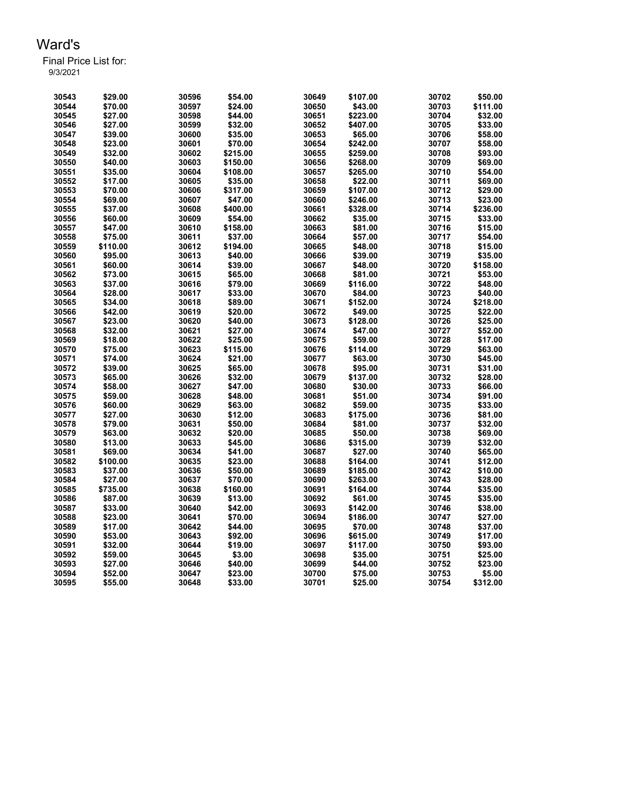| 30543 | \$29.00  | 30596 | \$54.00  | 30649 | \$107.00 | 30702 | \$50.00  |
|-------|----------|-------|----------|-------|----------|-------|----------|
| 30544 | \$70.00  | 30597 | \$24.00  | 30650 | \$43.00  | 30703 | \$111.00 |
| 30545 | \$27.00  | 30598 | \$44.00  | 30651 | \$223.00 | 30704 | \$32.00  |
| 30546 | \$27.00  | 30599 | \$32.00  | 30652 | \$407.00 | 30705 | \$33.00  |
| 30547 | \$39.00  | 30600 | \$35.00  | 30653 | \$65.00  | 30706 | \$58.00  |
| 30548 | \$23.00  | 30601 | \$70.00  | 30654 | \$242.00 | 30707 | \$58.00  |
| 30549 | \$32.00  | 30602 | \$215.00 | 30655 | \$259.00 | 30708 | \$93.00  |
| 30550 | \$40.00  | 30603 | \$150.00 | 30656 | \$268.00 | 30709 | \$69.00  |
| 30551 | \$35.00  | 30604 | \$108.00 | 30657 | \$265.00 | 30710 | \$54.00  |
| 30552 | \$17.00  | 30605 | \$35.00  | 30658 | \$22.00  | 30711 | \$69.00  |
| 30553 | \$70.00  | 30606 | \$317.00 | 30659 | \$107.00 | 30712 | \$29.00  |
| 30554 | \$69.00  | 30607 | \$47.00  | 30660 | \$246.00 | 30713 | \$23.00  |
| 30555 | \$37.00  | 30608 | \$400.00 | 30661 | \$328.00 | 30714 | \$236.00 |
| 30556 | \$60.00  | 30609 | \$54.00  | 30662 | \$35.00  | 30715 | \$33.00  |
| 30557 | \$47.00  | 30610 | \$158.00 | 30663 | \$81.00  | 30716 | \$15.00  |
| 30558 | \$75.00  | 30611 | \$37.00  | 30664 | \$57.00  | 30717 | \$54.00  |
| 30559 | \$110.00 | 30612 | \$194.00 | 30665 | \$48.00  | 30718 | \$15.00  |
| 30560 | \$95.00  | 30613 | \$40.00  | 30666 | \$39.00  | 30719 | \$35.00  |
| 30561 | \$60.00  | 30614 | \$39.00  | 30667 | \$48.00  | 30720 | \$158.00 |
| 30562 | \$73.00  | 30615 | \$65.00  | 30668 | \$81.00  | 30721 | \$53.00  |
| 30563 | \$37.00  | 30616 | \$79.00  | 30669 | \$116.00 | 30722 | \$48.00  |
| 30564 | \$28.00  | 30617 | \$33.00  | 30670 | \$84.00  | 30723 | \$40.00  |
| 30565 | \$34.00  | 30618 | \$89.00  | 30671 | \$152.00 | 30724 | \$218.00 |
| 30566 | \$42.00  | 30619 | \$20.00  | 30672 | \$49.00  | 30725 | \$22.00  |
| 30567 | \$23.00  | 30620 | \$40.00  | 30673 | \$128.00 | 30726 | \$25.00  |
| 30568 | \$32.00  | 30621 | \$27.00  | 30674 | \$47.00  | 30727 | \$52.00  |
| 30569 | \$18.00  | 30622 | \$25.00  | 30675 | \$59.00  | 30728 | \$17.00  |
| 30570 | \$75.00  | 30623 | \$115.00 | 30676 | \$114.00 | 30729 | \$63.00  |
| 30571 | \$74.00  | 30624 | \$21.00  | 30677 | \$63.00  | 30730 | \$45.00  |
| 30572 | \$39.00  | 30625 | \$65.00  | 30678 | \$95.00  | 30731 | \$31.00  |
| 30573 | \$65.00  | 30626 | \$32.00  | 30679 | \$137.00 | 30732 | \$28.00  |
| 30574 | \$58.00  | 30627 | \$47.00  | 30680 | \$30.00  | 30733 | \$66.00  |
| 30575 | \$59.00  | 30628 | \$48.00  | 30681 | \$51.00  | 30734 | \$91.00  |
| 30576 | \$60.00  | 30629 | \$63.00  | 30682 | \$59.00  | 30735 | \$33.00  |
| 30577 | \$27.00  | 30630 | \$12.00  | 30683 | \$175.00 | 30736 | \$81.00  |
| 30578 | \$79.00  | 30631 | \$50.00  | 30684 | \$81.00  | 30737 | \$32.00  |
| 30579 | \$63.00  | 30632 | \$20.00  | 30685 | \$50.00  | 30738 | \$69.00  |
| 30580 | \$13.00  | 30633 | \$45.00  | 30686 | \$315.00 | 30739 | \$32.00  |
| 30581 | \$69.00  | 30634 | \$41.00  | 30687 | \$27.00  | 30740 | \$65.00  |
| 30582 | \$100.00 | 30635 | \$23.00  | 30688 | \$164.00 | 30741 | \$12.00  |
| 30583 | \$37.00  | 30636 | \$50.00  | 30689 | \$185.00 | 30742 | \$10.00  |
| 30584 | \$27.00  | 30637 | \$70.00  | 30690 | \$263.00 | 30743 | \$28.00  |
| 30585 | \$735.00 | 30638 | \$160.00 | 30691 | \$164.00 | 30744 | \$35.00  |
| 30586 | \$87.00  | 30639 | \$13.00  | 30692 | \$61.00  | 30745 | \$35.00  |
| 30587 | \$33.00  | 30640 | \$42.00  | 30693 | \$142.00 | 30746 | \$38.00  |
| 30588 | \$23.00  | 30641 | \$70.00  | 30694 | \$186.00 | 30747 | \$27.00  |
| 30589 | \$17.00  | 30642 | \$44.00  | 30695 | \$70.00  | 30748 | \$37.00  |
| 30590 | \$53.00  | 30643 | \$92.00  | 30696 | \$615.00 | 30749 | \$17.00  |
| 30591 | \$32.00  | 30644 | \$19.00  | 30697 | \$117.00 | 30750 | \$93.00  |
| 30592 | \$59.00  | 30645 | \$3.00   | 30698 | \$35.00  | 30751 | \$25.00  |
| 30593 | \$27.00  | 30646 | \$40.00  | 30699 | \$44.00  | 30752 | \$23.00  |
| 30594 | \$52.00  | 30647 | \$23.00  | 30700 | \$75.00  | 30753 | \$5.00   |
| 30595 | \$55.00  | 30648 | \$33.00  | 30701 | \$25.00  | 30754 | \$312.00 |
|       |          |       |          |       |          |       |          |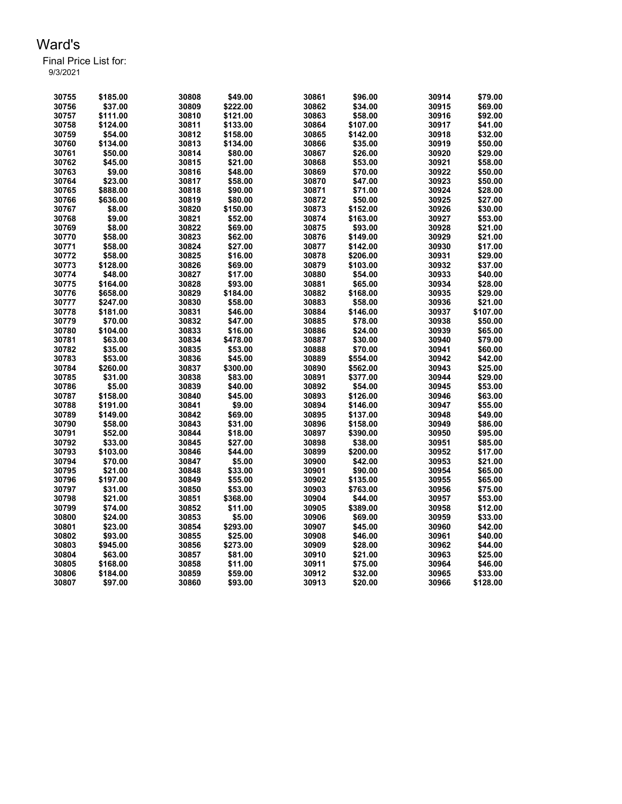| 30755 | \$185.00 | 30808 | \$49.00  | 30861 | \$96.00  | 30914 | \$79.00  |
|-------|----------|-------|----------|-------|----------|-------|----------|
| 30756 | \$37.00  | 30809 | \$222.00 | 30862 | \$34.00  | 30915 | \$69.00  |
| 30757 | \$111.00 | 30810 | \$121.00 | 30863 | \$58.00  | 30916 | \$92.00  |
| 30758 | \$124.00 | 30811 | \$133.00 | 30864 | \$107.00 | 30917 | \$41.00  |
| 30759 | \$54.00  | 30812 | \$158.00 | 30865 | \$142.00 | 30918 | \$32.00  |
| 30760 | \$134.00 | 30813 | \$134.00 | 30866 | \$35.00  | 30919 | \$50.00  |
| 30761 | \$50.00  | 30814 | \$80.00  | 30867 | \$26.00  | 30920 | \$29.00  |
| 30762 | \$45.00  | 30815 | \$21.00  | 30868 | \$53.00  | 30921 | \$58.00  |
| 30763 | \$9.00   | 30816 | \$48.00  | 30869 | \$70.00  | 30922 | \$50.00  |
| 30764 | \$23.00  | 30817 | \$58.00  | 30870 | \$47.00  | 30923 | \$50.00  |
| 30765 | \$888.00 | 30818 | \$90.00  | 30871 | \$71.00  | 30924 | \$28.00  |
| 30766 | \$636.00 | 30819 | \$80.00  | 30872 | \$50.00  | 30925 | \$27.00  |
| 30767 | \$8.00   | 30820 | \$150.00 | 30873 | \$152.00 | 30926 | \$30.00  |
| 30768 | \$9.00   | 30821 | \$52.00  | 30874 | \$163.00 | 30927 | \$53.00  |
| 30769 | \$8.00   | 30822 | \$69.00  | 30875 | \$93.00  | 30928 | \$21.00  |
| 30770 | \$58.00  | 30823 | \$62.00  | 30876 | \$149.00 | 30929 | \$21.00  |
| 30771 | \$58.00  | 30824 | \$27.00  | 30877 | \$142.00 | 30930 | \$17.00  |
| 30772 | \$58.00  | 30825 | \$16.00  | 30878 | \$206.00 | 30931 | \$29.00  |
| 30773 | \$128.00 | 30826 | \$69.00  | 30879 | \$103.00 | 30932 | \$37.00  |
| 30774 | \$48.00  | 30827 | \$17.00  | 30880 | \$54.00  | 30933 | \$40.00  |
| 30775 | \$164.00 | 30828 | \$93.00  | 30881 | \$65.00  | 30934 | \$28.00  |
| 30776 | \$658.00 | 30829 | \$184.00 | 30882 | \$168.00 | 30935 | \$29.00  |
| 30777 | \$247.00 | 30830 | \$58.00  | 30883 | \$58.00  | 30936 | \$21.00  |
| 30778 | \$181.00 | 30831 | \$46.00  | 30884 | \$146.00 | 30937 | \$107.00 |
| 30779 | \$70.00  | 30832 | \$47.00  | 30885 | \$78.00  | 30938 | \$50.00  |
| 30780 | \$104.00 | 30833 | \$16.00  | 30886 | \$24.00  | 30939 | \$65.00  |
| 30781 | \$63.00  | 30834 | \$478.00 | 30887 | \$30.00  | 30940 | \$79.00  |
| 30782 | \$35.00  | 30835 | \$53.00  | 30888 | \$70.00  | 30941 | \$60.00  |
| 30783 | \$53.00  | 30836 | \$45.00  | 30889 | \$554.00 | 30942 | \$42.00  |
| 30784 | \$260.00 | 30837 | \$300.00 | 30890 | \$562.00 | 30943 | \$25.00  |
| 30785 | \$31.00  | 30838 | \$83.00  | 30891 | \$377.00 | 30944 | \$29.00  |
| 30786 | \$5.00   | 30839 | \$40.00  | 30892 | \$54.00  | 30945 | \$53.00  |
| 30787 | \$158.00 | 30840 | \$45.00  | 30893 | \$126.00 | 30946 | \$63.00  |
| 30788 | \$191.00 | 30841 | \$9.00   | 30894 | \$146.00 | 30947 | \$55.00  |
| 30789 | \$149.00 | 30842 | \$69.00  | 30895 | \$137.00 | 30948 | \$49.00  |
| 30790 | \$58.00  | 30843 | \$31.00  | 30896 | \$158.00 | 30949 | \$86.00  |
| 30791 | \$52.00  | 30844 | \$18.00  | 30897 | \$390.00 | 30950 | \$95.00  |
| 30792 | \$33.00  | 30845 | \$27.00  | 30898 | \$38.00  | 30951 | \$85.00  |
| 30793 | \$103.00 | 30846 | \$44.00  | 30899 | \$200.00 | 30952 | \$17.00  |
| 30794 | \$70.00  | 30847 | \$5.00   | 30900 | \$42.00  | 30953 | \$21.00  |
| 30795 | \$21.00  | 30848 | \$33.00  | 30901 | \$90.00  | 30954 | \$65.00  |
| 30796 | \$197.00 | 30849 | \$55.00  | 30902 | \$135.00 | 30955 | \$65.00  |
| 30797 | \$31.00  | 30850 | \$53.00  | 30903 | \$763.00 | 30956 | \$75.00  |
| 30798 | \$21.00  | 30851 | \$368.00 | 30904 | \$44.00  | 30957 | \$53.00  |
| 30799 | \$74.00  | 30852 | \$11.00  | 30905 | \$389.00 | 30958 | \$12.00  |
| 30800 | \$24.00  | 30853 | \$5.00   | 30906 | \$69.00  | 30959 | \$33.00  |
| 30801 | \$23.00  | 30854 | \$293.00 | 30907 | \$45.00  | 30960 | \$42.00  |
| 30802 | \$93.00  | 30855 | \$25.00  | 30908 | \$46.00  | 30961 | \$40.00  |
| 30803 | \$945.00 | 30856 | \$273.00 | 30909 | \$28.00  | 30962 | \$44.00  |
| 30804 | \$63.00  | 30857 | \$81.00  | 30910 | \$21.00  | 30963 | \$25.00  |
| 30805 | \$168.00 | 30858 | \$11.00  | 30911 | \$75.00  | 30964 | \$46.00  |
| 30806 | \$184.00 | 30859 | \$59.00  | 30912 | \$32.00  | 30965 | \$33.00  |
|       |          |       |          |       |          |       |          |
| 30807 | \$97.00  | 30860 | \$93.00  | 30913 | \$20.00  | 30966 | \$128.00 |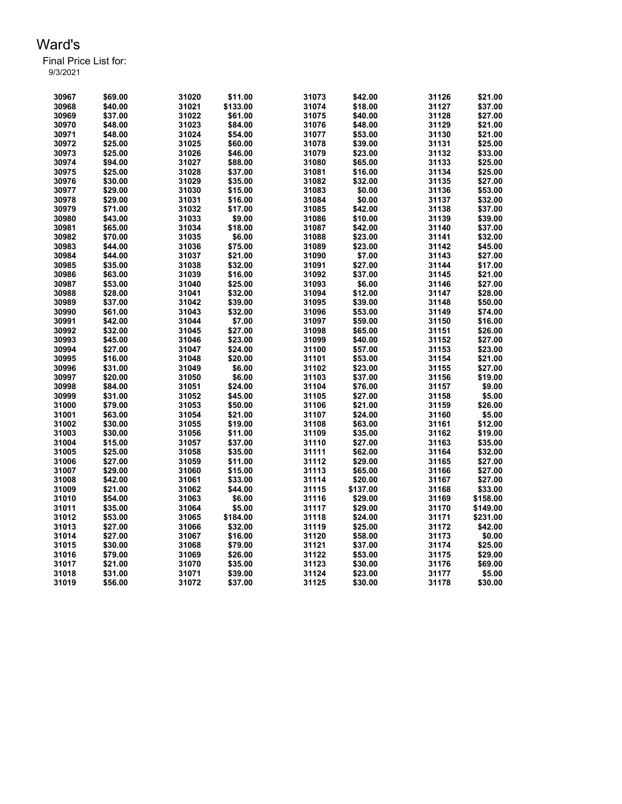| 30967 | \$69.00 | 31020 | \$11.00  | 31073 | \$42.00  | 31126 | \$21.00  |
|-------|---------|-------|----------|-------|----------|-------|----------|
| 30968 | \$40.00 | 31021 | \$133.00 | 31074 | \$18.00  | 31127 | \$37.00  |
| 30969 | \$37.00 | 31022 | \$61.00  | 31075 | \$40.00  | 31128 | \$27.00  |
| 30970 | \$48.00 | 31023 | \$84.00  | 31076 | \$48.00  | 31129 | \$21.00  |
| 30971 | \$48.00 | 31024 | \$54.00  | 31077 | \$53.00  | 31130 | \$21.00  |
| 30972 | \$25.00 | 31025 | \$60.00  | 31078 | \$39.00  | 31131 | \$25.00  |
| 30973 | \$25.00 | 31026 | \$46.00  | 31079 | \$23.00  | 31132 | \$33.00  |
| 30974 | \$94.00 | 31027 | \$88.00  | 31080 | \$65.00  | 31133 | \$25.00  |
| 30975 | \$25.00 | 31028 | \$37.00  | 31081 | \$16.00  | 31134 | \$25.00  |
| 30976 | \$30.00 | 31029 | \$35.00  | 31082 | \$32.00  | 31135 | \$27.00  |
| 30977 | \$29.00 | 31030 | \$15.00  | 31083 | \$0.00   | 31136 | \$53.00  |
| 30978 | \$29.00 | 31031 | \$16.00  | 31084 | \$0.00   | 31137 | \$32.00  |
| 30979 | \$71.00 | 31032 | \$17.00  | 31085 | \$42.00  | 31138 | \$37.00  |
| 30980 | \$43.00 | 31033 | \$9.00   | 31086 | \$10.00  | 31139 | \$39.00  |
| 30981 | \$65.00 | 31034 | \$18.00  | 31087 | \$42.00  | 31140 | \$37.00  |
| 30982 | \$70.00 | 31035 | \$6.00   | 31088 | \$23.00  | 31141 | \$32.00  |
| 30983 | \$44.00 | 31036 | \$75.00  | 31089 | \$23.00  | 31142 | \$45.00  |
| 30984 | \$44.00 | 31037 | \$21.00  | 31090 | \$7.00   | 31143 | \$27.00  |
| 30985 | \$35.00 | 31038 | \$32.00  | 31091 | \$27.00  | 31144 | \$17.00  |
| 30986 | \$63.00 | 31039 | \$16.00  | 31092 | \$37.00  | 31145 | \$21.00  |
| 30987 | \$53.00 | 31040 | \$25.00  | 31093 | \$6.00   | 31146 | \$27.00  |
| 30988 | \$28.00 | 31041 | \$32.00  | 31094 | \$12.00  | 31147 | \$28.00  |
| 30989 | \$37.00 | 31042 | \$39.00  | 31095 | \$39.00  | 31148 | \$50.00  |
| 30990 | \$61.00 | 31043 | \$32.00  | 31096 | \$53.00  | 31149 | \$74.00  |
| 30991 | \$42.00 | 31044 | \$7.00   | 31097 | \$59.00  | 31150 | \$16.00  |
| 30992 | \$32.00 | 31045 | \$27.00  | 31098 | \$65.00  | 31151 | \$26.00  |
| 30993 | \$45.00 | 31046 | \$23.00  | 31099 | \$40.00  | 31152 | \$27.00  |
| 30994 | \$27.00 | 31047 | \$24.00  | 31100 | \$57.00  | 31153 | \$23.00  |
| 30995 | \$16.00 | 31048 | \$20.00  | 31101 | \$53.00  | 31154 | \$21.00  |
| 30996 | \$31.00 | 31049 | \$6.00   | 31102 | \$23.00  | 31155 | \$27.00  |
| 30997 | \$20.00 | 31050 | \$6.00   | 31103 | \$37.00  | 31156 | \$19.00  |
| 30998 | \$84.00 | 31051 | \$24.00  | 31104 | \$76.00  | 31157 | \$9.00   |
| 30999 | \$31.00 | 31052 | \$45.00  | 31105 | \$27.00  | 31158 | \$5.00   |
| 31000 | \$79.00 | 31053 | \$50.00  | 31106 | \$21.00  | 31159 | \$26.00  |
| 31001 | \$63.00 | 31054 | \$21.00  | 31107 | \$24.00  | 31160 | \$5.00   |
| 31002 | \$30.00 | 31055 | \$19.00  | 31108 | \$63.00  | 31161 | \$12.00  |
| 31003 | \$30.00 | 31056 | \$11.00  | 31109 | \$35.00  | 31162 | \$19.00  |
| 31004 | \$15.00 | 31057 | \$37.00  | 31110 | \$27.00  | 31163 | \$35.00  |
| 31005 | \$25.00 | 31058 | \$35.00  | 31111 | \$62.00  | 31164 | \$32.00  |
| 31006 | \$27.00 | 31059 | \$11.00  | 31112 | \$29.00  | 31165 | \$27.00  |
| 31007 | \$29.00 | 31060 | \$15.00  | 31113 | \$65.00  | 31166 | \$27.00  |
| 31008 | \$42.00 | 31061 | \$33.00  | 31114 | \$20.00  | 31167 | \$27.00  |
| 31009 | \$21.00 | 31062 | \$44.00  | 31115 | \$137.00 | 31168 | \$33.00  |
| 31010 | \$54.00 | 31063 | \$6.00   | 31116 | \$29.00  | 31169 | \$158.00 |
| 31011 | \$35.00 | 31064 | \$5.00   | 31117 | \$29.00  | 31170 | \$149.00 |
| 31012 | \$53.00 | 31065 | \$184.00 | 31118 | \$24.00  | 31171 | \$231.00 |
| 31013 | \$27.00 | 31066 | \$32.00  | 31119 | \$25.00  | 31172 | \$42.00  |
| 31014 | \$27.00 | 31067 | \$16.00  | 31120 | \$58.00  | 31173 | \$0.00   |
| 31015 | \$30.00 | 31068 | \$79.00  | 31121 | \$37.00  | 31174 | \$25.00  |
| 31016 | \$79.00 | 31069 | \$26.00  | 31122 | \$53.00  | 31175 | \$29.00  |
| 31017 | \$21.00 | 31070 | \$35.00  | 31123 | \$30.00  | 31176 | \$69.00  |
| 31018 | \$31.00 | 31071 | \$39.00  | 31124 | \$23.00  | 31177 | \$5.00   |
| 31019 | \$56.00 | 31072 | \$37.00  | 31125 | \$30.00  | 31178 | \$30.00  |